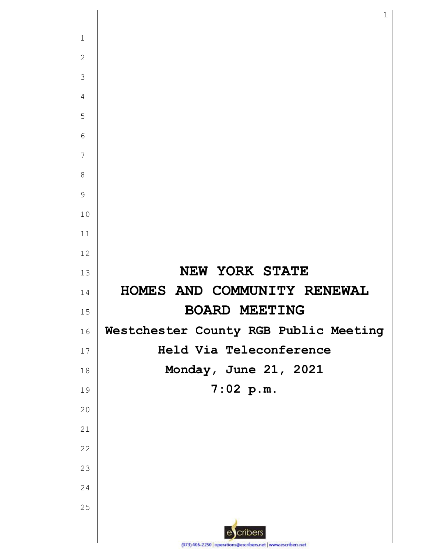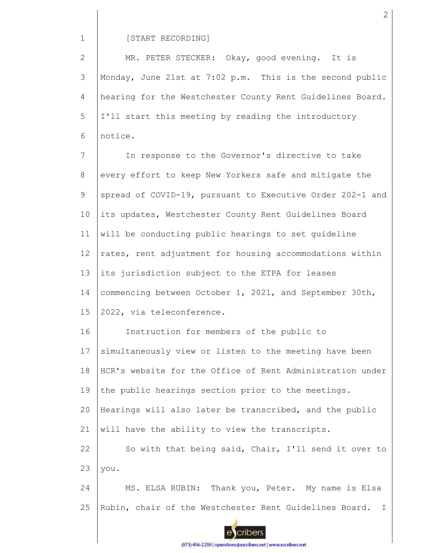1

## [START RECORDING]

2 3 4 5 6 MR. PETER STECKER: Okay, good evening. It is Monday, June 21st at 7:02 p.m. This is the second public hearing for the Westchester County Rent Guidelines Board. I'll start this meeting by reading the introductory notice.

7 8 9 10 11 12 13 14 15 In response to the Governor's directive to take every effort to keep New Yorkers safe and mitigate the spread of COVID-19, pursuant to Executive Order 202-1 and its updates, Westchester County Rent Guidelines Board will be conducting public hearings to set guideline rates, rent adjustment for housing accommodations within its jurisdiction subject to the ETPA for leases commencing between October 1, 2021, and September 30th, 2022, via teleconference.

16 17 18 19 20 21 22 23 Instruction for members of the public to simultaneously view or listen to the meeting have been HCR's website for the Office of Rent Administration under the public hearings section prior to the meetings. Hearings will also later be transcribed, and the public will have the ability to view the transcripts. So with that being said, Chair, I'll send it over to you.

24 25 MS. ELSA RUBIN: Thank you, Peter. My name is Elsa Rubin, chair of the Westchester Rent Guidelines Board. I

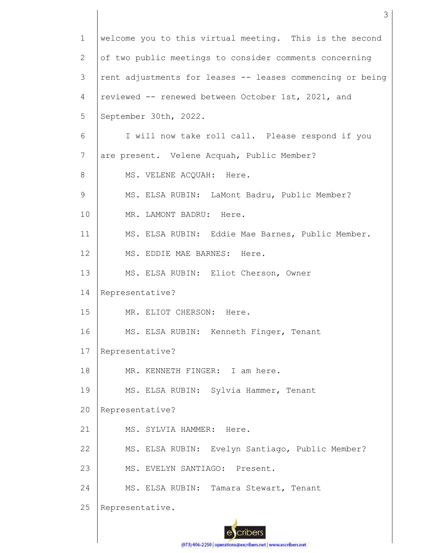| $\mathbf 1$    | welcome you to this virtual meeting. This is the second   |
|----------------|-----------------------------------------------------------|
| $\mathbf{2}$   | of two public meetings to consider comments concerning    |
| 3              | rent adjustments for leases -- leases commencing or being |
| $\overline{4}$ | reviewed -- renewed between October 1st, 2021, and        |
| 5              | September 30th, 2022.                                     |
| 6              | I will now take roll call. Please respond if you          |
| $\overline{7}$ | are present. Velene Acquah, Public Member?                |
| 8              | MS. VELENE ACQUAH: Here.                                  |
| $\mathsf 9$    | MS. ELSA RUBIN: LaMont Badru, Public Member?              |
| 10             | MR. LAMONT BADRU: Here.                                   |
| 11             | MS. ELSA RUBIN: Eddie Mae Barnes, Public Member.          |
| 12             | MS. EDDIE MAE BARNES: Here.                               |
| 13             | MS. ELSA RUBIN: Eliot Cherson, Owner                      |
| 14             | Representative?                                           |
| 15             | MR. ELIOT CHERSON: Here.                                  |
| 16             | MS. ELSA RUBIN: Kenneth Finger, Tenant                    |
| 17             | Representative?                                           |
| 18             | MR. KENNETH FINGER: I am here.                            |
| 19             | MS. ELSA RUBIN: Sylvia Hammer, Tenant                     |
| 20             | Representative?                                           |
| 21             | MS. SYLVIA HAMMER:<br>Here.                               |
| 22             | MS. ELSA RUBIN: Evelyn Santiago, Public Member?           |
| 23             | MS. EVELYN SANTIAGO: Present.                             |
| 24             | MS. ELSA RUBIN: Tamara Stewart, Tenant                    |
| 25             | Representative.                                           |
|                | cribers                                                   |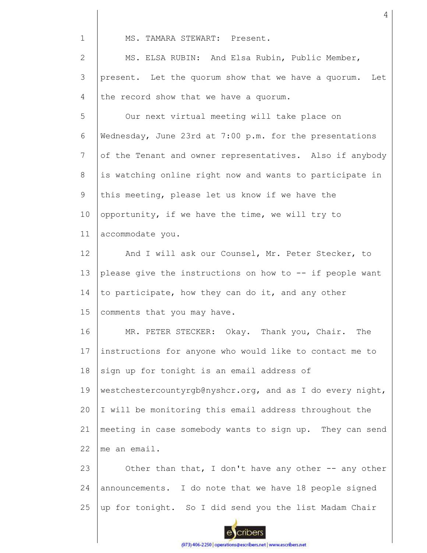1

MS. TAMARA STEWART: Present.

2 3 4 MS. ELSA RUBIN: And Elsa Rubin, Public Member, present. Let the quorum show that we have a quorum. Let the record show that we have a quorum.

5 6 7 8 9 10 11 Our next virtual meeting will take place on Wednesday, June 23rd at 7:00 p.m. for the presentations of the Tenant and owner representatives. Also if anybody is watching online right now and wants to participate in this meeting, please let us know if we have the opportunity, if we have the time, we will try to accommodate you.

12 13 14 15 And I will ask our Counsel, Mr. Peter Stecker, to please give the instructions on how to -- if people want to participate, how they can do it, and any other comments that you may have.

16 17 18 19 20 21 MR. PETER STECKER: Okay. Thank you, Chair. The instructions for anyone who would like to contact me to sign up for tonight is an email address of westchestercountyrgb@nyshcr.org, and as I do every night, I will be monitoring this email address throughout the meeting in case somebody wants to sign up. They can send

22 me an email.

23 24 25 Other than that, I don't have any other -- any other announcements. I do note that we have 18 people signed up for tonight. So I did send you the list Madam Chair



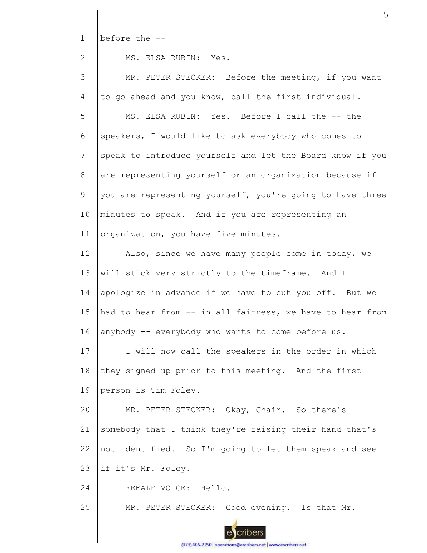1 before the --

2

MS. ELSA RUBIN: Yes.

3 4 5 6 7 8 9 10 11 12 13 14 15 16 17 18 19 20 21 22 23 24 25 MR. PETER STECKER: Before the meeting, if you want to go ahead and you know, call the first individual. MS. ELSA RUBIN: Yes. Before I call the -- the speakers, I would like to ask everybody who comes to speak to introduce yourself and let the Board know if you are representing yourself or an organization because if you are representing yourself, you're going to have three minutes to speak. And if you are representing an organization, you have five minutes. Also, since we have many people come in today, we will stick very strictly to the timeframe. And I apologize in advance if we have to cut you off. But we had to hear from -- in all fairness, we have to hear from anybody -- everybody who wants to come before us. I will now call the speakers in the order in which they signed up prior to this meeting. And the first person is Tim Foley. MR. PETER STECKER: Okay, Chair. So there's somebody that I think they're raising their hand that's not identified. So I'm going to let them speak and see if it's Mr. Foley. FEMALE VOICE: Hello. MR. PETER STECKER: Good evening. Is that Mr.



(973) 406-2250 | operations@escribers.net | www.escribers.net

5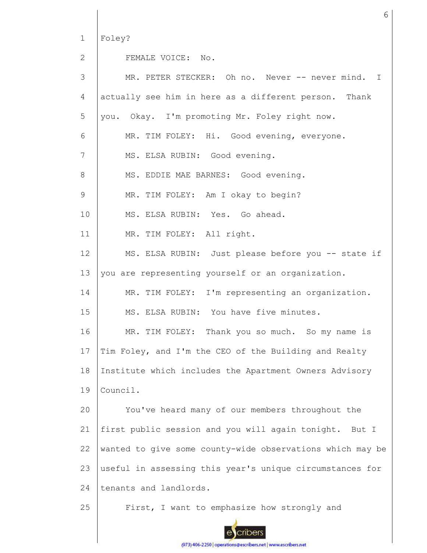1 Foley?

2

FEMALE VOICE: No.

| 3  | MR. PETER STECKER: Oh no. Never -- never mind. I          |
|----|-----------------------------------------------------------|
| 4  | actually see him in here as a different person.<br>Thank  |
| 5  | you. Okay. I'm promoting Mr. Foley right now.             |
| 6  | MR. TIM FOLEY: Hi. Good evening, everyone.                |
| 7  | MS. ELSA RUBIN: Good evening.                             |
| 8  | MS. EDDIE MAE BARNES: Good evening.                       |
| 9  | MR. TIM FOLEY: Am I okay to begin?                        |
| 10 | MS. ELSA RUBIN: Yes. Go ahead.                            |
| 11 | MR. TIM FOLEY: All right.                                 |
| 12 | MS. ELSA RUBIN: Just please before you -- state if        |
| 13 | you are representing yourself or an organization.         |
| 14 | MR. TIM FOLEY: I'm representing an organization.          |
| 15 | MS. ELSA RUBIN: You have five minutes.                    |
| 16 | MR. TIM FOLEY: Thank you so much. So my name is           |
| 17 | Tim Foley, and I'm the CEO of the Building and Realty     |
| 18 | Institute which includes the Apartment Owners Advisory    |
| 19 | Council.                                                  |
| 20 | You've heard many of our members throughout the           |
| 21 | first public session and you will again tonight.<br>But I |
| 22 | wanted to give some county-wide observations which may be |
| 23 | useful in assessing this year's unique circumstances for  |
| 24 | tenants and landlords.                                    |
| 25 | First, I want to emphasize how strongly and               |

6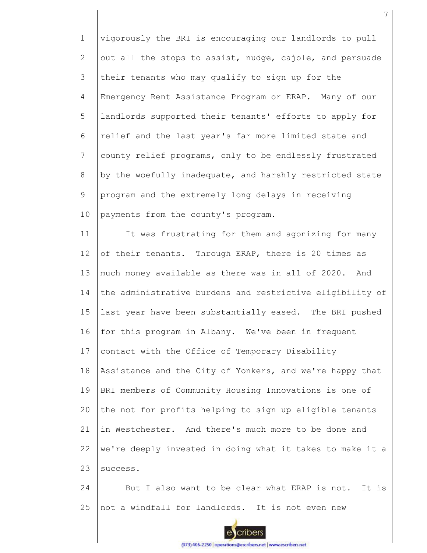1 2 3 4 5 6 7 8 9 10 vigorously the BRI is encouraging our landlords to pull out all the stops to assist, nudge, cajole, and persuade their tenants who may qualify to sign up for the Emergency Rent Assistance Program or ERAP. Many of our landlords supported their tenants' efforts to apply for relief and the last year's far more limited state and county relief programs, only to be endlessly frustrated by the woefully inadequate, and harshly restricted state program and the extremely long delays in receiving payments from the county's program.

11 12 13 14 15 16 17 18 19 20 21 22 23 It was frustrating for them and agonizing for many of their tenants. Through ERAP, there is 20 times as much money available as there was in all of 2020. And the administrative burdens and restrictive eligibility of last year have been substantially eased. The BRI pushed for this program in Albany. We've been in frequent contact with the Office of Temporary Disability Assistance and the City of Yonkers, and we're happy that BRI members of Community Housing Innovations is one of the not for profits helping to sign up eligible tenants in Westchester. And there's much more to be done and we're deeply invested in doing what it takes to make it a success.

24 25 But I also want to be clear what ERAP is not. It is not a windfall for landlords. It is not even new

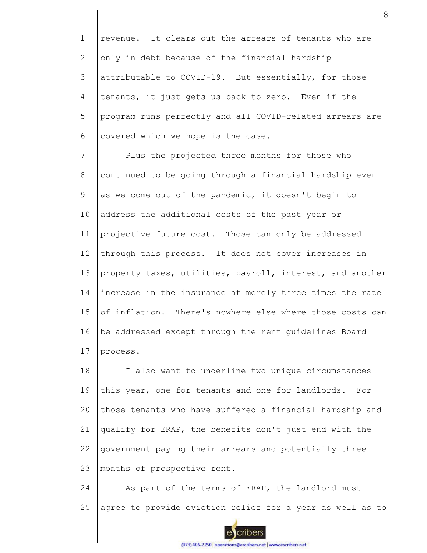1 2 3 4 5 6 revenue. It clears out the arrears of tenants who are only in debt because of the financial hardship attributable to COVID-19. But essentially, for those tenants, it just gets us back to zero. Even if the program runs perfectly and all COVID-related arrears are covered which we hope is the case.

7 8 9 10 11 12 13 14 15 16 17 Plus the projected three months for those who continued to be going through a financial hardship even as we come out of the pandemic, it doesn't begin to address the additional costs of the past year or projective future cost. Those can only be addressed through this process. It does not cover increases in property taxes, utilities, payroll, interest, and another increase in the insurance at merely three times the rate of inflation. There's nowhere else where those costs can be addressed except through the rent guidelines Board process.

18 19 20 21 22 23 I also want to underline two unique circumstances this year, one for tenants and one for landlords. For those tenants who have suffered a financial hardship and qualify for ERAP, the benefits don't just end with the government paying their arrears and potentially three months of prospective rent.

24 25 As part of the terms of ERAP, the landlord must agree to provide eviction relief for a year as well as to

8

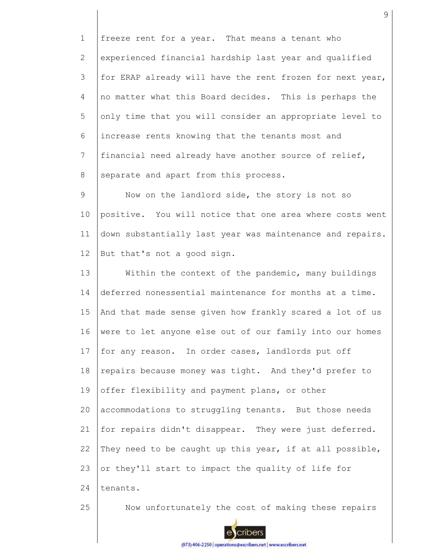1 2 3 4 5 6 7 8 freeze rent for a year. That means a tenant who experienced financial hardship last year and qualified for ERAP already will have the rent frozen for next year, no matter what this Board decides. This is perhaps the only time that you will consider an appropriate level to increase rents knowing that the tenants most and financial need already have another source of relief, separate and apart from this process.

9 10 11 12 Now on the landlord side, the story is not so positive. You will notice that one area where costs went down substantially last year was maintenance and repairs. But that's not a good sign.

13 14 15 16 17 18 19 20 21 22 23 24 Within the context of the pandemic, many buildings deferred nonessential maintenance for months at a time. And that made sense given how frankly scared a lot of us were to let anyone else out of our family into our homes for any reason. In order cases, landlords put off repairs because money was tight. And they'd prefer to offer flexibility and payment plans, or other accommodations to struggling tenants. But those needs for repairs didn't disappear. They were just deferred. They need to be caught up this year, if at all possible, or they'll start to impact the quality of life for tenants.

25

Now unfortunately the cost of making these repairs



(973) 406-2250 | operations@escribers.net | www.escribers.net

9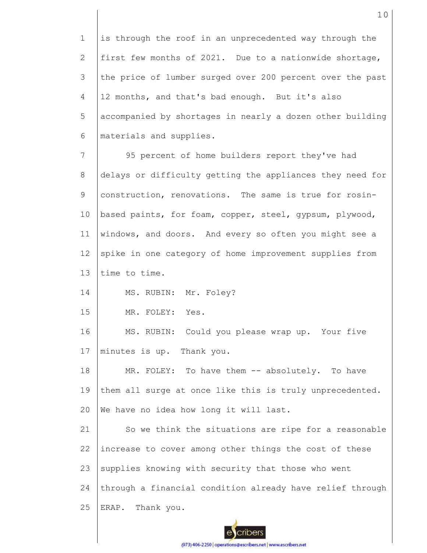1 2 3 4 5 6 7 8 9 10 11 12 13 14 15 16 17 18 19 20 21 22 23 24 25 is through the roof in an unprecedented way through the first few months of 2021. Due to a nationwide shortage, the price of lumber surged over 200 percent over the past 12 months, and that's bad enough. But it's also accompanied by shortages in nearly a dozen other building materials and supplies. 95 percent of home builders report they've had delays or difficulty getting the appliances they need for construction, renovations. The same is true for rosinbased paints, for foam, copper, steel, gypsum, plywood, windows, and doors. And every so often you might see a spike in one category of home improvement supplies from time to time. MS. RUBIN: Mr. Foley? MR. FOLEY: Yes. MS. RUBIN: Could you please wrap up. Your five minutes is up. Thank you. MR. FOLEY: To have them -- absolutely. To have them all surge at once like this is truly unprecedented. We have no idea how long it will last. So we think the situations are ripe for a reasonable increase to cover among other things the cost of these supplies knowing with security that those who went through a financial condition already have relief through ERAP. Thank you.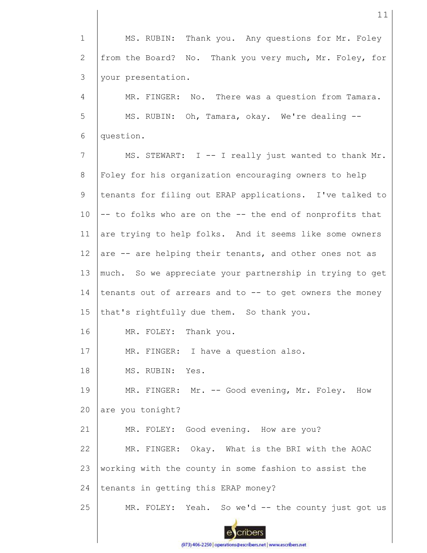1 2 3 MS. RUBIN: Thank you. Any questions for Mr. Foley from the Board? No. Thank you very much, Mr. Foley, for your presentation.

4 5 6 MR. FINGER: No. There was a question from Tamara. MS. RUBIN: Oh, Tamara, okay. We're dealing - question.

7 8 9 10 11 12 13 14 15 16 17 MS. STEWART: I -- I really just wanted to thank Mr. Foley for his organization encouraging owners to help tenants for filing out ERAP applications. I've talked to -- to folks who are on the -- the end of nonprofits that are trying to help folks. And it seems like some owners are -- are helping their tenants, and other ones not as much. So we appreciate your partnership in trying to get tenants out of arrears and to -- to get owners the money that's rightfully due them. So thank you. MR. FOLEY: Thank you. MR. FINGER: I have a question also.

18 MS. RUBIN: Yes.

19 20 MR. FINGER: Mr. -- Good evening, Mr. Foley. How are you tonight?

21 22 23 24 MR. FOLEY: Good evening. How are you? MR. FINGER: Okay. What is the BRI with the AOAC working with the county in some fashion to assist the tenants in getting this ERAP money?

25 MR. FOLEY: Yeah. So we'd -- the county just got us

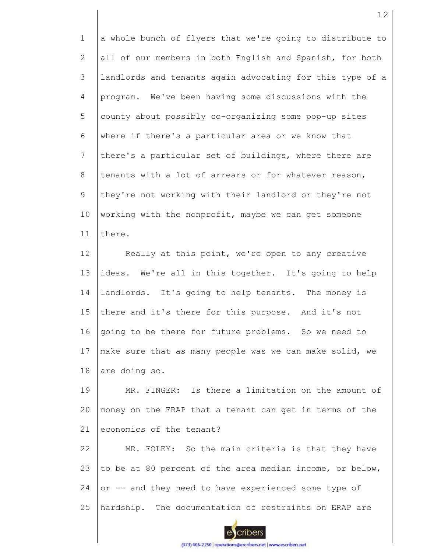1 2 3 4 5 6 7 8 9 10 11 a whole bunch of flyers that we're going to distribute to all of our members in both English and Spanish, for both landlords and tenants again advocating for this type of a program. We've been having some discussions with the county about possibly co-organizing some pop-up sites where if there's a particular area or we know that there's a particular set of buildings, where there are tenants with a lot of arrears or for whatever reason, they're not working with their landlord or they're not working with the nonprofit, maybe we can get someone there.

12 13 14 15 16 17 18 Really at this point, we're open to any creative ideas. We're all in this together. It's going to help landlords. It's going to help tenants. The money is there and it's there for this purpose. And it's not going to be there for future problems. So we need to make sure that as many people was we can make solid, we are doing so.

19 20 21 MR. FINGER: Is there a limitation on the amount of money on the ERAP that a tenant can get in terms of the economics of the tenant?

22 23 24 25 MR. FOLEY: So the main criteria is that they have to be at 80 percent of the area median income, or below, or -- and they need to have experienced some type of hardship. The documentation of restraints on ERAP are

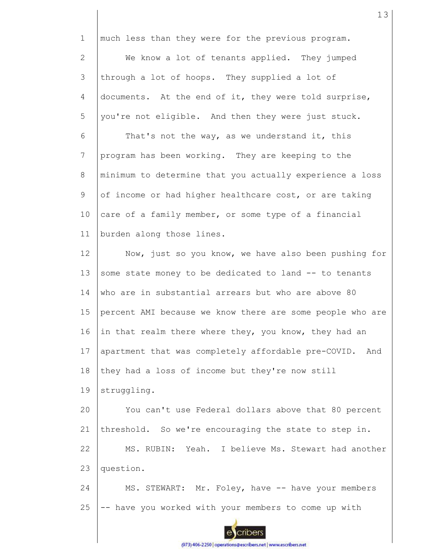1 2 3 4 5 6 7 8 9 10 11 12 13 14 15 16 17 18 19 20 21 22 23 24 much less than they were for the previous program. We know a lot of tenants applied. They jumped through a lot of hoops. They supplied a lot of documents. At the end of it, they were told surprise, you're not eligible. And then they were just stuck. That's not the way, as we understand it, this program has been working. They are keeping to the minimum to determine that you actually experience a loss of income or had higher healthcare cost, or are taking care of a family member, or some type of a financial burden along those lines. Now, just so you know, we have also been pushing for some state money to be dedicated to land -- to tenants who are in substantial arrears but who are above 80 percent AMI because we know there are some people who are in that realm there where they, you know, they had an apartment that was completely affordable pre-COVID. And they had a loss of income but they're now still struggling. You can't use Federal dollars above that 80 percent threshold. So we're encouraging the state to step in. MS. RUBIN: Yeah. I believe Ms. Stewart had another question. MS. STEWART: Mr. Foley, have -- have your members

13

(973) 406-2250 | operations@escribers.net | www.escribers.net

cribers

-- have you worked with your members to come up with

25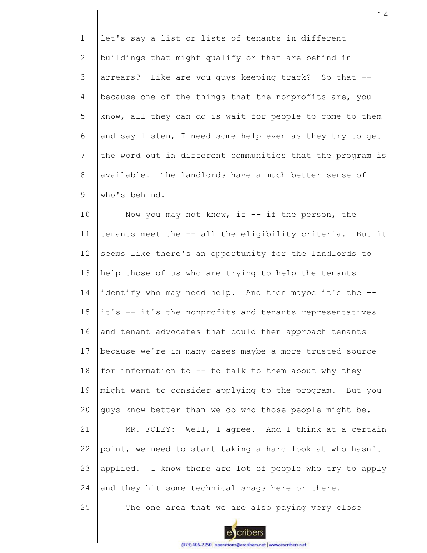1 2 3 4 5 6 7 8 9 let's say a list or lists of tenants in different buildings that might qualify or that are behind in arrears? Like are you guys keeping track? So that - because one of the things that the nonprofits are, you know, all they can do is wait for people to come to them and say listen, I need some help even as they try to get the word out in different communities that the program is available. The landlords have a much better sense of who's behind.

10 11 12 13 14 15 16 17 18 19 20 21 22 23 24 25 Now you may not know, if  $--$  if the person, the tenants meet the -- all the eligibility criteria. But it seems like there's an opportunity for the landlords to help those of us who are trying to help the tenants identify who may need help. And then maybe it's the - it's -- it's the nonprofits and tenants representatives and tenant advocates that could then approach tenants because we're in many cases maybe a more trusted source for information to -- to talk to them about why they might want to consider applying to the program. But you guys know better than we do who those people might be. MR. FOLEY: Well, I agree. And I think at a certain point, we need to start taking a hard look at who hasn't applied. I know there are lot of people who try to apply and they hit some technical snags here or there. The one area that we are also paying very close

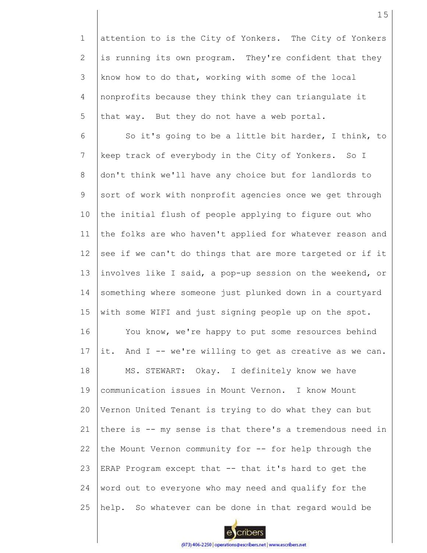1 2 3 4 5 attention to is the City of Yonkers. The City of Yonkers is running its own program. They're confident that they know how to do that, working with some of the local nonprofits because they think they can triangulate it that way. But they do not have a web portal.

6 7 8 9 10 11 12 13 14 15 16 17 18 19 20 21 22 23 24 25 So it's going to be a little bit harder, I think, to keep track of everybody in the City of Yonkers. So I don't think we'll have any choice but for landlords to sort of work with nonprofit agencies once we get through the initial flush of people applying to figure out who the folks are who haven't applied for whatever reason and see if we can't do things that are more targeted or if it involves like I said, a pop-up session on the weekend, or something where someone just plunked down in a courtyard with some WIFI and just signing people up on the spot. You know, we're happy to put some resources behind it. And I -- we're willing to get as creative as we can. MS. STEWART: Okay. I definitely know we have communication issues in Mount Vernon. I know Mount Vernon United Tenant is trying to do what they can but there is -- my sense is that there's a tremendous need in the Mount Vernon community for -- for help through the ERAP Program except that -- that it's hard to get the word out to everyone who may need and qualify for the help. So whatever can be done in that regard would be

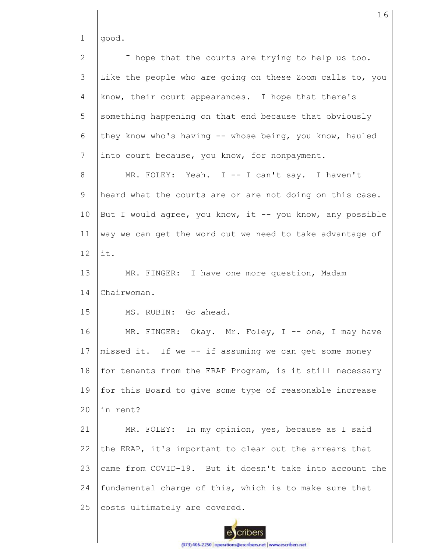1 good.

2 3 4 5 6 7 8 9 10 11 12 13 14 15 16 17 18 19  $20$ 21 22 23 24 25 I hope that the courts are trying to help us too. Like the people who are going on these Zoom calls to, you know, their court appearances. I hope that there's something happening on that end because that obviously they know who's having -- whose being, you know, hauled into court because, you know, for nonpayment. MR. FOLEY: Yeah. I -- I can't say. I haven't heard what the courts are or are not doing on this case. But I would agree, you know, it -- you know, any possible way we can get the word out we need to take advantage of it. MR. FINGER: I have one more question, Madam Chairwoman. MS. RUBIN: Go ahead. MR. FINGER: Okay. Mr. Foley, I -- one, I may have missed it. If we -- if assuming we can get some money for tenants from the ERAP Program, is it still necessary for this Board to give some type of reasonable increase in rent? MR. FOLEY: In my opinion, yes, because as I said the ERAP, it's important to clear out the arrears that came from COVID-19. But it doesn't take into account the fundamental charge of this, which is to make sure that costs ultimately are covered.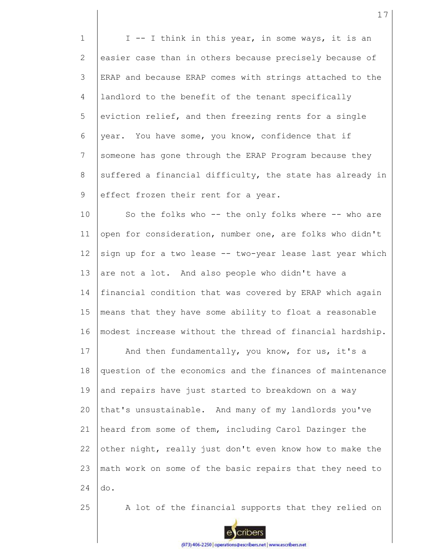1 2 3 4 5 6 7 8 9 10 11 12 13 14 15 16 17 18 19 20 21 22 23 24 25 I -- I think in this year, in some ways, it is an easier case than in others because precisely because of ERAP and because ERAP comes with strings attached to the landlord to the benefit of the tenant specifically eviction relief, and then freezing rents for a single year. You have some, you know, confidence that if someone has gone through the ERAP Program because they suffered a financial difficulty, the state has already in effect frozen their rent for a year. So the folks who -- the only folks where -- who are open for consideration, number one, are folks who didn't sign up for a two lease -- two-year lease last year which are not a lot. And also people who didn't have a financial condition that was covered by ERAP which again means that they have some ability to float a reasonable modest increase without the thread of financial hardship. And then fundamentally, you know, for us, it's a question of the economics and the finances of maintenance and repairs have just started to breakdown on a way that's unsustainable. And many of my landlords you've heard from some of them, including Carol Dazinger the other night, really just don't even know how to make the math work on some of the basic repairs that they need to do. A lot of the financial supports that they relied on

17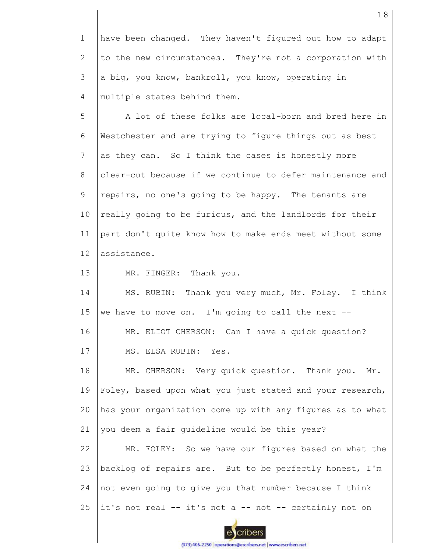1 2 3 4 have been changed. They haven't figured out how to adapt to the new circumstances. They're not a corporation with a big, you know, bankroll, you know, operating in multiple states behind them.

5 6 7 8 9 10 11 12 A lot of these folks are local-born and bred here in Westchester and are trying to figure things out as best as they can. So I think the cases is honestly more clear-cut because if we continue to defer maintenance and repairs, no one's going to be happy. The tenants are really going to be furious, and the landlords for their part don't quite know how to make ends meet without some assistance.

13 MR. FINGER: Thank you.

14 15 MS. RUBIN: Thank you very much, Mr. Foley. I think we have to move on. I'm going to call the next --

16 MR. ELIOT CHERSON: Can I have a quick question?

17 MS. ELSA RUBIN: Yes.

18 19 20 21 MR. CHERSON: Very quick question. Thank you. Mr. Foley, based upon what you just stated and your research, has your organization come up with any figures as to what you deem a fair guideline would be this year?

22 23 24 25 MR. FOLEY: So we have our figures based on what the backlog of repairs are. But to be perfectly honest, I'm not even going to give you that number because I think it's not real -- it's not a -- not -- certainly not on



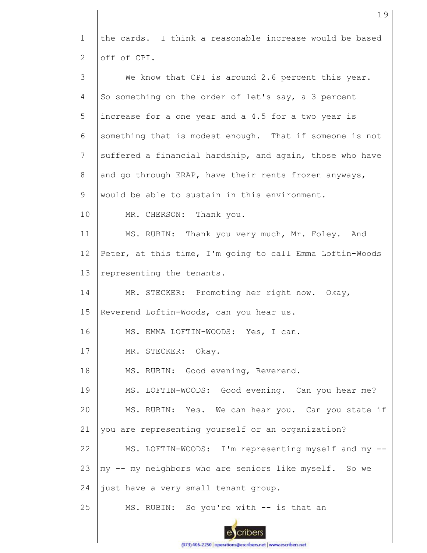1 2 the cards. I think a reasonable increase would be based off of CPI.

| 3  | We know that CPI is around 2.6 percent this year.        |
|----|----------------------------------------------------------|
| 4  | So something on the order of let's say, a 3 percent      |
| 5  | increase for a one year and a 4.5 for a two year is      |
| 6  | something that is modest enough. That if someone is not  |
| 7  | suffered a financial hardship, and again, those who have |
| 8  | and go through ERAP, have their rents frozen anyways,    |
| 9  | would be able to sustain in this environment.            |
| 10 | MR. CHERSON: Thank you.                                  |
| 11 | MS. RUBIN: Thank you very much, Mr. Foley. And           |
| 12 | Peter, at this time, I'm going to call Emma Loftin-Woods |
| 13 | representing the tenants.                                |
| 14 | MR. STECKER: Promoting her right now. Okay,              |
| 15 | Reverend Loftin-Woods, can you hear us.                  |
| 16 | MS. EMMA LOFTIN-WOODS: Yes, I can.                       |
| 17 | MR. STECKER: Okay.                                       |
| 18 | MS. RUBIN: Good evening, Reverend.                       |
| 19 | MS. LOFTIN-WOODS: Good evening. Can you hear me?         |
| 20 | MS. RUBIN: Yes. We can hear you. Can you state if        |
| 21 | you are representing yourself or an organization?        |
| 22 | MS. LOFTIN-WOODS: I'm representing myself and my --      |
| 23 | my -- my neighbors who are seniors like myself. So we    |
| 24 | just have a very small tenant group.                     |
| 25 | MS. RUBIN: So you're with -- is that an                  |
|    |                                                          |

(973) 406-2250 | operations@escribers.net | www.escribers.net

 $\epsilon$ 

cribers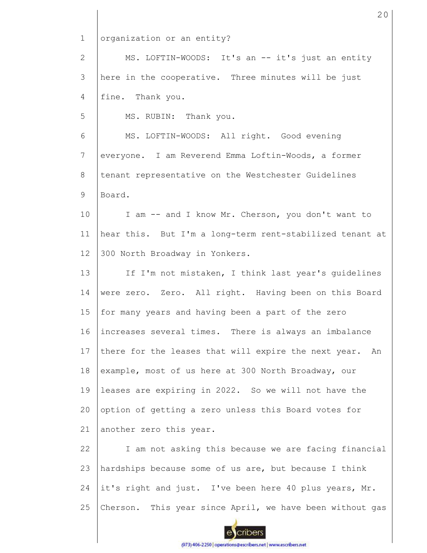1 2 3 4 5 6 7 8 9 10 11 12 13 14 15 16 17 18 19 20 21 22 23 24 25 organization or an entity? MS. LOFTIN-WOODS: It's an -- it's just an entity here in the cooperative. Three minutes will be just fine. Thank you. MS. RUBIN: Thank you. MS. LOFTIN-WOODS: All right. Good evening everyone. I am Reverend Emma Loftin-Woods, a former tenant representative on the Westchester Guidelines Board. I am -- and I know Mr. Cherson, you don't want to hear this. But I'm a long-term rent-stabilized tenant at 300 North Broadway in Yonkers. If I'm not mistaken, I think last year's guidelines were zero. Zero. All right. Having been on this Board for many years and having been a part of the zero increases several times. There is always an imbalance there for the leases that will expire the next year. An example, most of us here at 300 North Broadway, our leases are expiring in 2022. So we will not have the option of getting a zero unless this Board votes for another zero this year. I am not asking this because we are facing financial hardships because some of us are, but because I think it's right and just. I've been here 40 plus years, Mr. Cherson. This year since April, we have been without gas

20

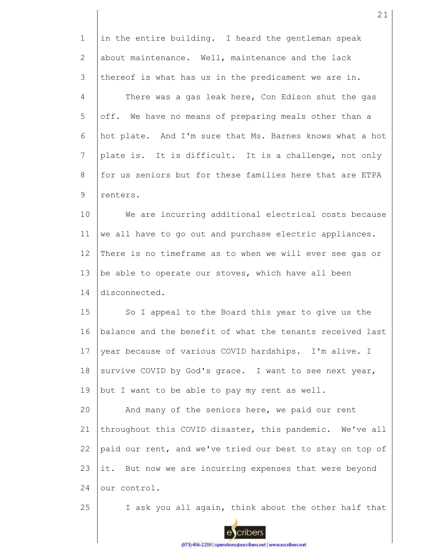| $\mathbf{1}$   | in the entire building. I heard the gentleman speak       |
|----------------|-----------------------------------------------------------|
| 2              | about maintenance. Well, maintenance and the lack         |
| 3              | thereof is what has us in the predicament we are in.      |
| $\overline{4}$ | There was a gas leak here, Con Edison shut the gas        |
| 5              | off. We have no means of preparing meals other than a     |
| 6              | hot plate. And I'm sure that Ms. Barnes knows what a hot  |
| 7              | plate is. It is difficult. It is a challenge, not only    |
| 8              | for us seniors but for these families here that are ETPA  |
| 9              | renters.                                                  |
| 10             | We are incurring additional electrical costs because      |
| 11             | we all have to go out and purchase electric appliances.   |
| 12             | There is no timeframe as to when we will ever see gas or  |
| 13             | be able to operate our stoves, which have all been        |
| 14             | disconnected.                                             |
| 15             | So I appeal to the Board this year to give us the         |
| 16             | balance and the benefit of what the tenants received last |
| 17             | year because of various COVID hardships. I'm alive. I     |
| 18             | survive COVID by God's grace. I want to see next year,    |
| 19             | but I want to be able to pay my rent as well.             |
| 20             | And many of the seniors here, we paid our rent            |
| 21             | throughout this COVID disaster, this pandemic. We've all  |
| 22             | paid our rent, and we've tried our best to stay on top of |
| 23             | it. But now we are incurring expenses that were beyond    |
| 24             | our control.                                              |
| 25             | I ask you all again, think about the other half that      |

21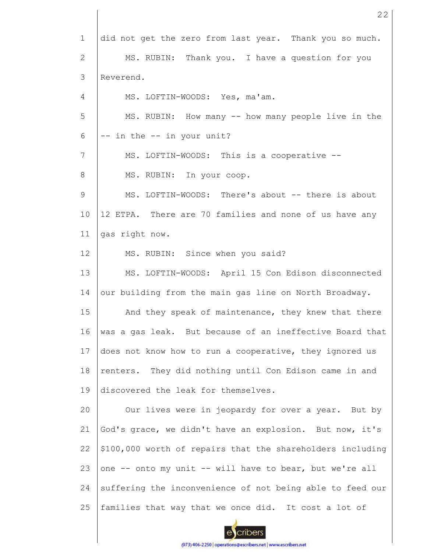1 2 3 4 5 6 7 8 9 10 11 12 13 14 15 16 17 18 19 20 21 22 23 24 25 did not get the zero from last year. Thank you so much. MS. RUBIN: Thank you. I have a question for you Reverend. MS. LOFTIN-WOODS: Yes, ma'am. MS. RUBIN: How many -- how many people live in the -- in the -- in your unit? MS. LOFTIN-WOODS: This is a cooperative -- MS. RUBIN: In your coop. MS. LOFTIN-WOODS: There's about -- there is about 12 ETPA. There are 70 families and none of us have any gas right now. MS. RUBIN: Since when you said? MS. LOFTIN-WOODS: April 15 Con Edison disconnected our building from the main gas line on North Broadway. And they speak of maintenance, they knew that there was a gas leak. But because of an ineffective Board that does not know how to run a cooperative, they ignored us renters. They did nothing until Con Edison came in and discovered the leak for themselves. Our lives were in jeopardy for over a year. But by God's grace, we didn't have an explosion. But now, it's \$100,000 worth of repairs that the shareholders including one -- onto my unit -- will have to bear, but we're all suffering the inconvenience of not being able to feed our families that way that we once did. It cost a lot of

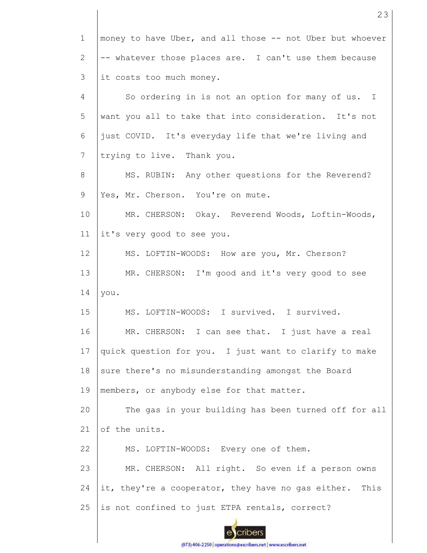| $\mathbf{1}$ | money to have Uber, and all those -- not Uber but whoever |
|--------------|-----------------------------------------------------------|
| 2            | -- whatever those places are. I can't use them because    |
| 3            | it costs too much money.                                  |
| 4            | So ordering in is not an option for many of us. I         |
| 5            | want you all to take that into consideration. It's not    |
| 6            | just COVID. It's everyday life that we're living and      |
| 7            | trying to live. Thank you.                                |
| 8            | MS. RUBIN: Any other questions for the Reverend?          |
| 9            | Yes, Mr. Cherson. You're on mute.                         |
| 10           | MR. CHERSON: Okay. Reverend Woods, Loftin-Woods,          |
| 11           | it's very good to see you.                                |
| 12           | MS. LOFTIN-WOODS: How are you, Mr. Cherson?               |
| 13           | MR. CHERSON: I'm good and it's very good to see           |
| 14           | you.                                                      |
| 15           | MS. LOFTIN-WOODS: I survived. I survived.                 |
| 16           | MR. CHERSON: I can see that. I just have a real           |
| 17           | quick question for you. I just want to clarify to make    |
| 18           | sure there's no misunderstanding amongst the Board        |
| 19           | members, or anybody else for that matter.                 |
| 20           | The gas in your building has been turned off for all      |
| 21           | of the units.                                             |
| 22           | MS. LOFTIN-WOODS: Every one of them.                      |
| 23           | MR. CHERSON: All right. So even if a person owns          |
| 24           | it, they're a cooperator, they have no gas either. This   |
| 25           | is not confined to just ETPA rentals, correct?            |
|              |                                                           |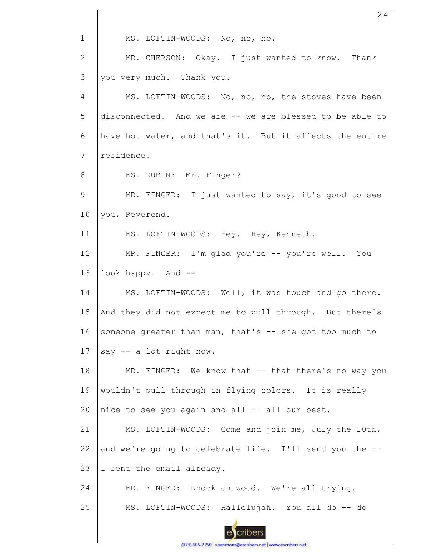1 MS. LOFTIN-WOODS: No, no, no. 2 MR. CHERSON: Okay. I just wanted to know. Thank 3 you very much. Thank you. 4 MS. LOFTIN-WOODS: No, no, no, the stoves have been 5 disconnected. And we are -- we are blessed to be able to 6 have hot water, and that's it. But it affects the entire 7 residence. 8 MS. RUBIN: Mr. Finger? 9 MR. FINGER: I just wanted to say, it's good to see 10 you, Reverend. 11 MS. LOFTIN-WOODS: Hey. Hey, Kenneth. 12 MR. FINGER: I'm glad you're -- you're well. You 13 look happy. And -- MS. LOFTIN-WOODS: Well, it was touch and go there. 14 15 And they did not expect me to pull through. But there's 16 someone greater than man, that's -- she got too much to 17 say -- a lot right now. 18 MR. FINGER: We know that -- that there's no way you 19 wouldn't pull through in flying colors. It is really 20 nice to see you again and all -- all our best. 21 MS. LOFTIN-WOODS: Come and join me, July the 10th, and we're going to celebrate life. I'll send you the --22 23 I sent the email already. 24 MR. FINGER: Knock on wood. We're all trying. 25 MS. LOFTIN-WOODS: Hallelujah. You all do -- do cribers

24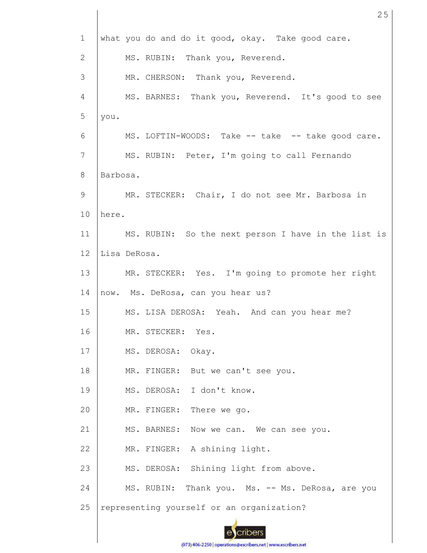| $\mathbf{1}$   |          | what you do and do it good, okay. Take good care.   |
|----------------|----------|-----------------------------------------------------|
| 2              |          | MS. RUBIN: Thank you, Reverend.                     |
| 3              |          | MR. CHERSON: Thank you, Reverend.                   |
| 4              |          | MS. BARNES: Thank you, Reverend. It's good to see   |
| 5              | you.     |                                                     |
| 6              |          | MS. LOFTIN-WOODS: Take -- take -- take good care.   |
| $\overline{7}$ |          | MS. RUBIN: Peter, I'm going to call Fernando        |
| 8              | Barbosa. |                                                     |
| 9              |          | MR. STECKER: Chair, I do not see Mr. Barbosa in     |
| 10             | here.    |                                                     |
| 11             |          | MS. RUBIN: So the next person I have in the list is |
| 12             |          | Lisa DeRosa.                                        |
| 13             |          | MR. STECKER: Yes. I'm going to promote her right    |
| 14             |          | now. Ms. DeRosa, can you hear us?                   |
| 15             |          | MS. LISA DEROSA: Yeah. And can you hear me?         |
| 16             |          | MR. STECKER: Yes.                                   |
| 17             |          | MS. DEROSA: Okay.                                   |
| 18             |          | MR. FINGER: But we can't see you.                   |
| 19             |          | MS. DEROSA: I don't know.                           |
| 20             |          | MR. FINGER: There we go.                            |
| 21             |          | MS. BARNES:<br>Now we can. We can see you.          |
| 22             |          | MR. FINGER: A shining light.                        |
| 23             |          | MS. DEROSA: Shining light from above.               |
| 24             |          | MS. RUBIN: Thank you. Ms. -- Ms. DeRosa, are you    |
| 25             |          | representing yourself or an organization?           |
|                |          |                                                     |

25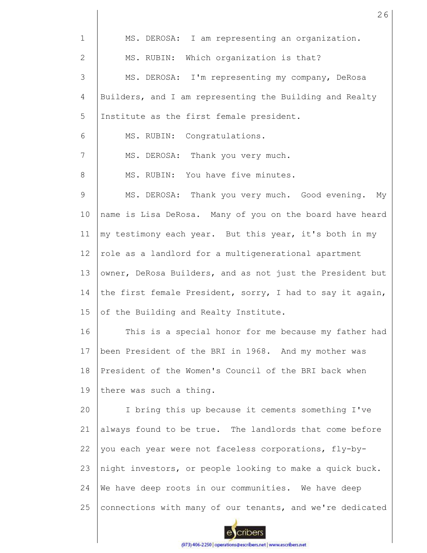| $\mathbf 1$     | MS. DEROSA: I am representing an organization.            |
|-----------------|-----------------------------------------------------------|
| $\mathbf{2}$    | MS. RUBIN: Which organization is that?                    |
| 3               | MS. DEROSA: I'm representing my company, DeRosa           |
| 4               | Builders, and I am representing the Building and Realty   |
| 5               | Institute as the first female president.                  |
| 6               | MS. RUBIN: Congratulations.                               |
| $7\phantom{.0}$ | MS. DEROSA: Thank you very much.                          |
| 8               | MS. RUBIN: You have five minutes.                         |
| 9               | MS. DEROSA: Thank you very much. Good evening. My         |
| 10              | name is Lisa DeRosa. Many of you on the board have heard  |
| 11              | my testimony each year. But this year, it's both in my    |
| 12 <sup>°</sup> | role as a landlord for a multigenerational apartment      |
| 13              | owner, DeRosa Builders, and as not just the President but |
| 14              | the first female President, sorry, I had to say it again, |
| 15              | of the Building and Realty Institute.                     |
| 16              | This is a special honor for me because my father had      |
| 17              | been President of the BRI in 1968. And my mother was      |
| 18              | President of the Women's Council of the BRI back when     |
| 19              | there was such a thing.                                   |
| 20              | I bring this up because it cements something I've         |
| 21              | always found to be true. The landlords that come before   |
| 22              | you each year were not faceless corporations, fly-by-     |
| 23              | night investors, or people looking to make a quick buck.  |
| 24              | We have deep roots in our communities. We have deep       |
| 25              | connections with many of our tenants, and we're dedicated |
|                 |                                                           |

26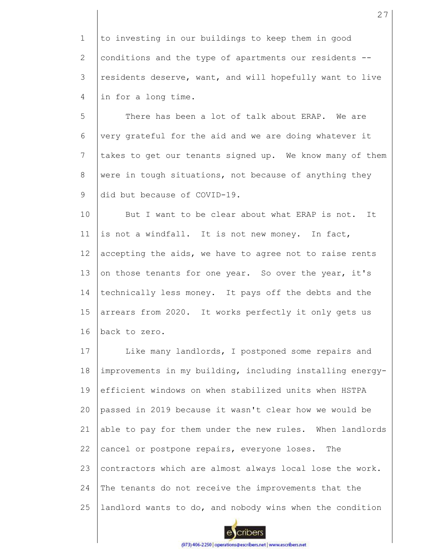1 2 3 4 to investing in our buildings to keep them in good conditions and the type of apartments our residents - residents deserve, want, and will hopefully want to live in for a long time.

5 6 7 8 9 There has been a lot of talk about ERAP. We are very grateful for the aid and we are doing whatever it takes to get our tenants signed up. We know many of them were in tough situations, not because of anything they did but because of COVID-19.

10 11 12 13 14 15 16 But I want to be clear about what ERAP is not. It is not a windfall. It is not new money. In fact, accepting the aids, we have to agree not to raise rents on those tenants for one year. So over the year, it's technically less money. It pays off the debts and the arrears from 2020. It works perfectly it only gets us back to zero.

17 18 19 20 21 22 23 24 25 Like many landlords, I postponed some repairs and improvements in my building, including installing energyefficient windows on when stabilized units when HSTPA passed in 2019 because it wasn't clear how we would be able to pay for them under the new rules. When landlords cancel or postpone repairs, everyone loses. The contractors which are almost always local lose the work. The tenants do not receive the improvements that the landlord wants to do, and nobody wins when the condition

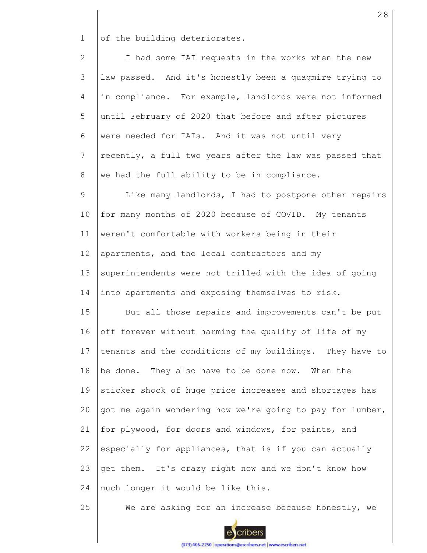1 of the building deteriorates.

2 3 4 5 6 7 8 I had some IAI requests in the works when the new law passed. And it's honestly been a quagmire trying to in compliance. For example, landlords were not informed until February of 2020 that before and after pictures were needed for IAIs. And it was not until very recently, a full two years after the law was passed that we had the full ability to be in compliance.

9 10 11 12 13 14 Like many landlords, I had to postpone other repairs for many months of 2020 because of COVID. My tenants weren't comfortable with workers being in their apartments, and the local contractors and my superintendents were not trilled with the idea of going into apartments and exposing themselves to risk.

15 16 17 18 19 20 21 22 23 24 But all those repairs and improvements can't be put off forever without harming the quality of life of my tenants and the conditions of my buildings. They have to be done. They also have to be done now. When the sticker shock of huge price increases and shortages has got me again wondering how we're going to pay for lumber, for plywood, for doors and windows, for paints, and especially for appliances, that is if you can actually get them. It's crazy right now and we don't know how much longer it would be like this.

25 We are asking for an increase because honestly, we

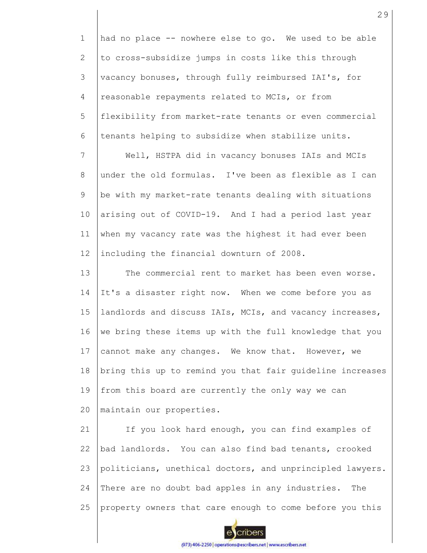1 2 3 4 5 6 had no place -- nowhere else to go. We used to be able to cross-subsidize jumps in costs like this through vacancy bonuses, through fully reimbursed IAI's, for reasonable repayments related to MCIs, or from flexibility from market-rate tenants or even commercial tenants helping to subsidize when stabilize units.

7 8 9 10 11 12 Well, HSTPA did in vacancy bonuses IAIs and MCIs under the old formulas. I've been as flexible as I can be with my market-rate tenants dealing with situations arising out of COVID-19. And I had a period last year when my vacancy rate was the highest it had ever been including the financial downturn of 2008.

13 14 15 16 17 18 19  $20$ The commercial rent to market has been even worse. It's a disaster right now. When we come before you as landlords and discuss IAIs, MCIs, and vacancy increases, we bring these items up with the full knowledge that you cannot make any changes. We know that. However, we bring this up to remind you that fair guideline increases from this board are currently the only way we can maintain our properties.

21 22 23 24 25 If you look hard enough, you can find examples of bad landlords. You can also find bad tenants, crooked politicians, unethical doctors, and unprincipled lawyers. There are no doubt bad apples in any industries. The property owners that care enough to come before you this

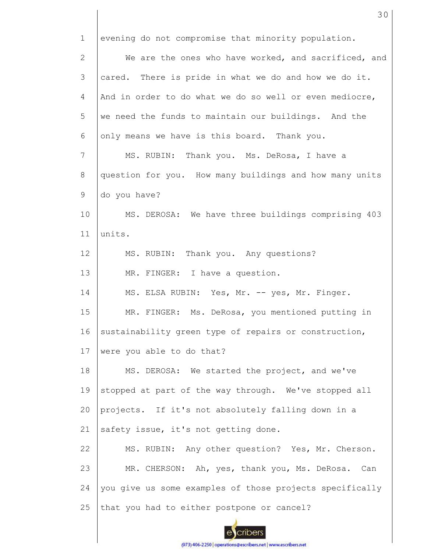1 2 3 4 5 6 7 8 9 10 11 12 13 14 15 16 17 18 19 20 21 22 23 24 25 evening do not compromise that minority population. We are the ones who have worked, and sacrificed, and cared. There is pride in what we do and how we do it. And in order to do what we do so well or even mediocre, we need the funds to maintain our buildings. And the only means we have is this board. Thank you. MS. RUBIN: Thank you. Ms. DeRosa, I have a question for you. How many buildings and how many units do you have? MS. DEROSA: We have three buildings comprising 403 units. MS. RUBIN: Thank you. Any questions? MR. FINGER: I have a question. MS. ELSA RUBIN: Yes, Mr. -- yes, Mr. Finger. MR. FINGER: Ms. DeRosa, you mentioned putting in sustainability green type of repairs or construction, were you able to do that? MS. DEROSA: We started the project, and we've stopped at part of the way through. We've stopped all projects. If it's not absolutely falling down in a safety issue, it's not getting done. MS. RUBIN: Any other question? Yes, Mr. Cherson. MR. CHERSON: Ah, yes, thank you, Ms. DeRosa. Can you give us some examples of those projects specifically that you had to either postpone or cancel?

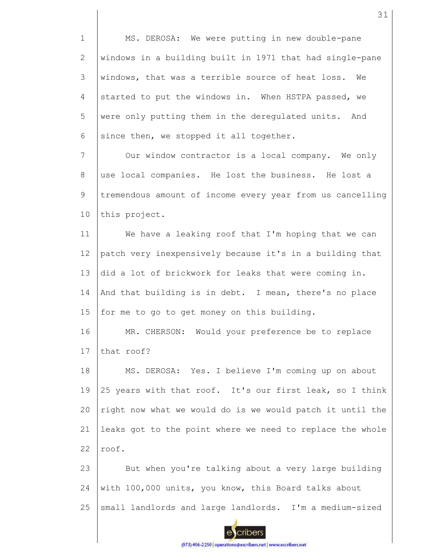1 2 3 4 5 6 MS. DEROSA: We were putting in new double-pane windows in a building built in 1971 that had single-pane windows, that was a terrible source of heat loss. We started to put the windows in. When HSTPA passed, we were only putting them in the deregulated units. And since then, we stopped it all together.

7 8 9 10 Our window contractor is a local company. We only use local companies. He lost the business. He lost a tremendous amount of income every year from us cancelling this project.

11 12 13 14 15 We have a leaking roof that I'm hoping that we can patch very inexpensively because it's in a building that did a lot of brickwork for leaks that were coming in. And that building is in debt. I mean, there's no place for me to go to get money on this building.

16 17 MR. CHERSON: Would your preference be to replace that roof?

18 19 20 21 22 MS. DEROSA: Yes. I believe I'm coming up on about 25 years with that roof. It's our first leak, so I think right now what we would do is we would patch it until the leaks got to the point where we need to replace the whole roof.

23 24 25 But when you're talking about a very large building with 100,000 units, you know, this Board talks about small landlords and large landlords. I'm a medium-sized

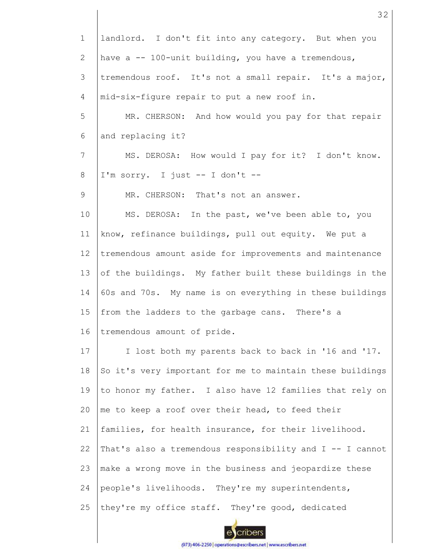| $\mathbf 1$    | landlord. I don't fit into any category. But when you       |
|----------------|-------------------------------------------------------------|
| $\mathbf{2}$   | have a -- 100-unit building, you have a tremendous,         |
| 3              | tremendous roof. It's not a small repair. It's a major,     |
| $\overline{4}$ | mid-six-figure repair to put a new roof in.                 |
| 5              | MR. CHERSON: And how would you pay for that repair          |
| 6              | and replacing it?                                           |
| 7              | MS. DEROSA: How would I pay for it? I don't know.           |
| 8              | I'm sorry. I just -- I don't --                             |
| 9              | MR. CHERSON: That's not an answer.                          |
| 10             | MS. DEROSA: In the past, we've been able to, you            |
| 11             | know, refinance buildings, pull out equity. We put a        |
| 12             | tremendous amount aside for improvements and maintenance    |
| 13             | of the buildings. My father built these buildings in the    |
| 14             | 60s and 70s. My name is on everything in these buildings    |
| 15             | from the ladders to the garbage cans. There's a             |
| 16             | tremendous amount of pride.                                 |
| 17             | I lost both my parents back to back in '16 and '17.         |
| 18             | So it's very important for me to maintain these buildings   |
| 19             | to honor my father. I also have 12 families that rely on    |
| 20             | me to keep a roof over their head, to feed their            |
| 21             | families, for health insurance, for their livelihood.       |
| 22             | That's also a tremendous responsibility and $I$ -- I cannot |
| 23             | make a wrong move in the business and jeopardize these      |
| 24             | people's livelihoods. They're my superintendents,           |
| 25             | they're my office staff. They're good, dedicated            |

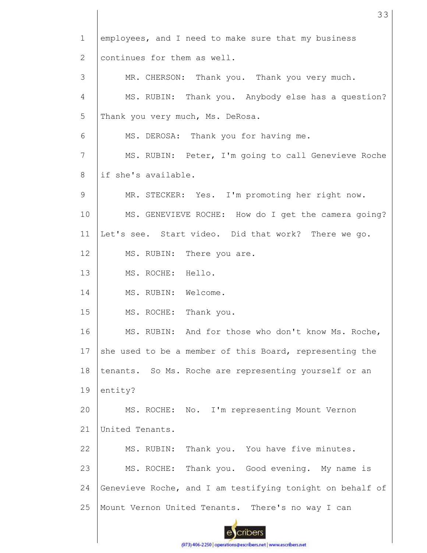1 employees, and I need to make sure that my business continues for them as well. 2 3 MR. CHERSON: Thank you. Thank you very much. 4 MS. RUBIN: Thank you. Anybody else has a question? 5 Thank you very much, Ms. DeRosa. 6 MS. DEROSA: Thank you for having me. 7 MS. RUBIN: Peter, I'm going to call Genevieve Roche if she's available. 8 9 MR. STECKER: Yes. I'm promoting her right now. 10 MS. GENEVIEVE ROCHE: How do I get the camera going? 11 Let's see. Start video. Did that work? There we go. 12 MS. RUBIN: There you are. 13 MS. ROCHE: Hello. 14 MS. RUBIN: Welcome. 15 MS. ROCHE: Thank you. 16 MS. RUBIN: And for those who don't know Ms. Roche, 17 she used to be a member of this Board, representing the 18 tenants. So Ms. Roche are representing yourself or an 19 entity? 20 MS. ROCHE: No. I'm representing Mount Vernon 21 United Tenants. 22 MS. RUBIN: Thank you. You have five minutes. 23 MS. ROCHE: Thank you. Good evening. My name is 24 Genevieve Roche, and I am testifying tonight on behalf of 25 Mount Vernon United Tenants. There's no way I can cribers

33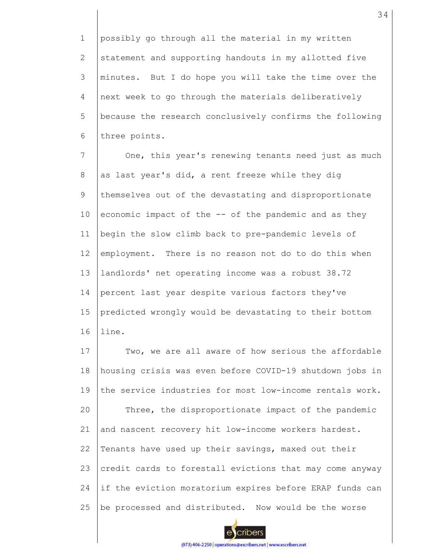1 2 3 4 5 6 possibly go through all the material in my written statement and supporting handouts in my allotted five minutes. But I do hope you will take the time over the next week to go through the materials deliberatively because the research conclusively confirms the following three points.

7 8 9 10 11 12 13 14 15 16 One, this year's renewing tenants need just as much as last year's did, a rent freeze while they dig themselves out of the devastating and disproportionate economic impact of the -- of the pandemic and as they begin the slow climb back to pre-pandemic levels of employment. There is no reason not do to do this when landlords' net operating income was a robust 38.72 percent last year despite various factors they've predicted wrongly would be devastating to their bottom line.

17 18 19 20 21 22 23 24 25 Two, we are all aware of how serious the affordable housing crisis was even before COVID-19 shutdown jobs in the service industries for most low-income rentals work. Three, the disproportionate impact of the pandemic and nascent recovery hit low-income workers hardest. Tenants have used up their savings, maxed out their credit cards to forestall evictions that may come anyway if the eviction moratorium expires before ERAP funds can be processed and distributed. Now would be the worse

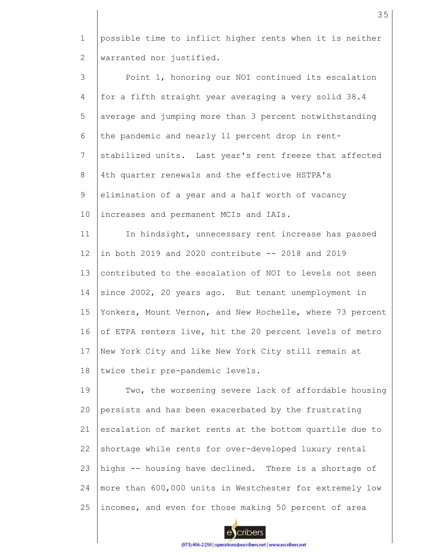1 2 possible time to inflict higher rents when it is neither warranted nor justified.

3 4 5 6 7 8 9 10 11 12 13 14 15 16 17 18 Point 1, honoring our NOI continued its escalation for a fifth straight year averaging a very solid 38.4 average and jumping more than 3 percent notwithstanding the pandemic and nearly 11 percent drop in rentstabilized units. Last year's rent freeze that affected 4th quarter renewals and the effective HSTPA's elimination of a year and a half worth of vacancy increases and permanent MCIs and IAIs. In hindsight, unnecessary rent increase has passed in both 2019 and 2020 contribute -- 2018 and 2019 contributed to the escalation of NOI to levels not seen since 2002, 20 years ago. But tenant unemployment in Yonkers, Mount Vernon, and New Rochelle, where 73 percent of ETPA renters live, hit the 20 percent levels of metro New York City and like New York City still remain at twice their pre-pandemic levels.

19 20 21 22 23 24 25 Two, the worsening severe lack of affordable housing persists and has been exacerbated by the frustrating escalation of market rents at the bottom quartile due to shortage while rents for over-developed luxury rental highs -- housing have declined. There is a shortage of more than 600,000 units in Westchester for extremely low incomes, and even for those making 50 percent of area

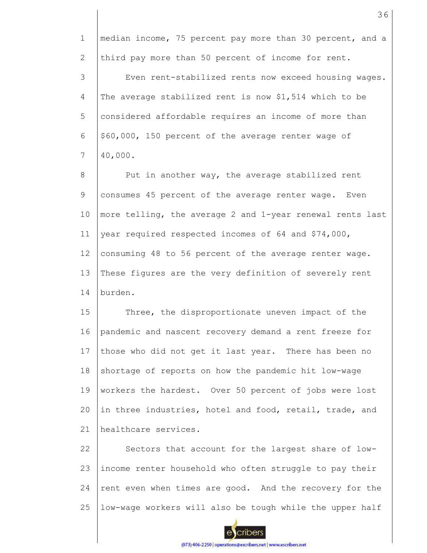1 2 3 4 5 6 7 8 9 10 11 12 13 14 15 16 17 18 19 20 21 22 23 24 25 median income, 75 percent pay more than 30 percent, and a third pay more than 50 percent of income for rent. Even rent-stabilized rents now exceed housing wages. The average stabilized rent is now \$1,514 which to be considered affordable requires an income of more than \$60,000, 150 percent of the average renter wage of 40,000. Put in another way, the average stabilized rent consumes 45 percent of the average renter wage. Even more telling, the average 2 and 1-year renewal rents last year required respected incomes of 64 and \$74,000, consuming 48 to 56 percent of the average renter wage. These figures are the very definition of severely rent burden. Three, the disproportionate uneven impact of the pandemic and nascent recovery demand a rent freeze for those who did not get it last year. There has been no shortage of reports on how the pandemic hit low-wage workers the hardest. Over 50 percent of jobs were lost in three industries, hotel and food, retail, trade, and healthcare services. Sectors that account for the largest share of lowincome renter household who often struggle to pay their rent even when times are good. And the recovery for the low-wage workers will also be tough while the upper half

cribers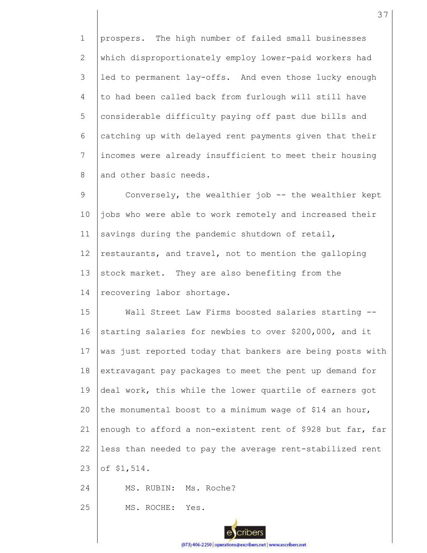1 2 3 4 5 6 7 8 prospers. The high number of failed small businesses which disproportionately employ lower-paid workers had led to permanent lay-offs. And even those lucky enough to had been called back from furlough will still have considerable difficulty paying off past due bills and catching up with delayed rent payments given that their incomes were already insufficient to meet their housing and other basic needs.

9 10 11 12 13 14 Conversely, the wealthier job -- the wealthier kept jobs who were able to work remotely and increased their savings during the pandemic shutdown of retail, restaurants, and travel, not to mention the galloping stock market. They are also benefiting from the recovering labor shortage.

15 16 17 18 19 20 21 22 23 Wall Street Law Firms boosted salaries starting -starting salaries for newbies to over \$200,000, and it was just reported today that bankers are being posts with extravagant pay packages to meet the pent up demand for deal work, this while the lower quartile of earners got the monumental boost to a minimum wage of \$14 an hour, enough to afford a non-existent rent of \$928 but far, far less than needed to pay the average rent-stabilized rent of \$1,514.

24 MS. RUBIN: Ms. Roche?

25 MS. ROCHE: Yes.

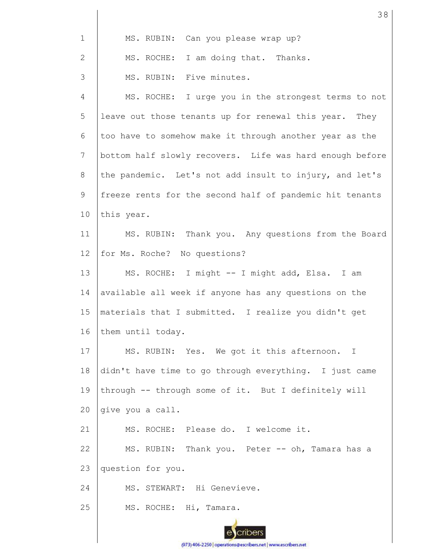| $\mathbf 1$  | MS. RUBIN: Can you please wrap up?                       |
|--------------|----------------------------------------------------------|
| $\mathbf{2}$ | MS. ROCHE: I am doing that. Thanks.                      |
| 3            | MS. RUBIN: Five minutes.                                 |
| 4            | MS. ROCHE: I urge you in the strongest terms to not      |
| 5            | leave out those tenants up for renewal this year. They   |
| 6            | too have to somehow make it through another year as the  |
| 7            | bottom half slowly recovers. Life was hard enough before |
| 8            | the pandemic. Let's not add insult to injury, and let's  |
| 9            | freeze rents for the second half of pandemic hit tenants |
| 10           | this year.                                               |
| 11           | MS. RUBIN: Thank you. Any questions from the Board       |
| 12           | for Ms. Roche? No questions?                             |
| 13           | MS. ROCHE: I might -- I might add, Elsa. I am            |
| 14           | available all week if anyone has any questions on the    |
| 15           | materials that I submitted. I realize you didn't get     |
| 16           | them until today.                                        |
| 17           | MS. RUBIN: Yes. We got it this afternoon. I              |
| 18           | didn't have time to go through everything. I just came   |
| 19           | through -- through some of it. But I definitely will     |
| 20           | give you a call.                                         |
| 21           | MS. ROCHE: Please do. I welcome it.                      |
| 22           | MS. RUBIN: Thank you. Peter -- oh, Tamara has a          |
| 23           | question for you.                                        |
| 24           | MS. STEWART: Hi Genevieve.                               |
| 25           | MS. ROCHE: Hi, Tamara.                                   |
|              |                                                          |

(973) 406-2250 | operations@escribers.net | www.escribers.net

38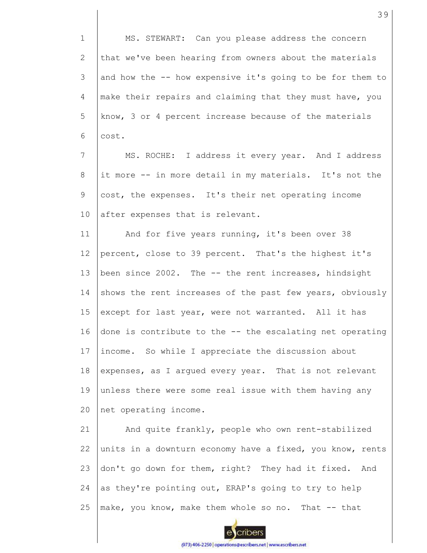1 MS. STEWART: Can you please address the concern 2 that we've been hearing from owners about the materials 3 and how the -- how expensive it's going to be for them to 4 make their repairs and claiming that they must have, you 5 know, 3 or 4 percent increase because of the materials 6 cost. 7 MS. ROCHE: I address it every year. And I address 8 it more -- in more detail in my materials. It's not the 9 cost, the expenses. It's their net operating income 10 after expenses that is relevant. 11 And for five years running, it's been over 38 12 percent, close to 39 percent. That's the highest it's 13 been since 2002. The -- the rent increases, hindsight 14 shows the rent increases of the past few years, obviously 15 except for last year, were not warranted. All it has 16 done is contribute to the -- the escalating net operating 17 income. So while I appreciate the discussion about 18 expenses, as I argued every year. That is not relevant 19 unless there were some real issue with them having any 20 net operating income. 21 And quite frankly, people who own rent-stabilized 22 units in a downturn economy have a fixed, you know, rents 23 don't go down for them, right? They had it fixed. And as they're pointing out, ERAP's going to try to help 24 25 make, you know, make them whole so no. That -- that cribers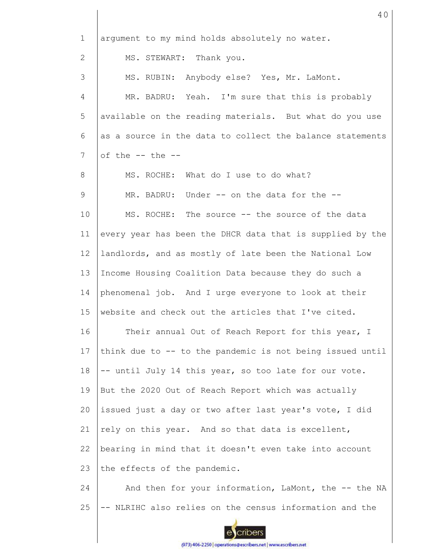| $\mathbf{1}$ | arqument to my mind holds absolutely no water.            |
|--------------|-----------------------------------------------------------|
| 2            | MS. STEWART: Thank you.                                   |
| 3            | MS. RUBIN: Anybody else? Yes, Mr. LaMont.                 |
| 4            | MR. BADRU: Yeah. I'm sure that this is probably           |
| 5            | available on the reading materials. But what do you use   |
| 6            | as a source in the data to collect the balance statements |
| 7            | of the $--$ the $--$                                      |
| 8            | MS. ROCHE: What do I use to do what?                      |
| 9            | MR. BADRU: Under -- on the data for the --                |
| 10           | MS. ROCHE: The source -- the source of the data           |
| 11           | every year has been the DHCR data that is supplied by the |
| 12           | landlords, and as mostly of late been the National Low    |
| 13           | Income Housing Coalition Data because they do such a      |
| 14           | phenomenal job. And I urge everyone to look at their      |
| 15           | website and check out the articles that I've cited.       |
| 16           | Their annual Out of Reach Report for this year, I         |
| 17           | think due to -- to the pandemic is not being issued until |
| 18           | -- until July 14 this year, so too late for our vote.     |
| 19           | But the 2020 Out of Reach Report which was actually       |
| 20           | issued just a day or two after last year's vote, I did    |
| 21           | rely on this year. And so that data is excellent,         |
| 22           | bearing in mind that it doesn't even take into account    |
| 23           | the effects of the pandemic.                              |
| 24           | And then for your information, LaMont, the -- the NA      |
| 25           | - NLRIHC also relies on the census information and the    |
|              | :ribers                                                   |

40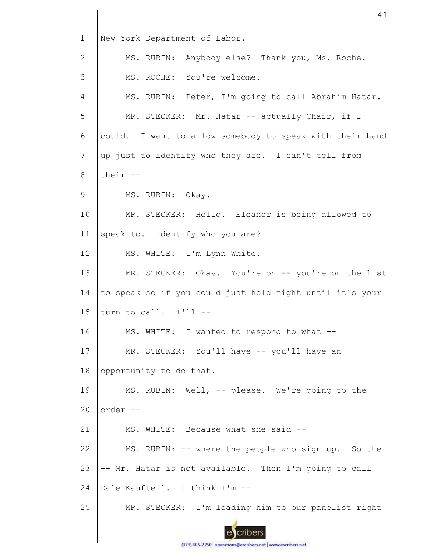1 New York Department of Labor. MS. RUBIN: Anybody else? Thank you, Ms. Roche. 2 3 MS. ROCHE: You're welcome. 4 MS. RUBIN: Peter, I'm going to call Abrahim Hatar. 5 MR. STECKER: Mr. Hatar -- actually Chair, if I 6 could. I want to allow somebody to speak with their hand 7 up just to identify who they are. I can't tell from their -- 8 9 MS. RUBIN: Okay. 10 MR. STECKER: Hello. Eleanor is being allowed to speak to. Identify who you are? 11 12 MS. WHITE: I'm Lynn White. 13 MR. STECKER: Okay. You're on -- you're on the list 14 to speak so if you could just hold tight until it's your 15 turn to call. I'll -- 16 MS. WHITE: I wanted to respond to what --17 MR. STECKER: You'll have -- you'll have an 18 opportunity to do that. 19 MS. RUBIN: Well, -- please. We're going to the  $20$ order -- 21 MS. WHITE: Because what she said -- 22 MS. RUBIN: -- where the people who sign up. So the 23 -- Mr. Hatar is not available. Then I'm going to call Dale Kaufteil. I think I'm -- 24 25 MR. STECKER: I'm loading him to our panelist right cribers

41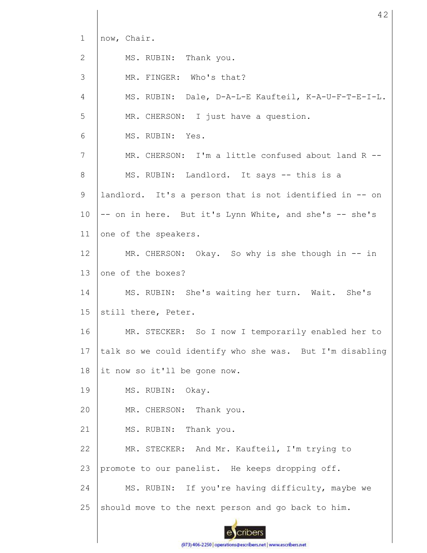| 1               | now, Chair.                                              |
|-----------------|----------------------------------------------------------|
| 2               | MS. RUBIN: Thank you.                                    |
| 3               | MR. FINGER: Who's that?                                  |
| $\overline{4}$  | MS. RUBIN: Dale, D-A-L-E Kaufteil, K-A-U-F-T-E-I-L.      |
| 5               | MR. CHERSON: I just have a question.                     |
| 6               | MS. RUBIN: Yes.                                          |
| 7               | MR. CHERSON: I'm a little confused about land R --       |
| 8               | MS. RUBIN: Landlord. It says -- this is a                |
| 9               | landlord. It's a person that is not identified in -- on  |
| 10              | -- on in here. But it's Lynn White, and she's -- she's   |
| 11              | one of the speakers.                                     |
| 12 <sup>°</sup> | MR. CHERSON: Okay. So why is she though in -- in         |
| 13              | one of the boxes?                                        |
| 14              | MS. RUBIN: She's waiting her turn. Wait. She's           |
| 15              | still there, Peter.                                      |
| 16              | MR. STECKER: So I now I temporarily enabled her to       |
| 17              | talk so we could identify who she was. But I'm disabling |
| 18              | it now so it'll be gone now.                             |
| 19              | MS. RUBIN: Okay.                                         |
| 20              | MR. CHERSON: Thank you.                                  |
| 21              | MS. RUBIN: Thank you.                                    |
| 22              | MR. STECKER: And Mr. Kaufteil, I'm trying to             |
| 23              | promote to our panelist. He keeps dropping off.          |
| 24              | MS. RUBIN: If you're having difficulty, maybe we         |
| 25              | should move to the next person and go back to him.       |
|                 |                                                          |

42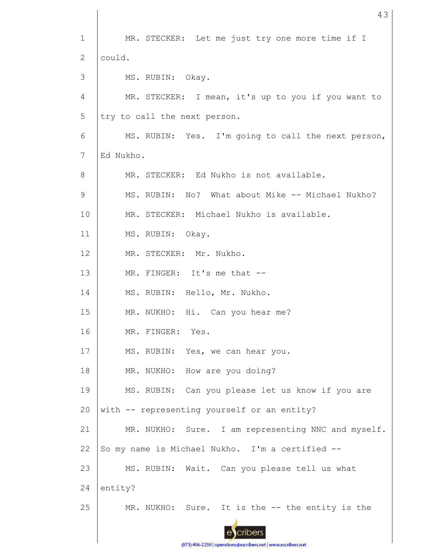1 MR. STECKER: Let me just try one more time if I could. 2 3 MS. RUBIN: Okay. 4 MR. STECKER: I mean, it's up to you if you want to 5 try to call the next person. 6 MS. RUBIN: Yes. I'm going to call the next person, Ed Nukho. 7 MR. STECKER: Ed Nukho is not available. 8 9 MS. RUBIN: No? What about Mike -- Michael Nukho? 10 MR. STECKER: Michael Nukho is available. 11 MS. RUBIN: Okay. 12 MR. STECKER: Mr. Nukho. 13 MR. FINGER: It's me that -- 14 MS. RUBIN: Hello, Mr. Nukho. 15 MR. NUKHO: Hi. Can you hear me? 16 MR. FINGER: Yes. 17 MS. RUBIN: Yes, we can hear you. 18 MR. NUKHO: How are you doing? 19 MS. RUBIN: Can you please let us know if you are 20 with -- representing yourself or an entity? 21 MR. NUKHO: Sure. I am representing NNC and myself. So my name is Michael Nukho. I'm a certified -- 22 23 MS. RUBIN: Wait. Can you please tell us what 24 entity? 25 MR. NUKHO: Sure. It is the -- the entity is the cribers

43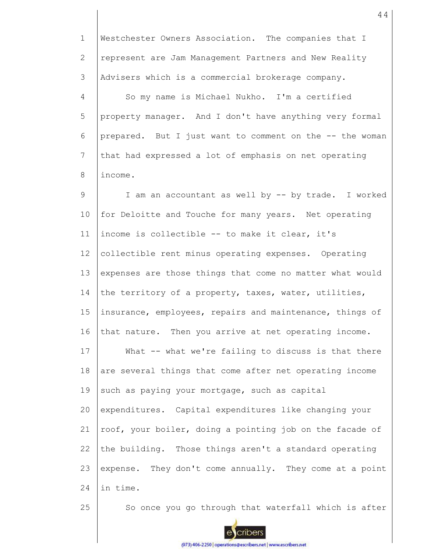1 2 3 4 5 6 7 8 9 10 11 12 13 14 15 16 17 18 19 20 21 22 23 24 25 Westchester Owners Association. The companies that I represent are Jam Management Partners and New Reality Advisers which is a commercial brokerage company. So my name is Michael Nukho. I'm a certified property manager. And I don't have anything very formal prepared. But I just want to comment on the -- the woman that had expressed a lot of emphasis on net operating income. I am an accountant as well by -- by trade. I worked for Deloitte and Touche for many years. Net operating income is collectible -- to make it clear, it's collectible rent minus operating expenses. Operating expenses are those things that come no matter what would the territory of a property, taxes, water, utilities, insurance, employees, repairs and maintenance, things of that nature. Then you arrive at net operating income. What -- what we're failing to discuss is that there are several things that come after net operating income such as paying your mortgage, such as capital expenditures. Capital expenditures like changing your roof, your boiler, doing a pointing job on the facade of the building. Those things aren't a standard operating expense. They don't come annually. They come at a point in time. So once you go through that waterfall which is after

cribers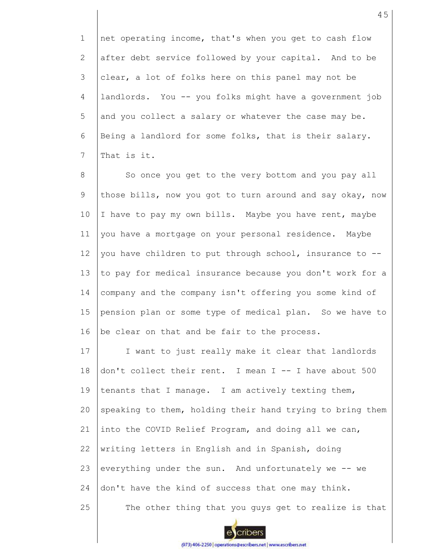1 2 3 4 5 6 7 net operating income, that's when you get to cash flow after debt service followed by your capital. And to be clear, a lot of folks here on this panel may not be landlords. You -- you folks might have a government job and you collect a salary or whatever the case may be. Being a landlord for some folks, that is their salary. That is it.

8 9 10 11 12 13 14 15 16 So once you get to the very bottom and you pay all those bills, now you got to turn around and say okay, now I have to pay my own bills. Maybe you have rent, maybe you have a mortgage on your personal residence. Maybe you have children to put through school, insurance to - to pay for medical insurance because you don't work for a company and the company isn't offering you some kind of pension plan or some type of medical plan. So we have to be clear on that and be fair to the process.

17 18 19 20 21 22 23 24 25 I want to just really make it clear that landlords don't collect their rent. I mean I -- I have about 500 tenants that I manage. I am actively texting them, speaking to them, holding their hand trying to bring them into the COVID Relief Program, and doing all we can, writing letters in English and in Spanish, doing everything under the sun. And unfortunately we -- we don't have the kind of success that one may think. The other thing that you guys get to realize is that



cribers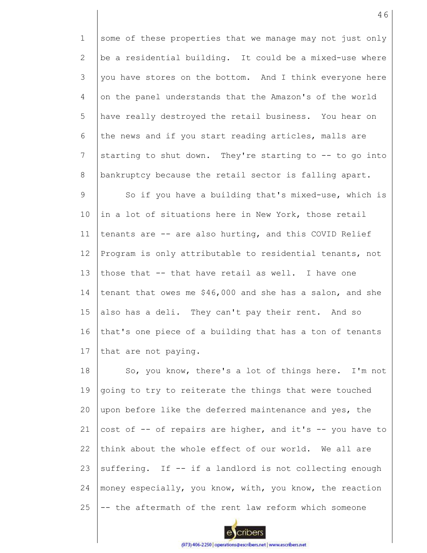1 2 3 4 5 6 7 8 9 10 11 12 13 14 15 16 17 some of these properties that we manage may not just only be a residential building. It could be a mixed-use where you have stores on the bottom. And I think everyone here on the panel understands that the Amazon's of the world have really destroyed the retail business. You hear on the news and if you start reading articles, malls are starting to shut down. They're starting to -- to go into bankruptcy because the retail sector is falling apart. So if you have a building that's mixed-use, which is in a lot of situations here in New York, those retail tenants are -- are also hurting, and this COVID Relief Program is only attributable to residential tenants, not those that -- that have retail as well. I have one tenant that owes me \$46,000 and she has a salon, and she also has a deli. They can't pay their rent. And so that's one piece of a building that has a ton of tenants that are not paying.

18 19 20 21 22 23 24 25 So, you know, there's a lot of things here. I'm not going to try to reiterate the things that were touched upon before like the deferred maintenance and yes, the cost of -- of repairs are higher, and it's -- you have to think about the whole effect of our world. We all are suffering. If -- if a landlord is not collecting enough money especially, you know, with, you know, the reaction -- the aftermath of the rent law reform which someone

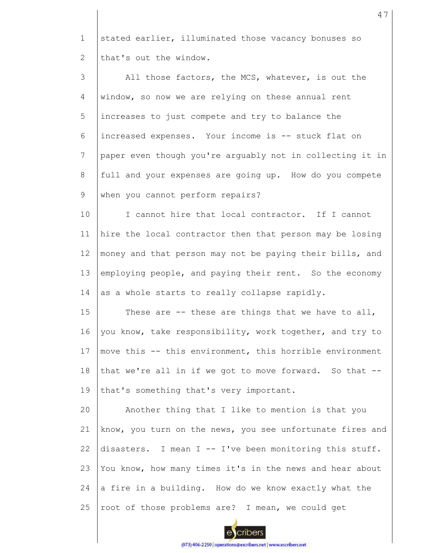1 2 stated earlier, illuminated those vacancy bonuses so that's out the window.

3 4 5 6 7 8 9 All those factors, the MCS, whatever, is out the window, so now we are relying on these annual rent increases to just compete and try to balance the increased expenses. Your income is -- stuck flat on paper even though you're arguably not in collecting it in full and your expenses are going up. How do you compete when you cannot perform repairs?

10 11 12 13 14 I cannot hire that local contractor. If I cannot hire the local contractor then that person may be losing money and that person may not be paying their bills, and employing people, and paying their rent. So the economy as a whole starts to really collapse rapidly.

15 16 17 18 19 These are  $-$ - these are things that we have to all, you know, take responsibility, work together, and try to move this -- this environment, this horrible environment that we're all in if we got to move forward. So that - that's something that's very important.

20 21 22 23 24 25 Another thing that I like to mention is that you know, you turn on the news, you see unfortunate fires and disasters. I mean I -- I've been monitoring this stuff. You know, how many times it's in the news and hear about a fire in a building. How do we know exactly what the root of those problems are? I mean, we could get

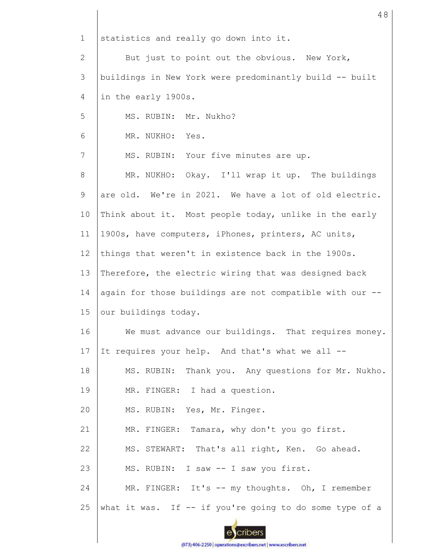1 2 3 4 5 6 7 8 9 10 11 12 13 14 15 16 17 18 19 20 21 22 23 24 25 statistics and really go down into it. But just to point out the obvious. New York, buildings in New York were predominantly build -- built in the early 1900s. MS. RUBIN: Mr. Nukho? MR. NUKHO: Yes. MS. RUBIN: Your five minutes are up. MR. NUKHO: Okay. I'll wrap it up. The buildings are old. We're in 2021. We have a lot of old electric. Think about it. Most people today, unlike in the early 1900s, have computers, iPhones, printers, AC units, things that weren't in existence back in the 1900s. Therefore, the electric wiring that was designed back again for those buildings are not compatible with our - our buildings today. We must advance our buildings. That requires money. It requires your help. And that's what we all -- MS. RUBIN: Thank you. Any questions for Mr. Nukho. MR. FINGER: I had a question. MS. RUBIN: Yes, Mr. Finger. MR. FINGER: Tamara, why don't you go first. MS. STEWART: That's all right, Ken. Go ahead. MS. RUBIN: I saw -- I saw you first. MR. FINGER: It's -- my thoughts. Oh, I remember what it was. If -- if you're going to do some type of a

48

cribers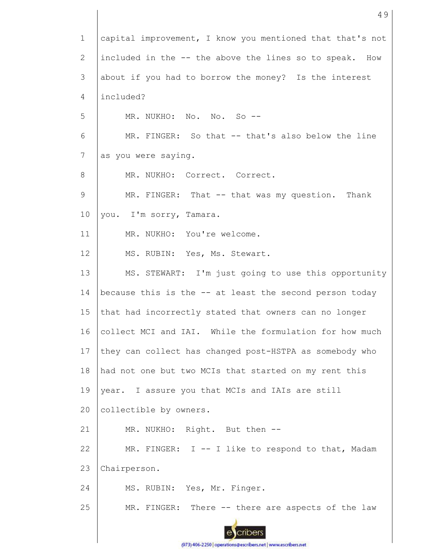1 capital improvement, I know you mentioned that that's not included in the -- the above the lines so to speak. How 2 3 about if you had to borrow the money? Is the interest included? 4 5 MR. NUKHO: No. No. So --6 MR. FINGER: So that -- that's also below the line 7 as you were saying. 8 MR. NUKHO: Correct. Correct. 9 MR. FINGER: That -- that was my question. Thank 10 you. I'm sorry, Tamara. 11 MR. NUKHO: You're welcome. 12 MS. RUBIN: Yes, Ms. Stewart. 13 MS. STEWART: I'm just going to use this opportunity 14 because this is the -- at least the second person today 15 that had incorrectly stated that owners can no longer 16 collect MCI and IAI. While the formulation for how much 17 they can collect has changed post-HSTPA as somebody who 18 had not one but two MCIs that started on my rent this 19 year. I assure you that MCIs and IAIs are still 20 collectible by owners. 21 MR. NUKHO: Right. But then --MR. FINGER: I -- I like to respond to that, Madam 22 23 Chairperson. 24 MS. RUBIN: Yes, Mr. Finger. 25 MR. FINGER: There -- there are aspects of the law cribers

49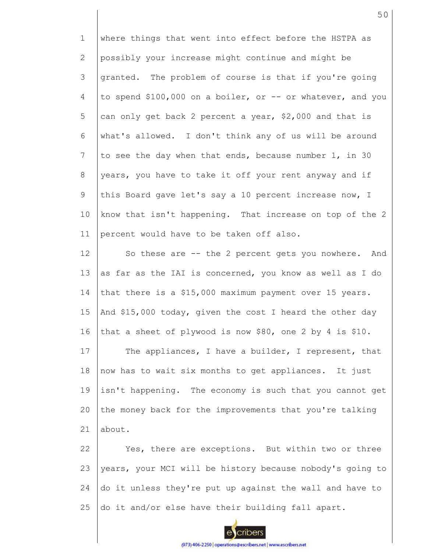1 2 3 4 5 6 7 8 9 10 11 12 13 14 15 16 17 where things that went into effect before the HSTPA as possibly your increase might continue and might be granted. The problem of course is that if you're going to spend \$100,000 on a boiler, or -- or whatever, and you can only get back 2 percent a year, \$2,000 and that is what's allowed. I don't think any of us will be around to see the day when that ends, because number 1, in 30 years, you have to take it off your rent anyway and if this Board gave let's say a 10 percent increase now, I know that isn't happening. That increase on top of the 2 percent would have to be taken off also. So these are -- the 2 percent gets you nowhere. And as far as the IAI is concerned, you know as well as I do that there is a \$15,000 maximum payment over 15 years. And \$15,000 today, given the cost I heard the other day that a sheet of plywood is now \$80, one 2 by 4 is \$10. The appliances, I have a builder, I represent, that

18 19 20 21 now has to wait six months to get appliances. It just isn't happening. The economy is such that you cannot get the money back for the improvements that you're talking about.

22 23 24 25 Yes, there are exceptions. But within two or three years, your MCI will be history because nobody's going to do it unless they're put up against the wall and have to do it and/or else have their building fall apart.



cribers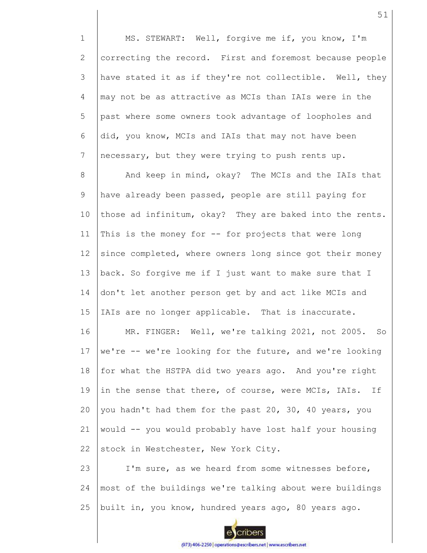1 2 3 4 5 6 7 8 9 10 11 12 13 14 15 16 17 18 19 20 21 22 23 24 25 MS. STEWART: Well, forgive me if, you know, I'm correcting the record. First and foremost because people have stated it as if they're not collectible. Well, they may not be as attractive as MCIs than IAIs were in the past where some owners took advantage of loopholes and did, you know, MCIs and IAIs that may not have been necessary, but they were trying to push rents up. And keep in mind, okay? The MCIs and the IAIs that have already been passed, people are still paying for those ad infinitum, okay? They are baked into the rents. This is the money for  $-$  for projects that were long since completed, where owners long since got their money back. So forgive me if I just want to make sure that I don't let another person get by and act like MCIs and IAIs are no longer applicable. That is inaccurate. MR. FINGER: Well, we're talking 2021, not 2005. So we're -- we're looking for the future, and we're looking for what the HSTPA did two years ago. And you're right in the sense that there, of course, were MCIs, IAIs. If you hadn't had them for the past 20, 30, 40 years, you would -- you would probably have lost half your housing stock in Westchester, New York City. I'm sure, as we heard from some witnesses before, most of the buildings we're talking about were buildings built in, you know, hundred years ago, 80 years ago.

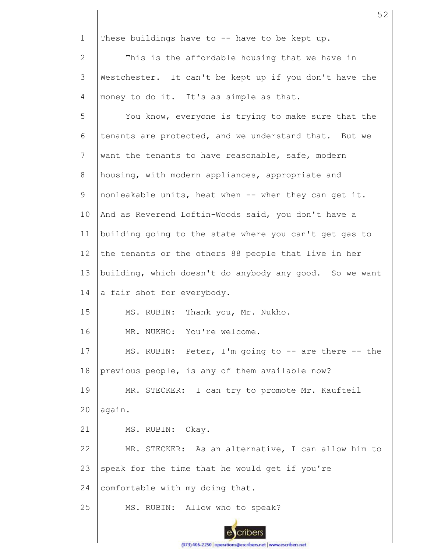1 These buildings have to -- have to be kept up.

2 3 4 This is the affordable housing that we have in Westchester. It can't be kept up if you don't have the money to do it. It's as simple as that.

5 6 7 8 9 10 11 12 13 14 15 16 17 18 19 20 21 22 23 24 25 You know, everyone is trying to make sure that the tenants are protected, and we understand that. But we want the tenants to have reasonable, safe, modern housing, with modern appliances, appropriate and nonleakable units, heat when -- when they can get it. And as Reverend Loftin-Woods said, you don't have a building going to the state where you can't get gas to the tenants or the others 88 people that live in her building, which doesn't do anybody any good. So we want a fair shot for everybody. MS. RUBIN: Thank you, Mr. Nukho. MR. NUKHO: You're welcome. MS. RUBIN: Peter, I'm going to -- are there -- the previous people, is any of them available now? MR. STECKER: I can try to promote Mr. Kaufteil again. MS. RUBIN: Okay. MR. STECKER: As an alternative, I can allow him to speak for the time that he would get if you're comfortable with my doing that. MS. RUBIN: Allow who to speak?



cribers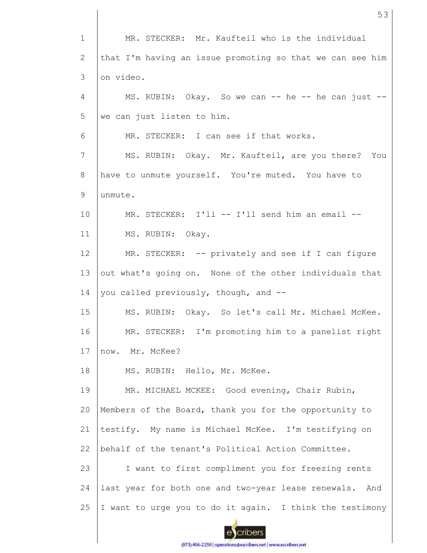1 2 3 4 5 6 7 8 9 10 11 12 13 14 15 16 17 18 19 20 21 22 23 24 25 MR. STECKER: Mr. Kaufteil who is the individual that I'm having an issue promoting so that we can see him on video.  $MS. RUBIN: Okay. So we can -- he -- he can just -$ we can just listen to him. MR. STECKER: I can see if that works. MS. RUBIN: Okay. Mr. Kaufteil, are you there? You have to unmute yourself. You're muted. You have to unmute. MR. STECKER: I'll -- I'll send him an email --MS. RUBIN: Okay. MR. STECKER: -- privately and see if I can figure out what's going on. None of the other individuals that you called previously, though, and -- MS. RUBIN: Okay. So let's call Mr. Michael McKee. MR. STECKER: I'm promoting him to a panelist right now. Mr. McKee? MS. RUBIN: Hello, Mr. McKee. MR. MICHAEL MCKEE: Good evening, Chair Rubin, Members of the Board, thank you for the opportunity to testify. My name is Michael McKee. I'm testifying on behalf of the tenant's Political Action Committee. I want to first compliment you for freezing rents last year for both one and two-year lease renewals. And I want to urge you to do it again. I think the testimony

53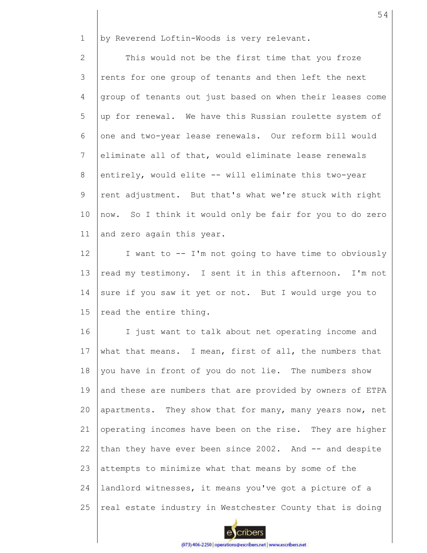1 by Reverend Loftin-Woods is very relevant.

2 3 4 5 6 7 8 9 10 11 This would not be the first time that you froze rents for one group of tenants and then left the next group of tenants out just based on when their leases come up for renewal. We have this Russian roulette system of one and two-year lease renewals. Our reform bill would eliminate all of that, would eliminate lease renewals entirely, would elite -- will eliminate this two-year rent adjustment. But that's what we're stuck with right now. So I think it would only be fair for you to do zero and zero again this year.

12 13 14 15 I want to -- I'm not going to have time to obviously read my testimony. I sent it in this afternoon. I'm not sure if you saw it yet or not. But I would urge you to read the entire thing.

16 17 18 19 20 21 22 23 24 25 I just want to talk about net operating income and what that means. I mean, first of all, the numbers that you have in front of you do not lie. The numbers show and these are numbers that are provided by owners of ETPA apartments. They show that for many, many years now, net operating incomes have been on the rise. They are higher than they have ever been since 2002. And -- and despite attempts to minimize what that means by some of the landlord witnesses, it means you've got a picture of a real estate industry in Westchester County that is doing

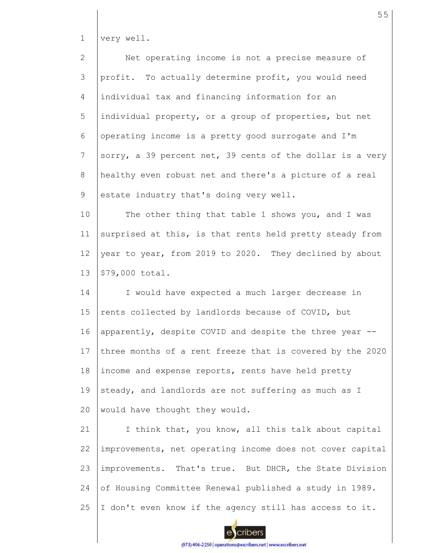1 very well.

| $\overline{2}$ | Net operating income is not a precise measure of          |
|----------------|-----------------------------------------------------------|
| 3              | profit. To actually determine profit, you would need      |
| $\overline{4}$ | individual tax and financing information for an           |
| 5              | individual property, or a group of properties, but net    |
| 6              | operating income is a pretty good surrogate and I'm       |
| $7\phantom{.}$ | sorry, a 39 percent net, 39 cents of the dollar is a very |
| 8              | healthy even robust net and there's a picture of a real   |
| 9              | estate industry that's doing very well.                   |
| 10             | The other thing that table 1 shows you, and I was         |
| 11             | surprised at this, is that rents held pretty steady from  |
| 12             | year to year, from 2019 to 2020. They declined by about   |
| 13             | \$79,000 total.                                           |
| 14             | I would have expected a much larger decrease in           |
| 15             | rents collected by landlords because of COVID, but        |
| 16             | apparently, despite COVID and despite the three year --   |
| 17             | three months of a rent freeze that is covered by the 2020 |
| 18             | income and expense reports, rents have held pretty        |
| 19             | steady, and landlords are not suffering as much as I      |
| 20             | would have thought they would.                            |
| 21             | I think that, you know, all this talk about capital       |
| 22             | improvements, net operating income does not cover capital |
| 23             | improvements. That's true. But DHCR, the State Division   |

24 of Housing Committee Renewal published a study in 1989.

25 I don't even know if the agency still has access to it.

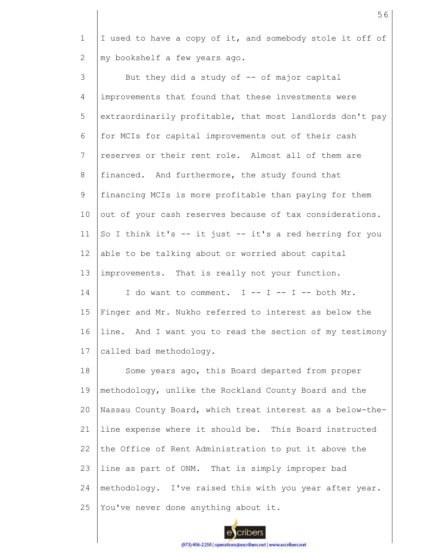1 2 I used to have a copy of it, and somebody stole it off of my bookshelf a few years ago.

3 4 5 6 7 8 9 10 11 12 13 14 15 16 17 18 19  $20$ 21 22 23 24 But they did a study of  $-$ - of major capital improvements that found that these investments were extraordinarily profitable, that most landlords don't pay for MCIs for capital improvements out of their cash reserves or their rent role. Almost all of them are financed. And furthermore, the study found that financing MCIs is more profitable than paying for them out of your cash reserves because of tax considerations. So I think it's -- it just -- it's a red herring for you able to be talking about or worried about capital improvements. That is really not your function. I do want to comment.  $I$  -- I -- I -- both Mr. Finger and Mr. Nukho referred to interest as below the line. And I want you to read the section of my testimony called bad methodology. Some years ago, this Board departed from proper methodology, unlike the Rockland County Board and the Nassau County Board, which treat interest as a below-theline expense where it should be. This Board instructed the Office of Rent Administration to put it above the line as part of ONM. That is simply improper bad methodology. I've raised this with you year after year.

25 You've never done anything about it.



cribers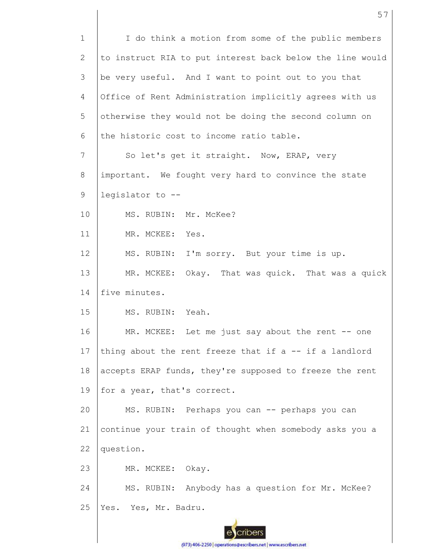1 2 3 4 5 6 7 8 9 10 11 12 13 14 15 16 17 18 19 20 21 22 23 24 25 I do think a motion from some of the public members to instruct RIA to put interest back below the line would be very useful. And I want to point out to you that Office of Rent Administration implicitly agrees with us otherwise they would not be doing the second column on the historic cost to income ratio table. So let's get it straight. Now, ERAP, very important. We fought very hard to convince the state legislator to -- MS. RUBIN: Mr. McKee? MR. MCKEE: Yes. MS. RUBIN: I'm sorry. But your time is up. MR. MCKEE: Okay. That was quick. That was a quick five minutes. MS. RUBIN: Yeah. MR. MCKEE: Let me just say about the rent -- one thing about the rent freeze that if  $a - -$  if a landlord accepts ERAP funds, they're supposed to freeze the rent for a year, that's correct. MS. RUBIN: Perhaps you can -- perhaps you can continue your train of thought when somebody asks you a question. MR. MCKEE: Okay. MS. RUBIN: Anybody has a question for Mr. McKee? Yes. Yes, Mr. Badru.

57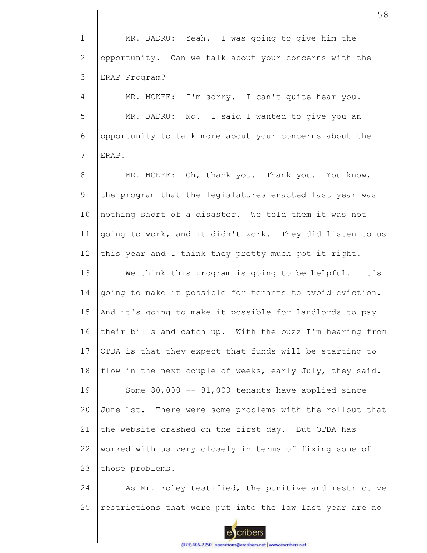1 2 3 MR. BADRU: Yeah. I was going to give him the opportunity. Can we talk about your concerns with the ERAP Program?

4 5 6 7 MR. MCKEE: I'm sorry. I can't quite hear you. MR. BADRU: No. I said I wanted to give you an opportunity to talk more about your concerns about the ERAP.

8 9 10 11 12 MR. MCKEE: Oh, thank you. Thank you. You know, the program that the legislatures enacted last year was nothing short of a disaster. We told them it was not going to work, and it didn't work. They did listen to us this year and I think they pretty much got it right.

13 14 15 16 17 18 19 20 21 22 23 We think this program is going to be helpful. It's going to make it possible for tenants to avoid eviction. And it's going to make it possible for landlords to pay their bills and catch up. With the buzz I'm hearing from OTDA is that they expect that funds will be starting to flow in the next couple of weeks, early July, they said. Some  $80,000$  --  $81,000$  tenants have applied since June 1st. There were some problems with the rollout that the website crashed on the first day. But OTBA has worked with us very closely in terms of fixing some of those problems.

24 25 As Mr. Foley testified, the punitive and restrictive restrictions that were put into the law last year are no

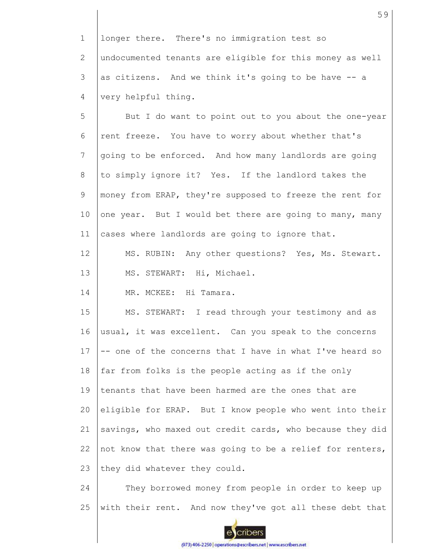1 2 3 4 longer there. There's no immigration test so undocumented tenants are eligible for this money as well as citizens. And we think it's going to be have -- a very helpful thing.

5 6 7 8 9 10 11 But I do want to point out to you about the one-year rent freeze. You have to worry about whether that's going to be enforced. And how many landlords are going to simply ignore it? Yes. If the landlord takes the money from ERAP, they're supposed to freeze the rent for one year. But I would bet there are going to many, many cases where landlords are going to ignore that.

12 13 MS. RUBIN: Any other questions? Yes, Ms. Stewart. MS. STEWART: Hi, Michael.

14 MR. MCKEE: Hi Tamara.

15 16 17 18 19 20 21 22 23 MS. STEWART: I read through your testimony and as usual, it was excellent. Can you speak to the concerns -- one of the concerns that I have in what I've heard so far from folks is the people acting as if the only tenants that have been harmed are the ones that are eligible for ERAP. But I know people who went into their savings, who maxed out credit cards, who because they did not know that there was going to be a relief for renters, they did whatever they could.

24 25 They borrowed money from people in order to keep up with their rent. And now they've got all these debt that

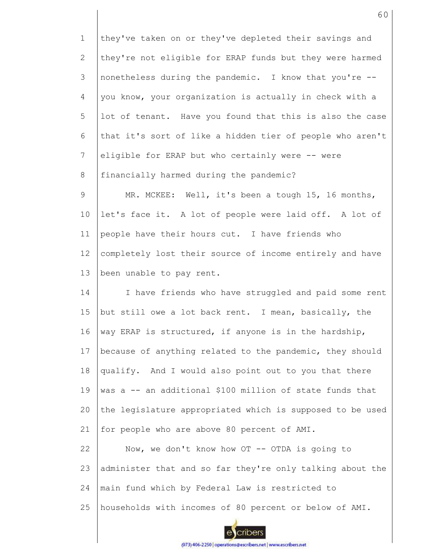1 2 3 4 5 6 7 8 9 10 11 12 13 14 15 16 17 18 19 20 21 22 23 24 25 they've taken on or they've depleted their savings and they're not eligible for ERAP funds but they were harmed nonetheless during the pandemic. I know that you're - you know, your organization is actually in check with a lot of tenant. Have you found that this is also the case that it's sort of like a hidden tier of people who aren't eligible for ERAP but who certainly were -- were financially harmed during the pandemic? MR. MCKEE: Well, it's been a tough 15, 16 months, let's face it. A lot of people were laid off. A lot of people have their hours cut. I have friends who completely lost their source of income entirely and have been unable to pay rent. I have friends who have struggled and paid some rent but still owe a lot back rent. I mean, basically, the way ERAP is structured, if anyone is in the hardship, because of anything related to the pandemic, they should qualify. And I would also point out to you that there was a -- an additional \$100 million of state funds that the legislature appropriated which is supposed to be used for people who are above 80 percent of AMI. Now, we don't know how OT -- OTDA is going to administer that and so far they're only talking about the main fund which by Federal Law is restricted to households with incomes of 80 percent or below of AMI.

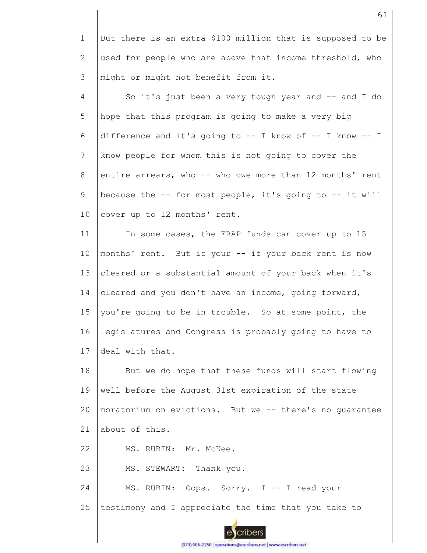1 2 3 But there is an extra \$100 million that is supposed to be used for people who are above that income threshold, who might or might not benefit from it.

4 5 6 7 8 9 10 So it's just been a very tough year and -- and I do hope that this program is going to make a very big difference and it's going to -- I know of -- I know -- I know people for whom this is not going to cover the entire arrears, who -- who owe more than 12 months' rent because the -- for most people, it's going to -- it will cover up to 12 months' rent.

11 12 13 14 15 16 17 In some cases, the ERAP funds can cover up to 15 months' rent. But if your -- if your back rent is now cleared or a substantial amount of your back when it's cleared and you don't have an income, going forward, you're going to be in trouble. So at some point, the legislatures and Congress is probably going to have to deal with that.

18 19 20 21 But we do hope that these funds will start flowing well before the August 31st expiration of the state moratorium on evictions. But we -- there's no guarantee about of this.

22 MS. RUBIN: Mr. McKee.

23 MS. STEWART: Thank you.

24 25 MS. RUBIN: Oops. Sorry. I -- I read your testimony and I appreciate the time that you take to



(973) 406-2250 | operations@escribers.net | www.escribers.net

cribers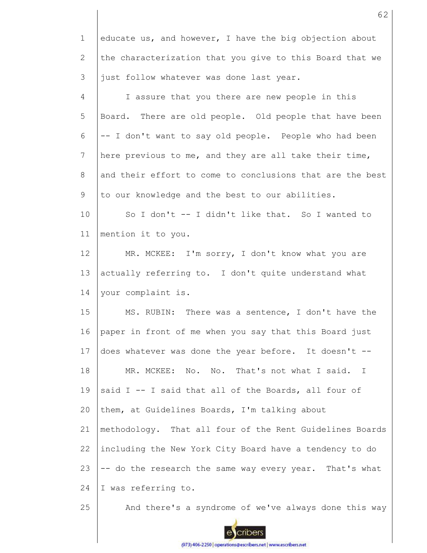1 2 3 4 5 6 7 8 9 10 11 12 13 14 15 16 17 18 19 20 21 22 23 24 25 educate us, and however, I have the big objection about the characterization that you give to this Board that we just follow whatever was done last year. I assure that you there are new people in this Board. There are old people. Old people that have been -- I don't want to say old people. People who had been here previous to me, and they are all take their time, and their effort to come to conclusions that are the best to our knowledge and the best to our abilities. So I don't -- I didn't like that. So I wanted to mention it to you. MR. MCKEE: I'm sorry, I don't know what you are actually referring to. I don't quite understand what your complaint is. MS. RUBIN: There was a sentence, I don't have the paper in front of me when you say that this Board just does whatever was done the year before. It doesn't -- MR. MCKEE: No. No. That's not what I said. I said I -- I said that all of the Boards, all four of them, at Guidelines Boards, I'm talking about methodology. That all four of the Rent Guidelines Boards including the New York City Board have a tendency to do -- do the research the same way every year. That's what I was referring to. And there's a syndrome of we've always done this way

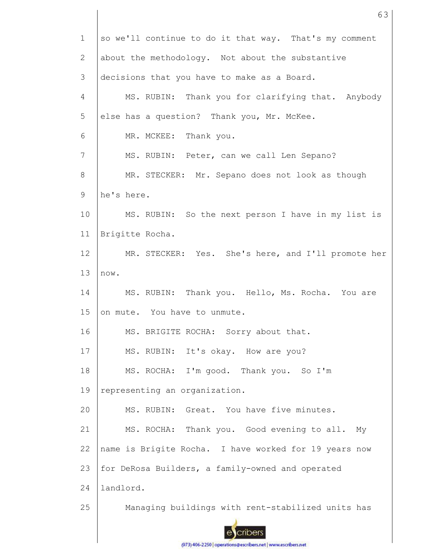| $\mathbf 1$    | so we'll continue to do it that way. That's my comment |
|----------------|--------------------------------------------------------|
| $\mathbf{2}$   | about the methodology. Not about the substantive       |
| 3              | decisions that you have to make as a Board.            |
| $\overline{4}$ | MS. RUBIN: Thank you for clarifying that. Anybody      |
| 5              | else has a question? Thank you, Mr. McKee.             |
| 6              | MR. MCKEE: Thank you.                                  |
| 7              | MS. RUBIN: Peter, can we call Len Sepano?              |
| 8              | MR. STECKER: Mr. Sepano does not look as though        |
| $\mathsf 9$    | he's here.                                             |
| 10             | MS. RUBIN: So the next person I have in my list is     |
| 11             | Brigitte Rocha.                                        |
| 12             | MR. STECKER: Yes. She's here, and I'll promote her     |
| 13             | now.                                                   |
| 14             | MS. RUBIN: Thank you. Hello, Ms. Rocha. You are        |
| 15             | on mute. You have to unmute.                           |
| 16             | MS. BRIGITE ROCHA: Sorry about that.                   |
| 17             | MS. RUBIN: It's okay. How are you?                     |
| 18             | MS. ROCHA: I'm good. Thank you. So I'm                 |
| 19             | representing an organization.                          |
| 20             | MS. RUBIN: Great. You have five minutes.               |
| 21             | MS. ROCHA: Thank you. Good evening to all.<br>Мy       |
| 22             | name is Brigite Rocha. I have worked for 19 years now  |
| 23             | for DeRosa Builders, a family-owned and operated       |
| 24             | landlord.                                              |
| 25             | Managing buildings with rent-stabilized units has      |
|                |                                                        |

63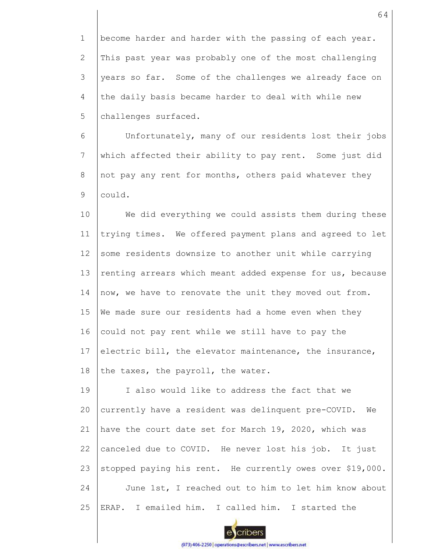1 2 3 4 5 become harder and harder with the passing of each year. This past year was probably one of the most challenging years so far. Some of the challenges we already face on the daily basis became harder to deal with while new challenges surfaced.

6 7 8 9 Unfortunately, many of our residents lost their jobs which affected their ability to pay rent. Some just did not pay any rent for months, others paid whatever they could.

10 11 12 13 14 15 16 17 18 We did everything we could assists them during these trying times. We offered payment plans and agreed to let some residents downsize to another unit while carrying renting arrears which meant added expense for us, because now, we have to renovate the unit they moved out from. We made sure our residents had a home even when they could not pay rent while we still have to pay the electric bill, the elevator maintenance, the insurance, the taxes, the payroll, the water.

19 20 21 22 23 24 25 I also would like to address the fact that we currently have a resident was delinquent pre-COVID. We have the court date set for March 19, 2020, which was canceled due to COVID. He never lost his job. It just stopped paying his rent. He currently owes over \$19,000. June 1st, I reached out to him to let him know about ERAP. I emailed him. I called him. I started the

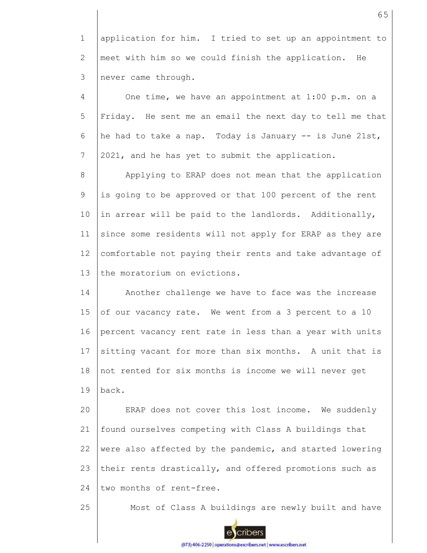1 2 3 application for him. I tried to set up an appointment to meet with him so we could finish the application. He never came through.

4 5 6 7 One time, we have an appointment at 1:00 p.m. on a Friday. He sent me an email the next day to tell me that he had to take a nap. Today is January -- is June 21st, 2021, and he has yet to submit the application.

8 9 10 11 12 13 Applying to ERAP does not mean that the application is going to be approved or that 100 percent of the rent in arrear will be paid to the landlords. Additionally, since some residents will not apply for ERAP as they are comfortable not paying their rents and take advantage of the moratorium on evictions.

14 15 16 17 18 19 Another challenge we have to face was the increase of our vacancy rate. We went from a 3 percent to a 10 percent vacancy rent rate in less than a year with units sitting vacant for more than six months. A unit that is not rented for six months is income we will never get back.

20 21 22 23 24 ERAP does not cover this lost income. We suddenly found ourselves competing with Class A buildings that were also affected by the pandemic, and started lowering their rents drastically, and offered promotions such as two months of rent-free.

25

Most of Class A buildings are newly built and have

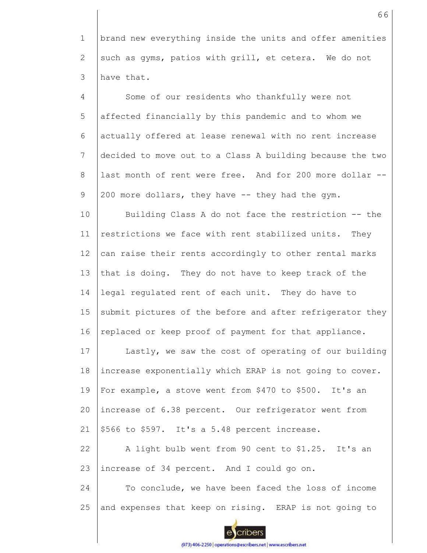1 2 3 brand new everything inside the units and offer amenities such as gyms, patios with grill, et cetera. We do not have that.

4 5 6 7 8 9 10 11 12 13 14 15 16 17 18 19 20 21 22 23 24 Some of our residents who thankfully were not affected financially by this pandemic and to whom we actually offered at lease renewal with no rent increase decided to move out to a Class A building because the two last month of rent were free. And for 200 more dollar -- 200 more dollars, they have -- they had the gym. Building Class A do not face the restriction -- the restrictions we face with rent stabilized units. They can raise their rents accordingly to other rental marks that is doing. They do not have to keep track of the legal regulated rent of each unit. They do have to submit pictures of the before and after refrigerator they replaced or keep proof of payment for that appliance. Lastly, we saw the cost of operating of our building increase exponentially which ERAP is not going to cover. For example, a stove went from \$470 to \$500. It's an increase of 6.38 percent. Our refrigerator went from \$566 to \$597. It's a 5.48 percent increase. A light bulb went from 90 cent to \$1.25. It's an increase of 34 percent. And I could go on. To conclude, we have been faced the loss of income

25 and expenses that keep on rising. ERAP is not going to

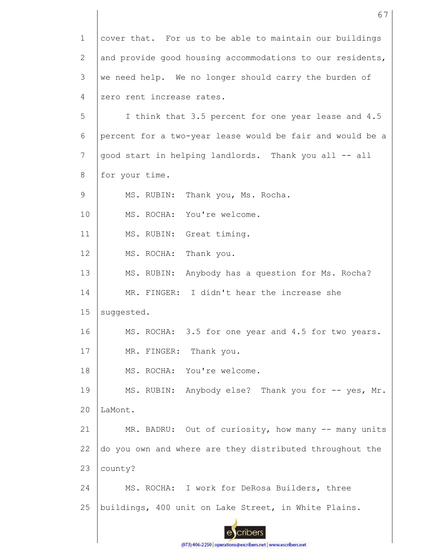| $\mathbf 1$     | cover that. For us to be able to maintain our buildings   |
|-----------------|-----------------------------------------------------------|
| $\mathbf{2}$    | and provide good housing accommodations to our residents, |
| 3               | we need help. We no longer should carry the burden of     |
| 4               | zero rent increase rates.                                 |
| 5               | I think that 3.5 percent for one year lease and 4.5       |
| 6               | percent for a two-year lease would be fair and would be a |
| $7\phantom{.0}$ | good start in helping landlords. Thank you all -- all     |
| 8               | for your time.                                            |
| 9               | MS. RUBIN: Thank you, Ms. Rocha.                          |
| 10              | MS. ROCHA: You're welcome.                                |
| 11              | MS. RUBIN: Great timing.                                  |
| 12              | MS. ROCHA: Thank you.                                     |
| 13              | MS. RUBIN: Anybody has a question for Ms. Rocha?          |
| 14              | MR. FINGER: I didn't hear the increase she                |
| 15              | suggested.                                                |
| 16              | MS. ROCHA: 3.5 for one year and 4.5 for two years.        |
| 17              | MR. FINGER: Thank you.                                    |
| 18              | MS. ROCHA: You're welcome.                                |
| 19              | MS. RUBIN: Anybody else? Thank you for -- yes, Mr.        |
| 20              | LaMont.                                                   |
| 21              | MR. BADRU: Out of curiosity, how many -- many units       |
| 22              | do you own and where are they distributed throughout the  |
| 23              | county?                                                   |
| 24              | MS. ROCHA: I work for DeRosa Builders, three              |
| 25              | buildings, 400 unit on Lake Street, in White Plains.      |
|                 |                                                           |

(973) 406-2250 | operations@escribers.net | www.escribers.net

I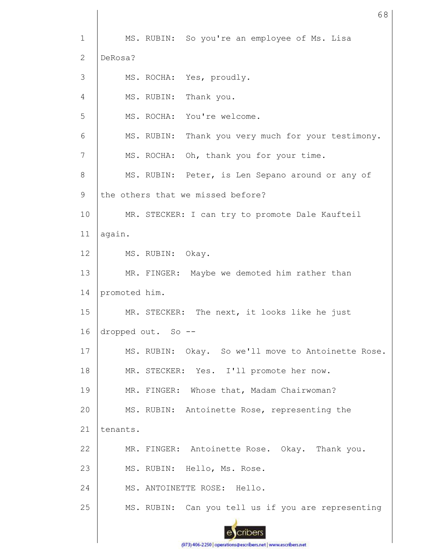1 2 3 4 5 6 7 8 9 10 11 12 13 14 15 16 17 18 19 20 21 22 23 24 25 MS. RUBIN: So you're an employee of Ms. Lisa DeRosa? MS. ROCHA: Yes, proudly. MS. RUBIN: Thank you. MS. ROCHA: You're welcome. MS. RUBIN: Thank you very much for your testimony. MS. ROCHA: Oh, thank you for your time. MS. RUBIN: Peter, is Len Sepano around or any of the others that we missed before? MR. STECKER: I can try to promote Dale Kaufteil again. MS. RUBIN: Okay. MR. FINGER: Maybe we demoted him rather than promoted him. MR. STECKER: The next, it looks like he just dropped out. So -- MS. RUBIN: Okay. So we'll move to Antoinette Rose. MR. STECKER: Yes. I'll promote her now. MR. FINGER: Whose that, Madam Chairwoman? MS. RUBIN: Antoinette Rose, representing the tenants. MR. FINGER: Antoinette Rose. Okay. Thank you. MS. RUBIN: Hello, Ms. Rose. MS. ANTOINETTE ROSE: Hello. MS. RUBIN: Can you tell us if you are representing

68



cribers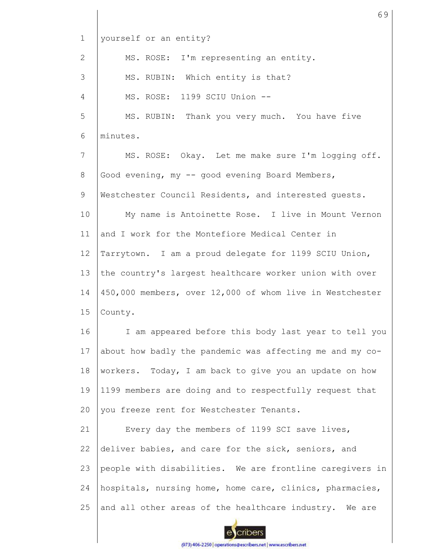| $\mathbf 1$     | yourself or an entity?                                   |
|-----------------|----------------------------------------------------------|
| $\overline{2}$  | MS. ROSE: I'm representing an entity.                    |
| 3               | MS. RUBIN: Which entity is that?                         |
| $\overline{4}$  | MS. ROSE: 1199 SCIU Union --                             |
| 5               | MS. RUBIN: Thank you very much. You have five            |
| 6               | minutes.                                                 |
| $7\phantom{.}$  | MS. ROSE: Okay. Let me make sure I'm logging off.        |
| 8               | Good evening, my -- good evening Board Members,          |
| 9               | Westchester Council Residents, and interested guests.    |
| 10              | My name is Antoinette Rose. I live in Mount Vernon       |
| 11              | and I work for the Montefiore Medical Center in          |
| 12 <sup>°</sup> | Tarrytown. I am a proud delegate for 1199 SCIU Union,    |
| 13              | the country's largest healthcare worker union with over  |
| 14              | 450,000 members, over 12,000 of whom live in Westchester |
| 15              | County.                                                  |
| 16              | I am appeared before this body last year to tell you     |
| 17              | about how badly the pandemic was affecting me and my co- |
| 18              | workers. Today, I am back to give you an update on how   |
| 19              | 1199 members are doing and to respectfully request that  |
| 20              | you freeze rent for Westchester Tenants.                 |
| 21              | Every day the members of 1199 SCI save lives,            |
| 22              | deliver babies, and care for the sick, seniors, and      |
| 23              | people with disabilities. We are frontline caregivers in |
| 24              | hospitals, nursing home, home care, clinics, pharmacies, |
| 25              | and all other areas of the healthcare industry. We are   |
|                 |                                                          |

69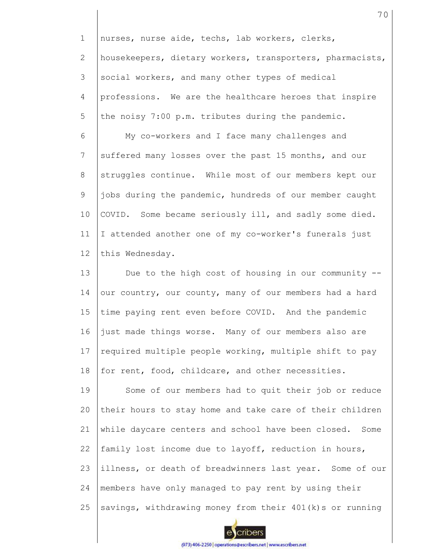1 2 3 4 5 nurses, nurse aide, techs, lab workers, clerks, housekeepers, dietary workers, transporters, pharmacists, social workers, and many other types of medical professions. We are the healthcare heroes that inspire the noisy 7:00 p.m. tributes during the pandemic.

6 7 8 9 10 11 12 My co-workers and I face many challenges and suffered many losses over the past 15 months, and our struggles continue. While most of our members kept our jobs during the pandemic, hundreds of our member caught COVID. Some became seriously ill, and sadly some died. I attended another one of my co-worker's funerals just this Wednesday.

13 14 15 16 17 18 Due to the high cost of housing in our community - our country, our county, many of our members had a hard time paying rent even before COVID. And the pandemic just made things worse. Many of our members also are required multiple people working, multiple shift to pay for rent, food, childcare, and other necessities.

19 20 21 22 23 24 25 Some of our members had to quit their job or reduce their hours to stay home and take care of their children while daycare centers and school have been closed. Some family lost income due to layoff, reduction in hours, illness, or death of breadwinners last year. Some of our members have only managed to pay rent by using their savings, withdrawing money from their 401(k)s or running

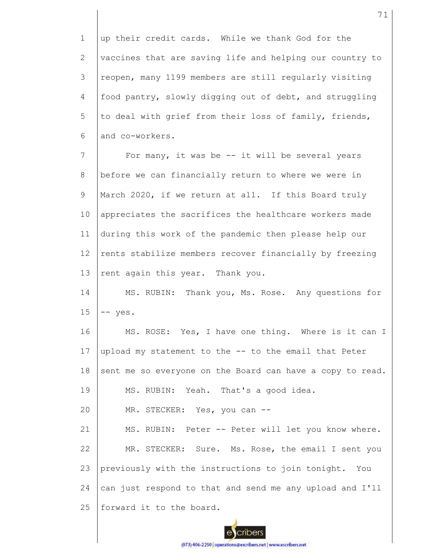1 2 3 4 5 6 up their credit cards. While we thank God for the vaccines that are saving life and helping our country to reopen, many 1199 members are still regularly visiting food pantry, slowly digging out of debt, and struggling to deal with grief from their loss of family, friends, and co-workers.

7 8 9 10 11 12 13 For many, it was be  $--$  it will be several years before we can financially return to where we were in March 2020, if we return at all. If this Board truly appreciates the sacrifices the healthcare workers made during this work of the pandemic then please help our rents stabilize members recover financially by freezing rent again this year. Thank you.

14 15 MS. RUBIN: Thank you, Ms. Rose. Any questions for -- yes.

16 17 18 19 MS. ROSE: Yes, I have one thing. Where is it can I upload my statement to the -- to the email that Peter sent me so everyone on the Board can have a copy to read. MS. RUBIN: Yeah. That's a good idea.

20 MR. STECKER: Yes, you can --

21 22 23 24 25 MS. RUBIN: Peter -- Peter will let you know where. MR. STECKER: Sure. Ms. Rose, the email I sent you previously with the instructions to join tonight. You can just respond to that and send me any upload and I'll forward it to the board.



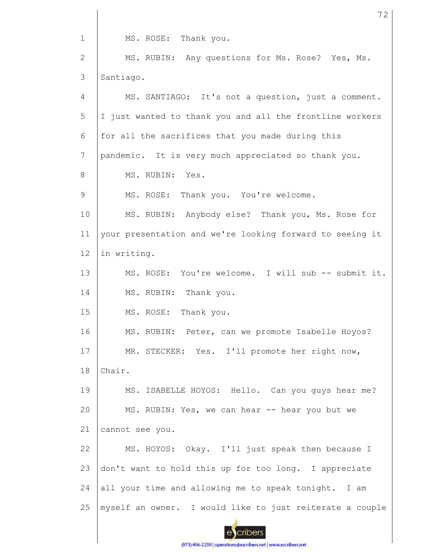1 MS. ROSE: Thank you.

2 3 MS. RUBIN: Any questions for Ms. Rose? Yes, Ms. Santiago.

4 5 6 7 8 9 10 11 12 13 14 15 16 17 18 19 20 21 22 23 24 25 MS. SANTIAGO: It's not a question, just a comment. I just wanted to thank you and all the frontline workers for all the sacrifices that you made during this pandemic. It is very much appreciated so thank you. MS. RUBIN: Yes. MS. ROSE: Thank you. You're welcome. MS. RUBIN: Anybody else? Thank you, Ms. Rose for your presentation and we're looking forward to seeing it in writing. MS. ROSE: You're welcome. I will sub -- submit it. MS. RUBIN: Thank you. MS. ROSE: Thank you. MS. RUBIN: Peter, can we promote Isabelle Hoyos? MR. STECKER: Yes. I'll promote her right now, Chair. MS. ISABELLE HOYOS: Hello. Can you guys hear me? MS. RUBIN: Yes, we can hear -- hear you but we cannot see you. MS. HOYOS: Okay. I'll just speak then because I don't want to hold this up for too long. I appreciate all your time and allowing me to speak tonight. I am myself an owner. I would like to just reiterate a couple

cribers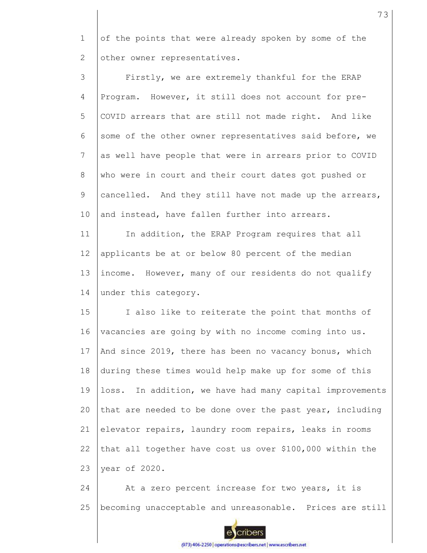1 2 of the points that were already spoken by some of the other owner representatives.

3 4 5 6 7 8 9 10 11 12 Firstly, we are extremely thankful for the ERAP Program. However, it still does not account for pre-COVID arrears that are still not made right. And like some of the other owner representatives said before, we as well have people that were in arrears prior to COVID who were in court and their court dates got pushed or cancelled. And they still have not made up the arrears, and instead, have fallen further into arrears. In addition, the ERAP Program requires that all applicants be at or below 80 percent of the median

13 14 income. However, many of our residents do not qualify under this category.

15 16 17 18 19 20 21 22 23 I also like to reiterate the point that months of vacancies are going by with no income coming into us. And since 2019, there has been no vacancy bonus, which during these times would help make up for some of this loss. In addition, we have had many capital improvements that are needed to be done over the past year, including elevator repairs, laundry room repairs, leaks in rooms that all together have cost us over \$100,000 within the year of 2020.

24 25 At a zero percent increase for two years, it is becoming unacceptable and unreasonable. Prices are still



cribers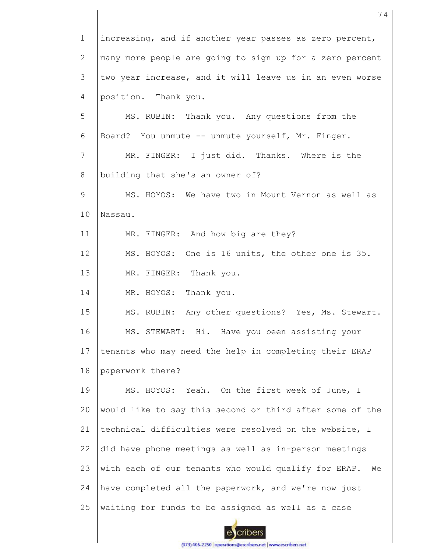1 2 3 4 5 6 7 8 9 10 11 12 13 14 15 16 17 18 19 20 21 22 23 24 25 increasing, and if another year passes as zero percent, many more people are going to sign up for a zero percent two year increase, and it will leave us in an even worse position. Thank you. MS. RUBIN: Thank you. Any questions from the Board? You unmute -- unmute yourself, Mr. Finger. MR. FINGER: I just did. Thanks. Where is the building that she's an owner of? MS. HOYOS: We have two in Mount Vernon as well as Nassau. MR. FINGER: And how big are they? MS. HOYOS: One is 16 units, the other one is 35. MR. FINGER: Thank you. MR. HOYOS: Thank you. MS. RUBIN: Any other questions? Yes, Ms. Stewart. MS. STEWART: Hi. Have you been assisting your tenants who may need the help in completing their ERAP paperwork there? MS. HOYOS: Yeah. On the first week of June, I would like to say this second or third after some of the technical difficulties were resolved on the website, I did have phone meetings as well as in-person meetings with each of our tenants who would qualify for ERAP. We have completed all the paperwork, and we're now just waiting for funds to be assigned as well as a case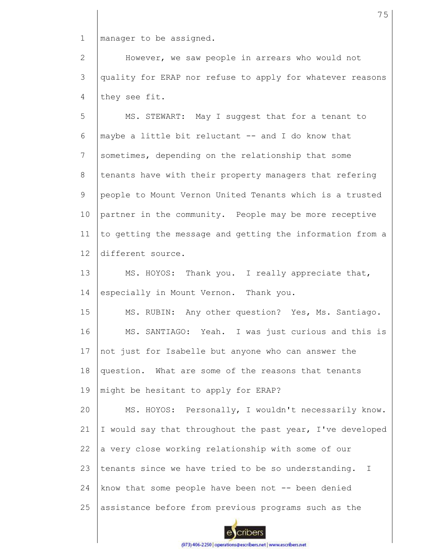1 manager to be assigned.

2 3 4 However, we saw people in arrears who would not quality for ERAP nor refuse to apply for whatever reasons they see fit.

5 6 7 8 9 10 11 12 MS. STEWART: May I suggest that for a tenant to maybe a little bit reluctant -- and I do know that sometimes, depending on the relationship that some tenants have with their property managers that refering people to Mount Vernon United Tenants which is a trusted partner in the community. People may be more receptive to getting the message and getting the information from a different source.

13 14 MS. HOYOS: Thank you. I really appreciate that, especially in Mount Vernon. Thank you.

15 16 17 18 19 MS. RUBIN: Any other question? Yes, Ms. Santiago. MS. SANTIAGO: Yeah. I was just curious and this is not just for Isabelle but anyone who can answer the question. What are some of the reasons that tenants might be hesitant to apply for ERAP?

20 21 22 23 24 25 MS. HOYOS: Personally, I wouldn't necessarily know. I would say that throughout the past year, I've developed a very close working relationship with some of our tenants since we have tried to be so understanding. I know that some people have been not -- been denied assistance before from previous programs such as the

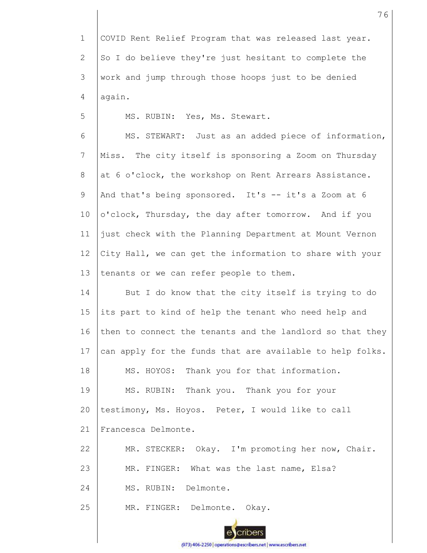1 2 3 4 COVID Rent Relief Program that was released last year. So I do believe they're just hesitant to complete the work and jump through those hoops just to be denied again.

MS. RUBIN: Yes, Ms. Stewart.

5

6 7 8 9 10 11 12 13 MS. STEWART: Just as an added piece of information, Miss. The city itself is sponsoring a Zoom on Thursday at 6 o'clock, the workshop on Rent Arrears Assistance. And that's being sponsored. It's  $-$  it's a Zoom at 6 o'clock, Thursday, the day after tomorrow. And if you just check with the Planning Department at Mount Vernon City Hall, we can get the information to share with your tenants or we can refer people to them.

14 15 16 17 18 19 But I do know that the city itself is trying to do its part to kind of help the tenant who need help and then to connect the tenants and the landlord so that they can apply for the funds that are available to help folks. MS. HOYOS: Thank you for that information. MS. RUBIN: Thank you. Thank you for your

20 testimony, Ms. Hoyos. Peter, I would like to call

21 Francesca Delmonte.

22 MR. STECKER: Okay. I'm promoting her now, Chair.

23 MR. FINGER: What was the last name, Elsa?

24 MS. RUBIN: Delmonte.

25 MR. FINGER: Delmonte. Okay.

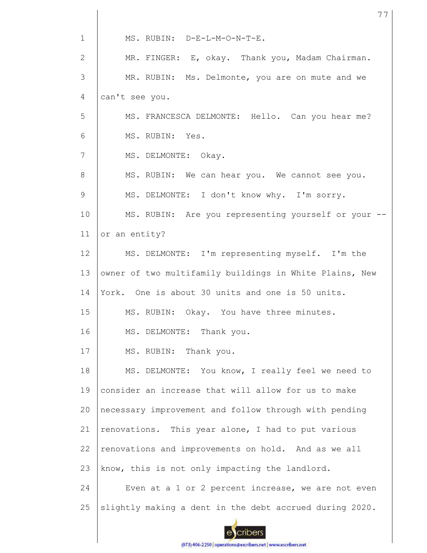| $\mathbf 1$    | MS. RUBIN: D-E-L-M-O-N-T-E.                             |
|----------------|---------------------------------------------------------|
| $\overline{2}$ | MR. FINGER: E, okay. Thank you, Madam Chairman.         |
| 3              | MR. RUBIN: Ms. Delmonte, you are on mute and we         |
| 4              | can't see you.                                          |
| 5              | MS. FRANCESCA DELMONTE: Hello. Can you hear me?         |
| 6              | MS. RUBIN: Yes.                                         |
| 7              | MS. DELMONTE: Okay.                                     |
| 8              | MS. RUBIN: We can hear you. We cannot see you.          |
| 9              | MS. DELMONTE: I don't know why. I'm sorry.              |
| 10             | MS. RUBIN: Are you representing yourself or your --     |
| 11             | or an entity?                                           |
| 12             | MS. DELMONTE: I'm representing myself. I'm the          |
| 13             | owner of two multifamily buildings in White Plains, New |
| 14             | York. One is about 30 units and one is 50 units.        |
| 15             | MS. RUBIN: Okay. You have three minutes.                |
| 16             | MS. DELMONTE: Thank you.                                |
| 17             | MS. RUBIN: Thank you.                                   |
| 18             | MS. DELMONTE: You know, I really feel we need to        |
| 19             | consider an increase that will allow for us to make     |
| 20             | necessary improvement and follow through with pending   |
| 21             | renovations. This year alone, I had to put various      |
| 22             | renovations and improvements on hold. And as we all     |
| 23             | know, this is not only impacting the landlord.          |
| 24             | Even at a 1 or 2 percent increase, we are not even      |
| 25             | slightly making a dent in the debt accrued during 2020. |
|                |                                                         |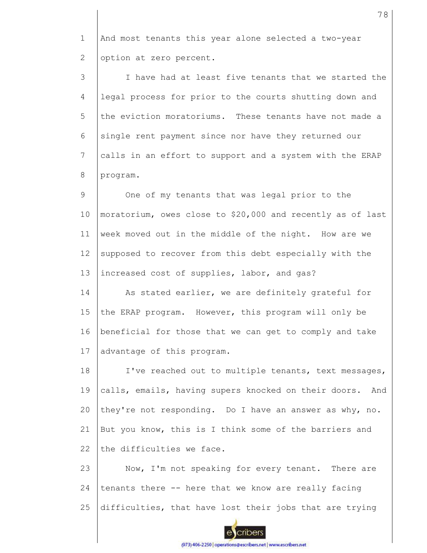1 2 And most tenants this year alone selected a two-year option at zero percent.

3 4 5 6 7 8 I have had at least five tenants that we started the legal process for prior to the courts shutting down and the eviction moratoriums. These tenants have not made a single rent payment since nor have they returned our calls in an effort to support and a system with the ERAP program.

9 10 11 12 13 One of my tenants that was legal prior to the moratorium, owes close to \$20,000 and recently as of last week moved out in the middle of the night. How are we supposed to recover from this debt especially with the increased cost of supplies, labor, and gas?

14 15 16 17 As stated earlier, we are definitely grateful for the ERAP program. However, this program will only be beneficial for those that we can get to comply and take advantage of this program.

18 19 20 21 22 I've reached out to multiple tenants, text messages, calls, emails, having supers knocked on their doors. And they're not responding. Do I have an answer as why, no. But you know, this is I think some of the barriers and the difficulties we face.

23 24 25 Now, I'm not speaking for every tenant. There are tenants there -- here that we know are really facing difficulties, that have lost their jobs that are trying

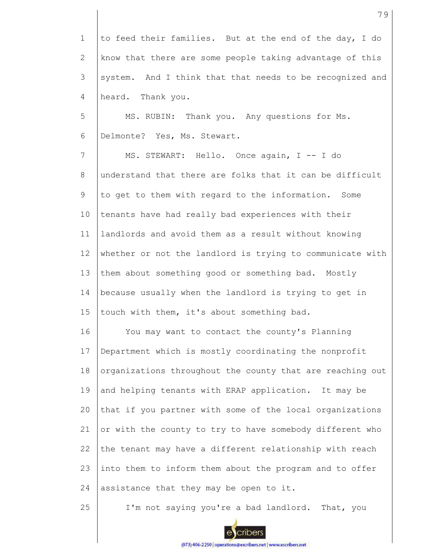1 2 3 4 to feed their families. But at the end of the day, I do know that there are some people taking advantage of this system. And I think that that needs to be recognized and heard. Thank you.

5 6 MS. RUBIN: Thank you. Any questions for Ms. Delmonte? Yes, Ms. Stewart.

7 8 9 10 11 12 13 14 15 MS. STEWART: Hello. Once again, I -- I do understand that there are folks that it can be difficult to get to them with regard to the information. Some tenants have had really bad experiences with their landlords and avoid them as a result without knowing whether or not the landlord is trying to communicate with them about something good or something bad. Mostly because usually when the landlord is trying to get in touch with them, it's about something bad.

16 17 18 19 20 21 22 23 24 You may want to contact the county's Planning Department which is mostly coordinating the nonprofit organizations throughout the county that are reaching out and helping tenants with ERAP application. It may be that if you partner with some of the local organizations or with the county to try to have somebody different who the tenant may have a different relationship with reach into them to inform them about the program and to offer assistance that they may be open to it.

25 I'm not saying you're a bad landlord. That, you

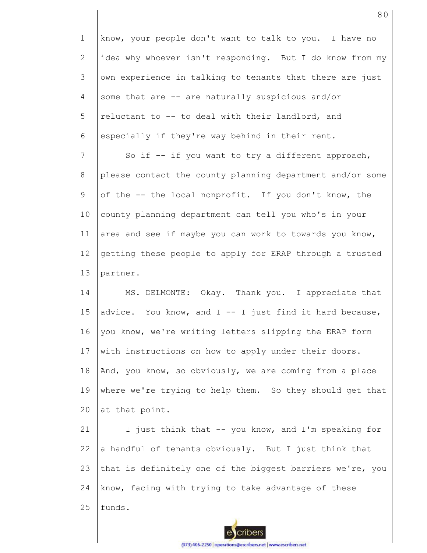1 2 3 4 5 6 7 8 9 10 11 12 13 14 15 16 17 18 19 20 21 22 know, your people don't want to talk to you. I have no idea why whoever isn't responding. But I do know from my own experience in talking to tenants that there are just some that are -- are naturally suspicious and/or reluctant to -- to deal with their landlord, and especially if they're way behind in their rent. So if -- if you want to try a different approach, please contact the county planning department and/or some of the -- the local nonprofit. If you don't know, the county planning department can tell you who's in your area and see if maybe you can work to towards you know, getting these people to apply for ERAP through a trusted partner. MS. DELMONTE: Okay. Thank you. I appreciate that advice. You know, and  $I$  -- I just find it hard because, you know, we're writing letters slipping the ERAP form with instructions on how to apply under their doors. And, you know, so obviously, we are coming from a place where we're trying to help them. So they should get that at that point. I just think that -- you know, and I'm speaking for a handful of tenants obviously. But I just think that

23 24 that is definitely one of the biggest barriers we're, you know, facing with trying to take advantage of these

25 funds.

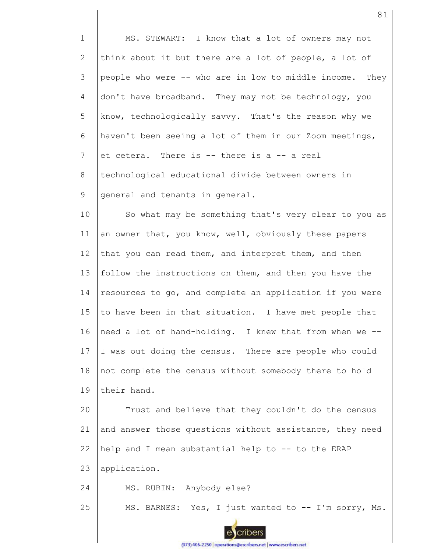1 2 3 4 5 6 7 8 9 10 MS. STEWART: I know that a lot of owners may not think about it but there are a lot of people, a lot of people who were -- who are in low to middle income. They don't have broadband. They may not be technology, you know, technologically savvy. That's the reason why we haven't been seeing a lot of them in our Zoom meetings, et cetera. There is -- there is a -- a real technological educational divide between owners in general and tenants in general.

11 12 13 14 15 16 17 18 19 So what may be something that's very clear to you as an owner that, you know, well, obviously these papers that you can read them, and interpret them, and then follow the instructions on them, and then you have the resources to go, and complete an application if you were to have been in that situation. I have met people that need a lot of hand-holding. I knew that from when we -- I was out doing the census. There are people who could not complete the census without somebody there to hold their hand.

20 21 22 23 Trust and believe that they couldn't do the census and answer those questions without assistance, they need help and I mean substantial help to -- to the ERAP application.

24 MS. RUBIN: Anybody else?

25 MS. BARNES: Yes, I just wanted to -- I'm sorry, Ms.



cribers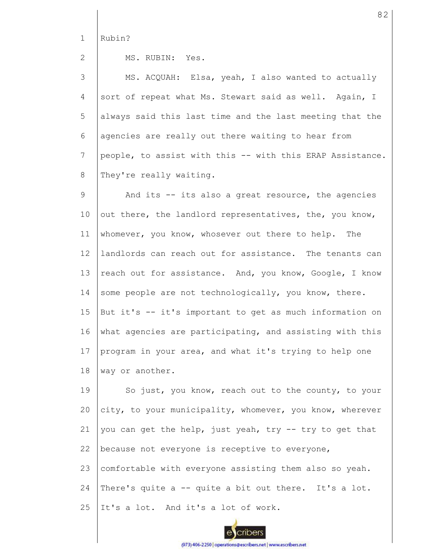1 Rubin?

2

MS. RUBIN: Yes.

3 4 5 6 7 8 MS. ACQUAH: Elsa, yeah, I also wanted to actually sort of repeat what Ms. Stewart said as well. Again, I always said this last time and the last meeting that the agencies are really out there waiting to hear from people, to assist with this -- with this ERAP Assistance. They're really waiting.

9 10 11 12 13 14 15 16 17 18 And its -- its also a great resource, the agencies out there, the landlord representatives, the, you know, whomever, you know, whosever out there to help. The landlords can reach out for assistance. The tenants can reach out for assistance. And, you know, Google, I know some people are not technologically, you know, there. But it's -- it's important to get as much information on what agencies are participating, and assisting with this program in your area, and what it's trying to help one way or another.

19 20 21 22 23 24 25 So just, you know, reach out to the county, to your city, to your municipality, whomever, you know, wherever you can get the help, just yeah, try -- try to get that because not everyone is receptive to everyone, comfortable with everyone assisting them also so yeah. There's quite a -- quite a bit out there. It's a lot. It's a lot. And it's a lot of work.



(973) 406-2250 | operations@escribers.net | www.escribers.net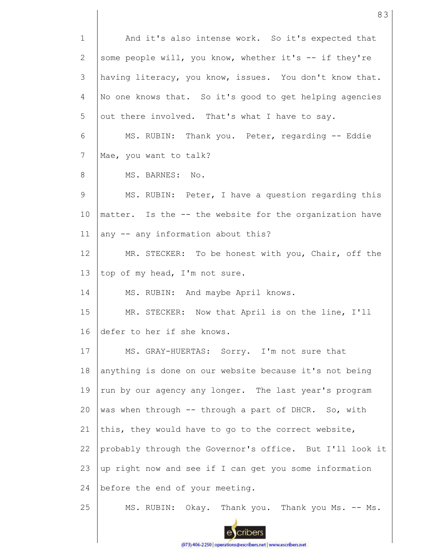1 2 3 4 5 6 7 8 9 10 11 12 13 14 15 16 17 18 19 20 21 22 23 24 25 And it's also intense work. So it's expected that some people will, you know, whether it's -- if they're having literacy, you know, issues. You don't know that. No one knows that. So it's good to get helping agencies out there involved. That's what I have to say. MS. RUBIN: Thank you. Peter, regarding -- Eddie Mae, you want to talk? MS. BARNES: No. MS. RUBIN: Peter, I have a question regarding this matter. Is the -- the website for the organization have any -- any information about this? MR. STECKER: To be honest with you, Chair, off the top of my head, I'm not sure. MS. RUBIN: And maybe April knows. MR. STECKER: Now that April is on the line, I'll defer to her if she knows. MS. GRAY-HUERTAS: Sorry. I'm not sure that anything is done on our website because it's not being run by our agency any longer. The last year's program was when through -- through a part of DHCR. So, with this, they would have to go to the correct website, probably through the Governor's office. But I'll look it up right now and see if I can get you some information before the end of your meeting. MS. RUBIN: Okay. Thank you. Thank you Ms. -- Ms.

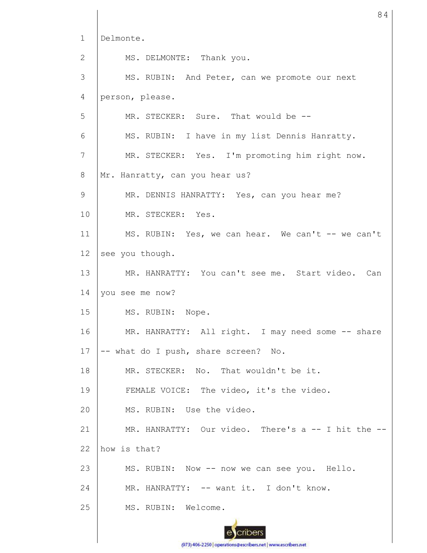1 2 3 4 5 6 7 8 9 10 11 12 13 14 15 16 17 18 19 20 21 22 23 24 25 Delmonte. MS. DELMONTE: Thank you. MS. RUBIN: And Peter, can we promote our next person, please. MR. STECKER: Sure. That would be --MS. RUBIN: I have in my list Dennis Hanratty. MR. STECKER: Yes. I'm promoting him right now. Mr. Hanratty, can you hear us? MR. DENNIS HANRATTY: Yes, can you hear me? MR. STECKER: Yes. MS. RUBIN: Yes, we can hear. We can't -- we can't see you though. MR. HANRATTY: You can't see me. Start video. Can you see me now? MS. RUBIN: Nope. MR. HANRATTY: All right. I may need some -- share -- what do I push, share screen? No. MR. STECKER: No. That wouldn't be it. FEMALE VOICE: The video, it's the video. MS. RUBIN: Use the video. MR. HANRATTY: Our video. There's a -- I hit the -how is that? MS. RUBIN: Now -- now we can see you. Hello. MR. HANRATTY: -- want it. I don't know. MS. RUBIN: Welcome.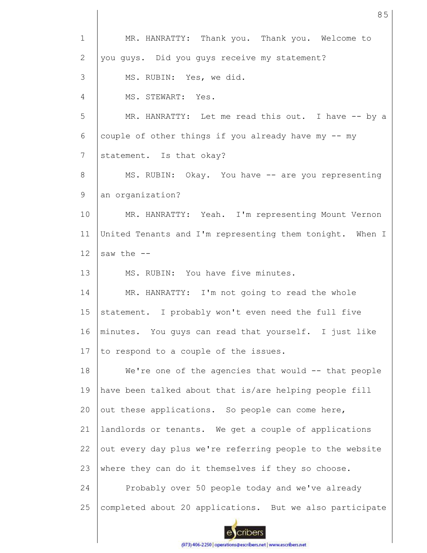| $\mathbf 1$    | MR. HANRATTY: Thank you. Thank you. Welcome to           |
|----------------|----------------------------------------------------------|
| $\mathbf{2}$   | you guys. Did you guys receive my statement?             |
| 3              | MS. RUBIN: Yes, we did.                                  |
| $\overline{4}$ | MS. STEWART: Yes.                                        |
| 5              | MR. HANRATTY: Let me read this out. I have -- by a       |
| 6              | couple of other things if you already have my -- my      |
| $\overline{7}$ | statement. Is that okay?                                 |
| 8              | MS. RUBIN: Okay. You have -- are you representing        |
| 9              | an organization?                                         |
| 10             | MR. HANRATTY: Yeah. I'm representing Mount Vernon        |
| 11             | United Tenants and I'm representing them tonight. When I |
| 12             | saw the $--$                                             |
| 13             | MS. RUBIN: You have five minutes.                        |
| 14             | MR. HANRATTY: I'm not going to read the whole            |
| 15             | statement. I probably won't even need the full five      |
| 16             | minutes. You guys can read that yourself. I just like    |
| 17             | to respond to a couple of the issues.                    |
| 18             | We're one of the agencies that would -- that people      |
| 19             | have been talked about that is/are helping people fill   |
| 20             | out these applications. So people can come here,         |
| 21             | landlords or tenants. We get a couple of applications    |
| 22             | out every day plus we're referring people to the website |
| 23             | where they can do it themselves if they so choose.       |
| 24             | Probably over 50 people today and we've already          |
| 25             | completed about 20 applications. But we also participate |
|                |                                                          |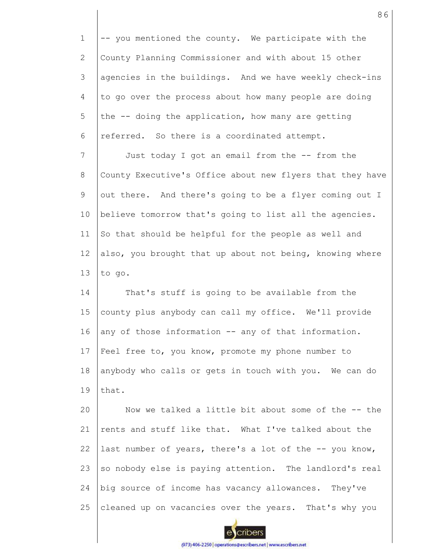1 2 3 4 5 6 7 8 9 10 11 12 13 14 15 16 17 18 19 20 21 22 23 24 25 -- you mentioned the county. We participate with the County Planning Commissioner and with about 15 other agencies in the buildings. And we have weekly check-ins to go over the process about how many people are doing the -- doing the application, how many are getting referred. So there is a coordinated attempt. Just today I got an email from the -- from the County Executive's Office about new flyers that they have out there. And there's going to be a flyer coming out I believe tomorrow that's going to list all the agencies. So that should be helpful for the people as well and also, you brought that up about not being, knowing where to go. That's stuff is going to be available from the county plus anybody can call my office. We'll provide any of those information -- any of that information. Feel free to, you know, promote my phone number to anybody who calls or gets in touch with you. We can do that. Now we talked a little bit about some of the -- the rents and stuff like that. What I've talked about the last number of years, there's a lot of the -- you know, so nobody else is paying attention. The landlord's real big source of income has vacancy allowances. They've cleaned up on vacancies over the years. That's why you

86

cribers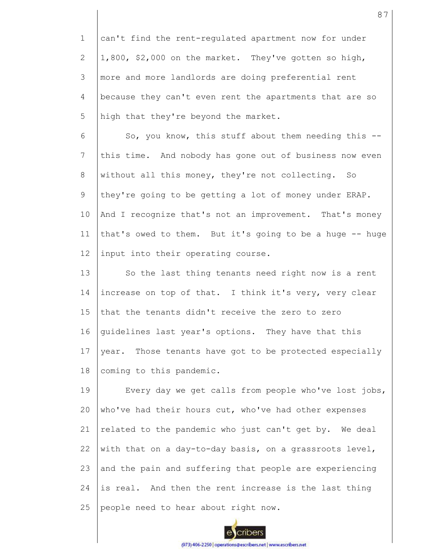1 2 3 4 5 can't find the rent-regulated apartment now for under 1,800, \$2,000 on the market. They've gotten so high, more and more landlords are doing preferential rent because they can't even rent the apartments that are so high that they're beyond the market.

6 7 8 9 10 11 12 So, you know, this stuff about them needing this - this time. And nobody has gone out of business now even without all this money, they're not collecting. So they're going to be getting a lot of money under ERAP. And I recognize that's not an improvement. That's money that's owed to them. But it's going to be a huge -- huge input into their operating course.

13 14 15 16 17 18 So the last thing tenants need right now is a rent increase on top of that. I think it's very, very clear that the tenants didn't receive the zero to zero guidelines last year's options. They have that this year. Those tenants have got to be protected especially coming to this pandemic.

19 20 21 22 23 24 25 Every day we get calls from people who've lost jobs, who've had their hours cut, who've had other expenses related to the pandemic who just can't get by. We deal with that on a day-to-day basis, on a grassroots level, and the pain and suffering that people are experiencing is real. And then the rent increase is the last thing people need to hear about right now.



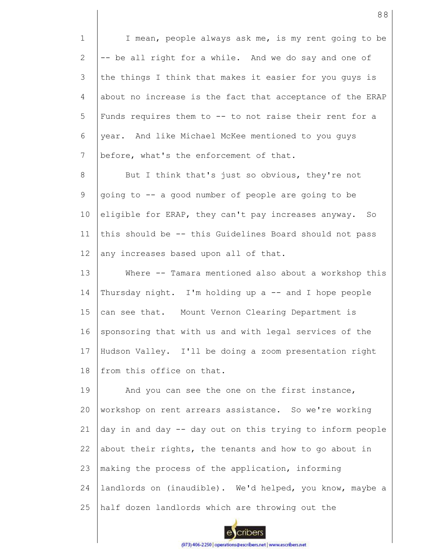1 2 3 4 5 6 7 I mean, people always ask me, is my rent going to be -- be all right for a while. And we do say and one of the things I think that makes it easier for you guys is about no increase is the fact that acceptance of the ERAP Funds requires them to -- to not raise their rent for a year. And like Michael McKee mentioned to you guys before, what's the enforcement of that.

8 9 10 11 12 But I think that's just so obvious, they're not going to -- a good number of people are going to be eligible for ERAP, they can't pay increases anyway. So this should be -- this Guidelines Board should not pass any increases based upon all of that.

13 14 15 16 17 18 Where -- Tamara mentioned also about a workshop this Thursday night. I'm holding up a -- and I hope people can see that. Mount Vernon Clearing Department is sponsoring that with us and with legal services of the Hudson Valley. I'll be doing a zoom presentation right from this office on that.

19 20 21 22 23 24 25 And you can see the one on the first instance, workshop on rent arrears assistance. So we're working day in and day -- day out on this trying to inform people about their rights, the tenants and how to go about in making the process of the application, informing landlords on (inaudible). We'd helped, you know, maybe a half dozen landlords which are throwing out the

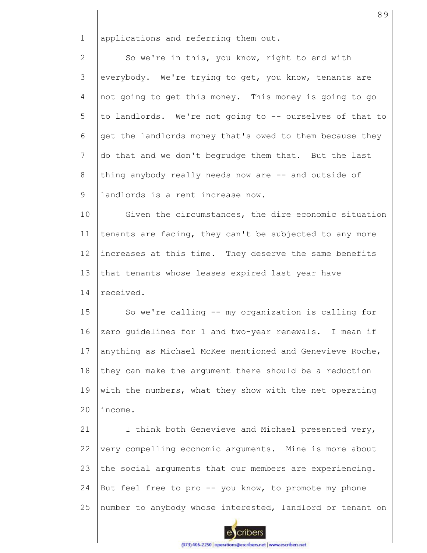1 applications and referring them out.

2 3 4 5 6 7 8 9 So we're in this, you know, right to end with everybody. We're trying to get, you know, tenants are not going to get this money. This money is going to go to landlords. We're not going to -- ourselves of that to get the landlords money that's owed to them because they do that and we don't begrudge them that. But the last thing anybody really needs now are -- and outside of landlords is a rent increase now.

10 11 12 13 14 Given the circumstances, the dire economic situation tenants are facing, they can't be subjected to any more increases at this time. They deserve the same benefits that tenants whose leases expired last year have received.

15 16 17 18 19  $20$ So we're calling -- my organization is calling for zero guidelines for 1 and two-year renewals. I mean if anything as Michael McKee mentioned and Genevieve Roche, they can make the argument there should be a reduction with the numbers, what they show with the net operating income.

21 22 23 24 25 I think both Genevieve and Michael presented very, very compelling economic arguments. Mine is more about the social arguments that our members are experiencing. But feel free to pro -- you know, to promote my phone number to anybody whose interested, landlord or tenant on

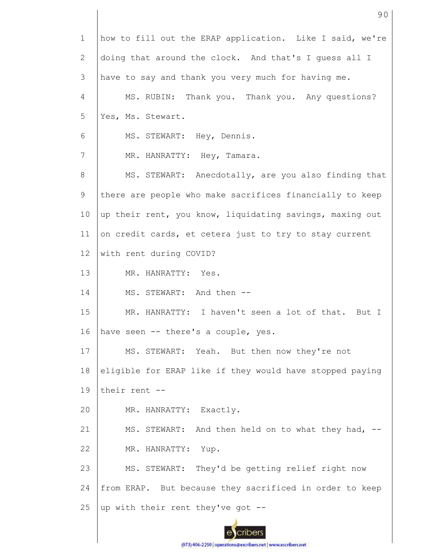| $\mathbf 1$    | how to fill out the ERAP application. Like I said, we're |
|----------------|----------------------------------------------------------|
| 2              | doing that around the clock. And that's I guess all I    |
| 3              | have to say and thank you very much for having me.       |
| $\overline{4}$ | MS. RUBIN: Thank you. Thank you. Any questions?          |
| 5              | Yes, Ms. Stewart.                                        |
| 6              | MS. STEWART: Hey, Dennis.                                |
| 7              | MR. HANRATTY: Hey, Tamara.                               |
| 8              | MS. STEWART: Anecdotally, are you also finding that      |
| 9              | there are people who make sacrifices financially to keep |
| 10             | up their rent, you know, liquidating savings, maxing out |
| 11             | on credit cards, et cetera just to try to stay current   |
| 12             | with rent during COVID?                                  |
| 13             | MR. HANRATTY: Yes.                                       |
| 14             | MS. STEWART: And then --                                 |
| 15             | MR. HANRATTY: I haven't seen a lot of that. But I        |
| 16             | have seen -- there's a couple, yes.                      |
| 17             | MS. STEWART: Yeah. But then now they're not              |
| 18             | eligible for ERAP like if they would have stopped paying |
| 19             | their rent --                                            |
| 20             | MR. HANRATTY: Exactly.                                   |
| 21             | MS. STEWART: And then held on to what they had, --       |
| 22             | MR. HANRATTY:<br>Yup.                                    |
| 23             | MS. STEWART: They'd be getting relief right now          |
| 24             | from ERAP. But because they sacrificed in order to keep  |
| 25             | up with their rent they've got --                        |
|                |                                                          |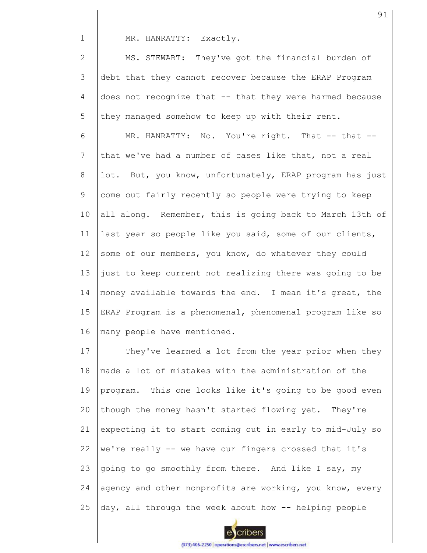MR. HANRATTY: Exactly.

1

2 3 4 5 MS. STEWART: They've got the financial burden of debt that they cannot recover because the ERAP Program does not recognize that -- that they were harmed because they managed somehow to keep up with their rent.

6 7 8 9 10 11 12 13 14 15 16 MR. HANRATTY: No. You're right. That -- that -that we've had a number of cases like that, not a real lot. But, you know, unfortunately, ERAP program has just come out fairly recently so people were trying to keep all along. Remember, this is going back to March 13th of last year so people like you said, some of our clients, some of our members, you know, do whatever they could just to keep current not realizing there was going to be money available towards the end. I mean it's great, the ERAP Program is a phenomenal, phenomenal program like so many people have mentioned.

17 18 19 20 21 22 23 24 25 They've learned a lot from the year prior when they made a lot of mistakes with the administration of the program. This one looks like it's going to be good even though the money hasn't started flowing yet. They're expecting it to start coming out in early to mid-July so we're really -- we have our fingers crossed that it's going to go smoothly from there. And like I say, my agency and other nonprofits are working, you know, every day, all through the week about how -- helping people

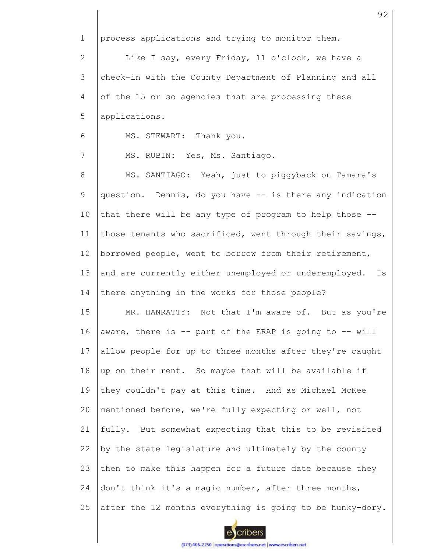1 2 3 4 5 6 7 8 9 10 11 12 13 14 15 16 17 18 19 20 21 22 23 24 25 process applications and trying to monitor them. Like I say, every Friday, 11 o'clock, we have a check-in with the County Department of Planning and all of the 15 or so agencies that are processing these applications. MS. STEWART: Thank you. MS. RUBIN: Yes, Ms. Santiago. MS. SANTIAGO: Yeah, just to piggyback on Tamara's question. Dennis, do you have -- is there any indication that there will be any type of program to help those - those tenants who sacrificed, went through their savings, borrowed people, went to borrow from their retirement, and are currently either unemployed or underemployed. Is there anything in the works for those people? MR. HANRATTY: Not that I'm aware of. But as you're aware, there is -- part of the ERAP is going to -- will allow people for up to three months after they're caught up on their rent. So maybe that will be available if they couldn't pay at this time. And as Michael McKee mentioned before, we're fully expecting or well, not fully. But somewhat expecting that this to be revisited by the state legislature and ultimately by the county then to make this happen for a future date because they don't think it's a magic number, after three months, after the 12 months everything is going to be hunky-dory.

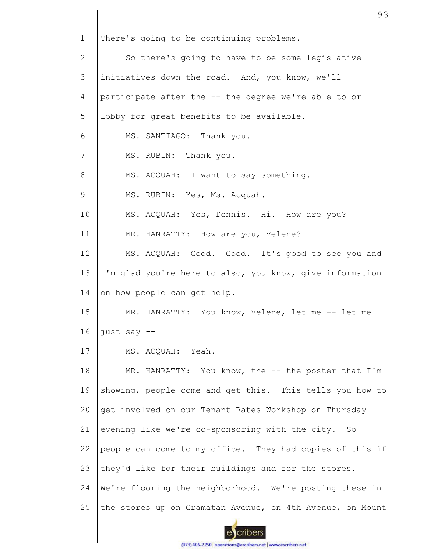1 2 3 4 5 6 7 8 9 10 11 12 13 14 15 16 17 18 19 20 21 22 23 24 25 There's going to be continuing problems. So there's going to have to be some legislative initiatives down the road. And, you know, we'll participate after the -- the degree we're able to or lobby for great benefits to be available. MS. SANTIAGO: Thank you. MS. RUBIN: Thank you. MS. ACQUAH: I want to say something. MS. RUBIN: Yes, Ms. Acquah. MS. ACQUAH: Yes, Dennis. Hi. How are you? MR. HANRATTY: How are you, Velene? MS. ACQUAH: Good. Good. It's good to see you and I'm glad you're here to also, you know, give information on how people can get help. MR. HANRATTY: You know, Velene, let me -- let me just say -- MS. ACQUAH: Yeah. MR. HANRATTY: You know, the -- the poster that I'm showing, people come and get this. This tells you how to get involved on our Tenant Rates Workshop on Thursday evening like we're co-sponsoring with the city. So people can come to my office. They had copies of this if they'd like for their buildings and for the stores. We're flooring the neighborhood. We're posting these in the stores up on Gramatan Avenue, on 4th Avenue, on Mount

93

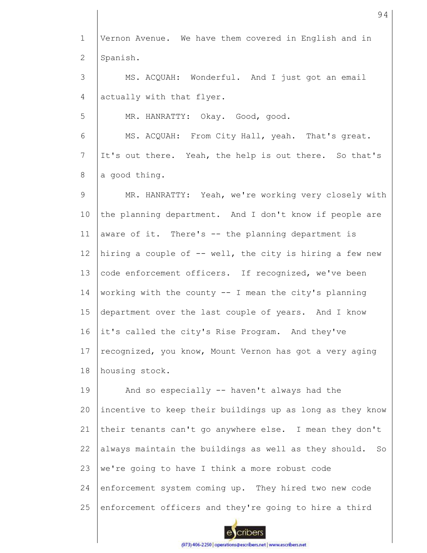1 2 3 4 5 6 7 8 9 10 11 12 13 14 15 16 17 18 19 20 21 22 23 24 25 Vernon Avenue. We have them covered in English and in Spanish. MS. ACQUAH: Wonderful. And I just got an email actually with that flyer. MR. HANRATTY: Okay. Good, good. MS. ACQUAH: From City Hall, yeah. That's great. It's out there. Yeah, the help is out there. So that's a good thing. MR. HANRATTY: Yeah, we're working very closely with the planning department. And I don't know if people are aware of it. There's -- the planning department is hiring a couple of -- well, the city is hiring a few new code enforcement officers. If recognized, we've been working with the county  $--$  I mean the city's planning department over the last couple of years. And I know it's called the city's Rise Program. And they've recognized, you know, Mount Vernon has got a very aging housing stock. And so especially -- haven't always had the incentive to keep their buildings up as long as they know their tenants can't go anywhere else. I mean they don't always maintain the buildings as well as they should. So we're going to have I think a more robust code enforcement system coming up. They hired two new code enforcement officers and they're going to hire a third

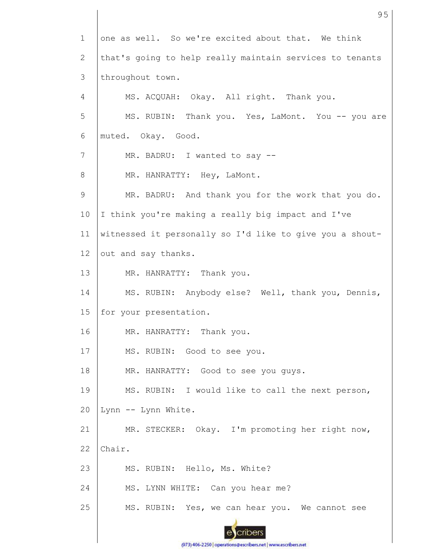1 one as well. So we're excited about that. We think that's going to help really maintain services to tenants 2 3 throughout town. 4 MS. ACQUAH: Okay. All right. Thank you. 5 MS. RUBIN: Thank you. Yes, LaMont. You -- you are 6 muted. Okay. Good. 7 MR. BADRU: I wanted to say -- 8 MR. HANRATTY: Hey, LaMont. 9 MR. BADRU: And thank you for the work that you do. 10 I think you're making a really big impact and I've 11 witnessed it personally so I'd like to give you a shout-12 out and say thanks. 13 MR. HANRATTY: Thank you. MS. RUBIN: Anybody else? Well, thank you, Dennis, 14 15 for your presentation. MR. HANRATTY: Thank you. 16 17 MS. RUBIN: Good to see you. 18 MR. HANRATTY: Good to see you guys. 19 MS. RUBIN: I would like to call the next person, 20 Lynn -- Lynn White. 21 MR. STECKER: Okay. I'm promoting her right now, 22 Chair. 23 MS. RUBIN: Hello, Ms. White? 24 MS. LYNN WHITE: Can you hear me? 25 MS. RUBIN: Yes, we can hear you. We cannot see cribers

(973) 406-2250 | operations@escribers.net | www.escribers.net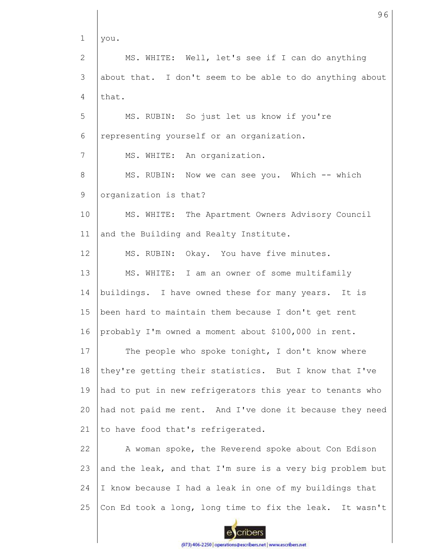1 2 3 4 5 6 7 8 9 10 11 12 13 14 15 16 17 18 19  $20$ 21 22 23 24 25 you. MS. WHITE: Well, let's see if I can do anything about that. I don't seem to be able to do anything about that. MS. RUBIN: So just let us know if you're representing yourself or an organization. MS. WHITE: An organization. MS. RUBIN: Now we can see you. Which -- which organization is that? MS. WHITE: The Apartment Owners Advisory Council and the Building and Realty Institute. MS. RUBIN: Okay. You have five minutes. MS. WHITE: I am an owner of some multifamily buildings. I have owned these for many years. It is been hard to maintain them because I don't get rent probably I'm owned a moment about \$100,000 in rent. The people who spoke tonight, I don't know where they're getting their statistics. But I know that I've had to put in new refrigerators this year to tenants who had not paid me rent. And I've done it because they need to have food that's refrigerated. A woman spoke, the Reverend spoke about Con Edison and the leak, and that I'm sure is a very big problem but I know because I had a leak in one of my buildings that Con Ed took a long, long time to fix the leak. It wasn't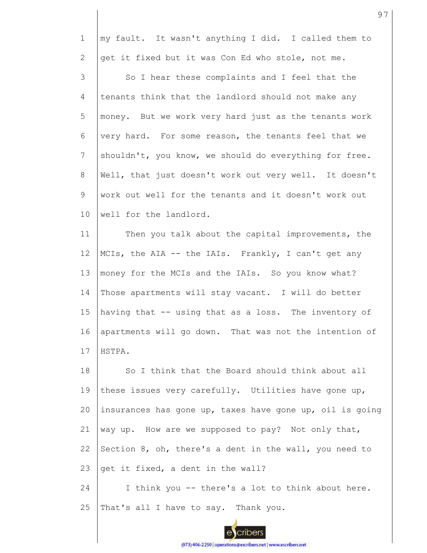1 2 3 4 5 6 7 8 9 10 11 12 13 14 15 16 17 18 19 20 21 22 23 24 25 my fault. It wasn't anything I did. I called them to get it fixed but it was Con Ed who stole, not me. So I hear these complaints and I feel that the tenants think that the landlord should not make any money. But we work very hard just as the tenants work very hard. For some reason, the tenants feel that we shouldn't, you know, we should do everything for free. Well, that just doesn't work out very well. It doesn't work out well for the tenants and it doesn't work out well for the landlord. Then you talk about the capital improvements, the MCIs, the AIA -- the IAIs. Frankly, I can't get any money for the MCIs and the IAIs. So you know what? Those apartments will stay vacant. I will do better having that -- using that as a loss. The inventory of apartments will go down. That was not the intention of HSTPA. So I think that the Board should think about all these issues very carefully. Utilities have gone up, insurances has gone up, taxes have gone up, oil is going way up. How are we supposed to pay? Not only that, Section 8, oh, there's a dent in the wall, you need to get it fixed, a dent in the wall? I think you -- there's a lot to think about here. That's all I have to say. Thank you.

97

(973) 406-2250 | operations@escribers.net | www.escribers.net

cribers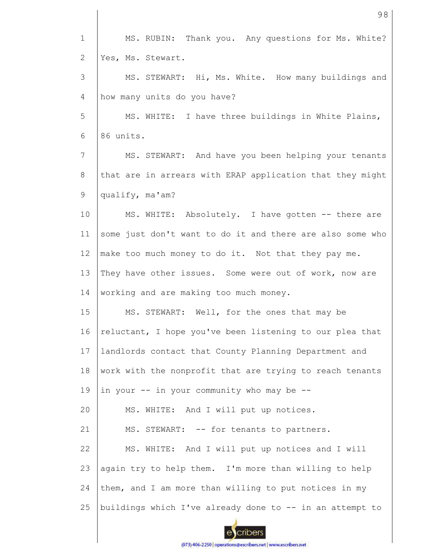1 MS. RUBIN: Thank you. Any questions for Ms. White? 2 Yes, Ms. Stewart. 3 MS. STEWART: Hi, Ms. White. How many buildings and 4 how many units do you have? 5 MS. WHITE: I have three buildings in White Plains, 6 86 units. 7 MS. STEWART: And have you been helping your tenants that are in arrears with ERAP application that they might 8 9 qualify, ma'am? 10 MS. WHITE: Absolutely. I have gotten -- there are some just don't want to do it and there are also some who 11 12 make too much money to do it. Not that they pay me. 13 They have other issues. Some were out of work, now are working and are making too much money. 14 15 MS. STEWART: Well, for the ones that may be 16 reluctant, I hope you've been listening to our plea that 17 landlords contact that County Planning Department and 18 work with the nonprofit that are trying to reach tenants 19 in your -- in your community who may be -- MS. WHITE: And I will put up notices. 20 21 MS. STEWART: -- for tenants to partners. 22 MS. WHITE: And I will put up notices and I will 23 again try to help them. I'm more than willing to help them, and I am more than willing to put notices in my 24 25 buildings which I've already done to -- in an attempt to cribers

98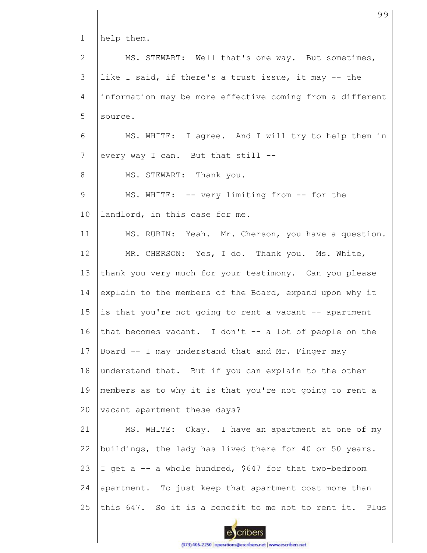1 2 3 4 5 6 7 8 9 10 11 12 13 14 15 16 17 18 19 20 21 22 23 24 25 help them. MS. STEWART: Well that's one way. But sometimes, like I said, if there's a trust issue, it may -- the information may be more effective coming from a different source. MS. WHITE: I agree. And I will try to help them in every way I can. But that still -- MS. STEWART: Thank you. MS. WHITE: -- very limiting from -- for the landlord, in this case for me. MS. RUBIN: Yeah. Mr. Cherson, you have a question. MR. CHERSON: Yes, I do. Thank you. Ms. White, thank you very much for your testimony. Can you please explain to the members of the Board, expand upon why it is that you're not going to rent a vacant -- apartment that becomes vacant. I don't  $-$  a lot of people on the Board -- I may understand that and Mr. Finger may understand that. But if you can explain to the other members as to why it is that you're not going to rent a vacant apartment these days? MS. WHITE: Okay. I have an apartment at one of my buildings, the lady has lived there for 40 or 50 years. I get a -- a whole hundred, \$647 for that two-bedroom apartment. To just keep that apartment cost more than this 647. So it is a benefit to me not to rent it. Plus

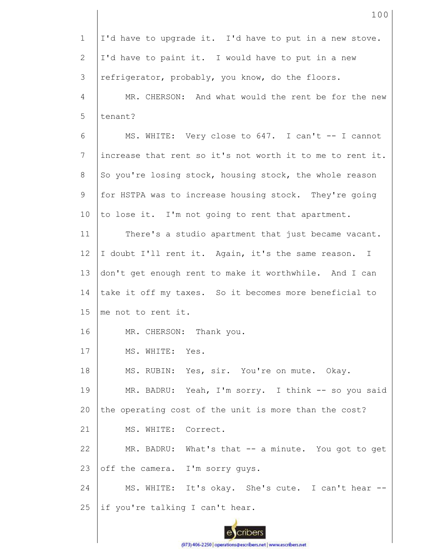1 2 3 4 5 6 7 8 9 10 11 12 13 14 15 16 17 18 19 20 21 22 23 24 25 I'd have to upgrade it. I'd have to put in a new stove. I'd have to paint it. I would have to put in a new refrigerator, probably, you know, do the floors. MR. CHERSON: And what would the rent be for the new tenant? MS. WHITE: Very close to 647. I can't -- I cannot increase that rent so it's not worth it to me to rent it. So you're losing stock, housing stock, the whole reason for HSTPA was to increase housing stock. They're going to lose it. I'm not going to rent that apartment. There's a studio apartment that just became vacant. I doubt I'll rent it. Again, it's the same reason. I don't get enough rent to make it worthwhile. And I can take it off my taxes. So it becomes more beneficial to me not to rent it. MR. CHERSON: Thank you. MS. WHITE: Yes. MS. RUBIN: Yes, sir. You're on mute. Okay. MR. BADRU: Yeah, I'm sorry. I think -- so you said the operating cost of the unit is more than the cost? MS. WHITE: Correct. MR. BADRU: What's that -- a minute. You got to get off the camera. I'm sorry guys. MS. WHITE: It's okay. She's cute. I can't hear - if you're talking I can't hear.

> cribers (973) 406-2250 | operations@escribers.net | www.escribers.net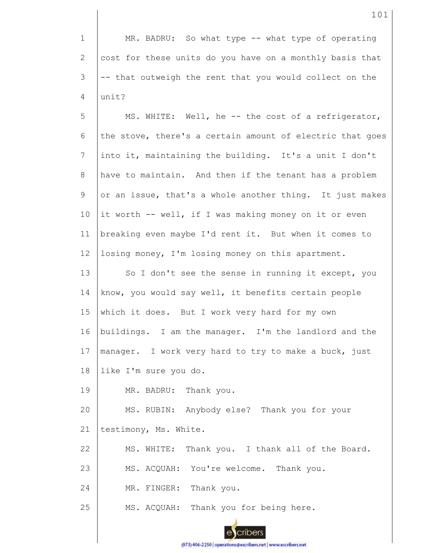1 2 3 4 MR. BADRU: So what type -- what type of operating cost for these units do you have on a monthly basis that -- that outweigh the rent that you would collect on the unit?

5 6 7 8 9 10 11 12 13 14 15 16 17 18 MS. WHITE: Well, he -- the cost of a refrigerator, the stove, there's a certain amount of electric that goes into it, maintaining the building. It's a unit I don't have to maintain. And then if the tenant has a problem or an issue, that's a whole another thing. It just makes it worth -- well, if I was making money on it or even breaking even maybe I'd rent it. But when it comes to losing money, I'm losing money on this apartment. So I don't see the sense in running it except, you know, you would say well, it benefits certain people which it does. But I work very hard for my own buildings. I am the manager. I'm the landlord and the manager. I work very hard to try to make a buck, just like I'm sure you do.

19 MR. BADRU: Thank you.

20 21 MS. RUBIN: Anybody else? Thank you for your testimony, Ms. White.

22 MS. WHITE: Thank you. I thank all of the Board.

23 MS. ACQUAH: You're welcome. Thank you.

24 MR. FINGER: Thank you.

25 MS. ACQUAH: Thank you for being here.

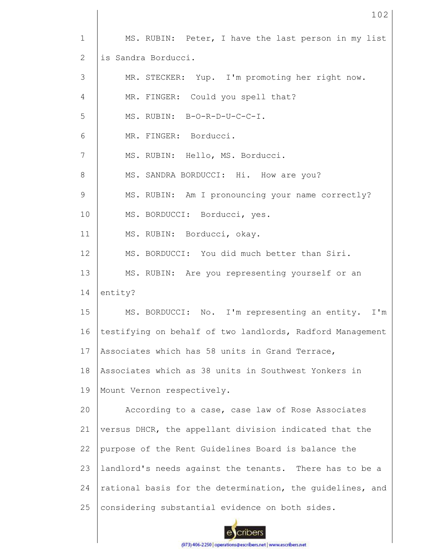| $\mathbf 1$  | MS. RUBIN: Peter, I have the last person in my list       |
|--------------|-----------------------------------------------------------|
| $\mathbf{2}$ | is Sandra Borducci.                                       |
| 3            | MR. STECKER: Yup. I'm promoting her right now.            |
| 4            | MR. FINGER: Could you spell that?                         |
| 5            | MS. RUBIN: B-O-R-D-U-C-C-I.                               |
| 6            | MR. FINGER: Borducci.                                     |
| 7            | MS. RUBIN: Hello, MS. Borducci.                           |
| 8            | MS. SANDRA BORDUCCI: Hi. How are you?                     |
| 9            | MS. RUBIN: Am I pronouncing your name correctly?          |
| 10           | MS. BORDUCCI: Borducci, yes.                              |
| 11           | MS. RUBIN: Borducci, okay.                                |
| 12           | MS. BORDUCCI: You did much better than Siri.              |
| 13           | MS. RUBIN: Are you representing yourself or an            |
| 14           | entity?                                                   |
| 15           | MS. BORDUCCI: No. I'm representing an entity.<br>$I'$ m   |
| 16           | testifying on behalf of two landlords, Radford Management |
| 17           | Associates which has 58 units in Grand Terrace,           |
| 18           | Associates which as 38 units in Southwest Yonkers in      |
| 19           | Mount Vernon respectively.                                |
| 20           | According to a case, case law of Rose Associates          |
| 21           | versus DHCR, the appellant division indicated that the    |
| 22           | purpose of the Rent Guidelines Board is balance the       |
| 23           | landlord's needs against the tenants. There has to be a   |
| 24           | rational basis for the determination, the guidelines, and |
| 25           | considering substantial evidence on both sides.           |

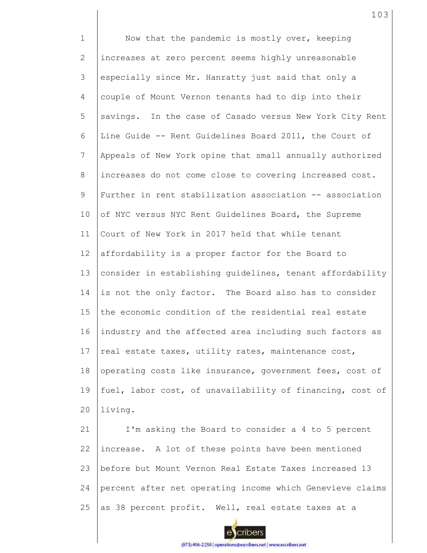1 2 3 4 5 6 7 8 9 10 11 12 13 14 15 16 17 18 19  $20$ 21 22 23 24 Now that the pandemic is mostly over, keeping increases at zero percent seems highly unreasonable especially since Mr. Hanratty just said that only a couple of Mount Vernon tenants had to dip into their savings. In the case of Casado versus New York City Rent Line Guide -- Rent Guidelines Board 2011, the Court of Appeals of New York opine that small annually authorized increases do not come close to covering increased cost. Further in rent stabilization association -- association of NYC versus NYC Rent Guidelines Board, the Supreme Court of New York in 2017 held that while tenant affordability is a proper factor for the Board to consider in establishing guidelines, tenant affordability is not the only factor. The Board also has to consider the economic condition of the residential real estate industry and the affected area including such factors as real estate taxes, utility rates, maintenance cost, operating costs like insurance, government fees, cost of fuel, labor cost, of unavailability of financing, cost of living. I'm asking the Board to consider a 4 to 5 percent increase. A lot of these points have been mentioned before but Mount Vernon Real Estate Taxes increased 13 percent after net operating income which Genevieve claims

25 as 38 percent profit. Well, real estate taxes at a

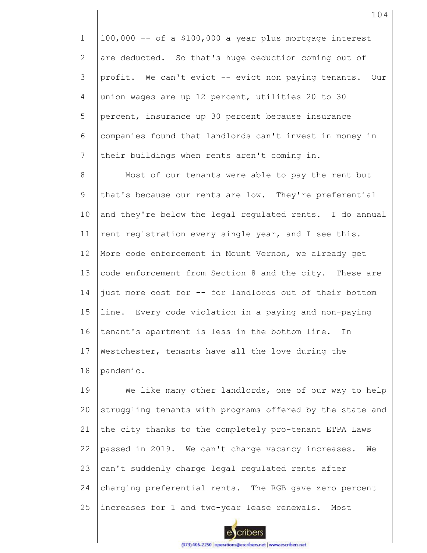1 2 3 4 5 6 7 100,000 -- of a \$100,000 a year plus mortgage interest are deducted. So that's huge deduction coming out of profit. We can't evict -- evict non paying tenants. Our union wages are up 12 percent, utilities 20 to 30 percent, insurance up 30 percent because insurance companies found that landlords can't invest in money in their buildings when rents aren't coming in.

8 9 10 11 12 13 14 15 16 17 18 Most of our tenants were able to pay the rent but that's because our rents are low. They're preferential and they're below the legal regulated rents. I do annual rent registration every single year, and I see this. More code enforcement in Mount Vernon, we already get code enforcement from Section 8 and the city. These are just more cost for -- for landlords out of their bottom line. Every code violation in a paying and non-paying tenant's apartment is less in the bottom line. In Westchester, tenants have all the love during the pandemic.

19  $20$ 21 22 23 24 25 We like many other landlords, one of our way to help struggling tenants with programs offered by the state and the city thanks to the completely pro-tenant ETPA Laws passed in 2019. We can't charge vacancy increases. We can't suddenly charge legal regulated rents after charging preferential rents. The RGB gave zero percent increases for 1 and two-year lease renewals. Most

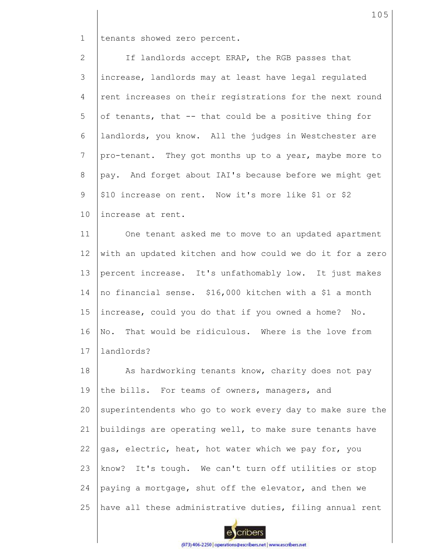1 tenants showed zero percent.

2 3 4 5 6 7 8 9 10 If landlords accept ERAP, the RGB passes that increase, landlords may at least have legal regulated rent increases on their registrations for the next round of tenants, that -- that could be a positive thing for landlords, you know. All the judges in Westchester are pro-tenant. They got months up to a year, maybe more to pay. And forget about IAI's because before we might get \$10 increase on rent. Now it's more like \$1 or \$2 increase at rent.

11 12 13 14 15 16 17 One tenant asked me to move to an updated apartment with an updated kitchen and how could we do it for a zero percent increase. It's unfathomably low. It just makes no financial sense. \$16,000 kitchen with a \$1 a month increase, could you do that if you owned a home? No. No. That would be ridiculous. Where is the love from landlords?

18 19 20 21 22 23 24 25 As hardworking tenants know, charity does not pay the bills. For teams of owners, managers, and superintendents who go to work every day to make sure the buildings are operating well, to make sure tenants have gas, electric, heat, hot water which we pay for, you know? It's tough. We can't turn off utilities or stop paying a mortgage, shut off the elevator, and then we have all these administrative duties, filing annual rent

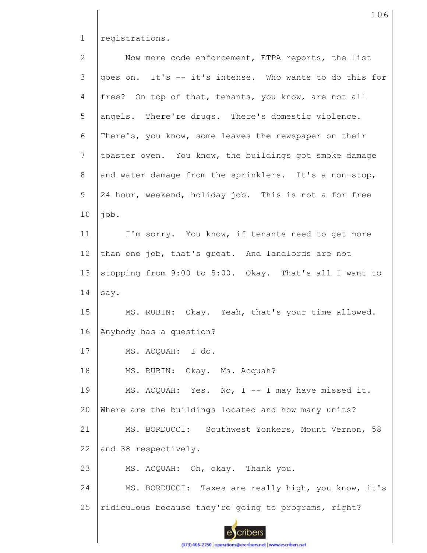1 registrations.

2 3 4 5 6 7 8 9 10 11 12 13 14 15 16 17 18 19 20 21 22 23 24 25 Now more code enforcement, ETPA reports, the list goes on. It's -- it's intense. Who wants to do this for free? On top of that, tenants, you know, are not all angels. There're drugs. There's domestic violence. There's, you know, some leaves the newspaper on their toaster oven. You know, the buildings got smoke damage and water damage from the sprinklers. It's a non-stop, 24 hour, weekend, holiday job. This is not a for free job. I'm sorry. You know, if tenants need to get more than one job, that's great. And landlords are not stopping from 9:00 to 5:00. Okay. That's all I want to say. MS. RUBIN: Okay. Yeah, that's your time allowed. Anybody has a question? MS. ACQUAH: I do. MS. RUBIN: Okay. Ms. Acquah? MS. ACQUAH: Yes. No, I -- I may have missed it. Where are the buildings located and how many units? MS. BORDUCCI: Southwest Yonkers, Mount Vernon, 58 and 38 respectively. MS. ACQUAH: Oh, okay. Thank you. MS. BORDUCCI: Taxes are really high, you know, it's ridiculous because they're going to programs, right?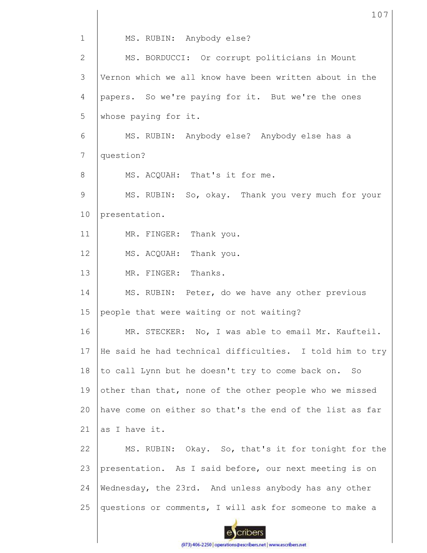1 MS. RUBIN: Anybody else? MS. BORDUCCI: Or corrupt politicians in Mount 2 Vernon which we all know have been written about in the 3 4 papers. So we're paying for it. But we're the ones 5 whose paying for it. 6 MS. RUBIN: Anybody else? Anybody else has a 7 question? MS. ACQUAH: That's it for me. 8 9 MS. RUBIN: So, okay. Thank you very much for your 10 presentation. 11 MR. FINGER: Thank you. 12 MS. ACQUAH: Thank you. 13 MR. FINGER: Thanks. 14 MS. RUBIN: Peter, do we have any other previous 15 people that were waiting or not waiting? 16 MR. STECKER: No, I was able to email Mr. Kaufteil. He said he had technical difficulties. I told him to try 17 18 to call Lynn but he doesn't try to come back on. So 19 other than that, none of the other people who we missed  $20$ have come on either so that's the end of the list as far as I have it. 21 MS. RUBIN: Okay. So, that's it for tonight for the 22 23 presentation. As I said before, our next meeting is on 24 Wednesday, the 23rd. And unless anybody has any other questions or comments, I will ask for someone to make a 25 cribers

107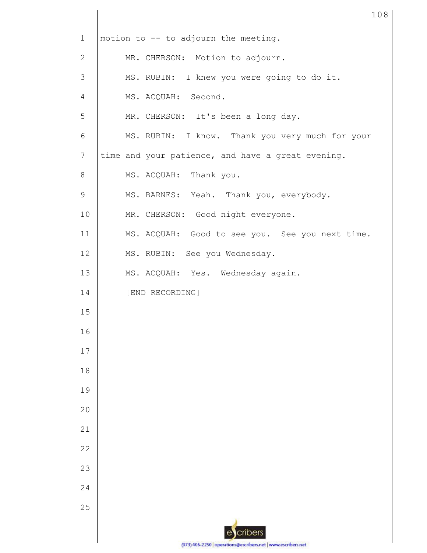| $\mathbf 1$    | motion to -- to adjourn the meeting.              |
|----------------|---------------------------------------------------|
| 2              | MR. CHERSON: Motion to adjourn.                   |
| 3              | MS. RUBIN: I knew you were going to do it.        |
| $\overline{4}$ | MS. ACQUAH: Second.                               |
| 5              | MR. CHERSON: It's been a long day.                |
| 6              | MS. RUBIN: I know. Thank you very much for your   |
| 7              | time and your patience, and have a great evening. |
| 8              | MS. ACQUAH: Thank you.                            |
| 9              | MS. BARNES: Yeah. Thank you, everybody.           |
| 10             | MR. CHERSON: Good night everyone.                 |
| 11             | MS. ACQUAH: Good to see you. See you next time.   |
| 12             | MS. RUBIN: See you Wednesday.                     |
| 13             | MS. ACQUAH: Yes. Wednesday again.                 |
| 14             | [END RECORDING]                                   |
| 15             |                                                   |
| 16             |                                                   |
| 17             |                                                   |
| 18             |                                                   |
| 19             |                                                   |
| 20             |                                                   |
| 21             |                                                   |
| 22             |                                                   |
| 23             |                                                   |
| 24             |                                                   |
| 25             |                                                   |
|                | cribers                                           |
|                | 0721404-2250                                      |

(973) 406-2250 | operations@escribers.net | www.escribers.net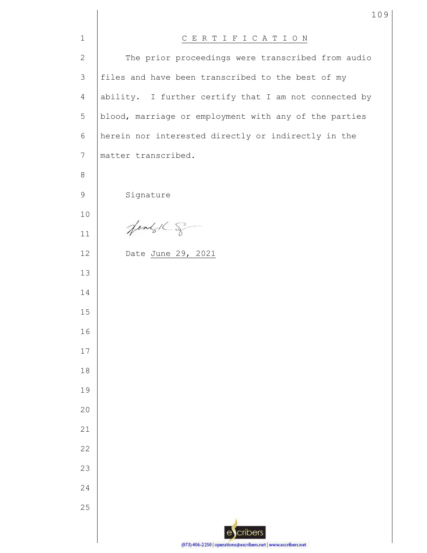| $\mathbf{1}$    | CERTIFICATION                                                 |
|-----------------|---------------------------------------------------------------|
| $\mathbf{2}$    | The prior proceedings were transcribed from audio             |
| 3               | files and have been transcribed to the best of my             |
| 4               | ability. I further certify that I am not connected by         |
| $\mathsf S$     | blood, marriage or employment with any of the parties         |
| 6               | herein nor interested directly or indirectly in the           |
| $7\phantom{.0}$ | matter transcribed.                                           |
| $8\,$           |                                                               |
| 9               | Signature                                                     |
| 10              |                                                               |
| 11              | Jendy 16 g                                                    |
| 12              | Date June 29, 2021                                            |
| 13              |                                                               |
| 14              |                                                               |
| 15              |                                                               |
| 16              |                                                               |
| 17              |                                                               |
| 18              |                                                               |
| 19              |                                                               |
| 20              |                                                               |
| 21              |                                                               |
| 22              |                                                               |
| 23              |                                                               |
| 24              |                                                               |
| 25              |                                                               |
|                 | cribers<br>$\mathbf{e}$                                       |
|                 | (973) 406-2250   operations@escribers.net   www.escribers.net |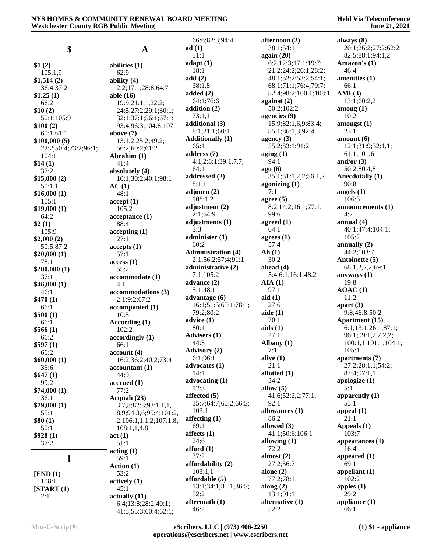|                                      |                                     | 66:6;82:3;94:4                  | afternoon (2)                                | always $(8)$                                 |
|--------------------------------------|-------------------------------------|---------------------------------|----------------------------------------------|----------------------------------------------|
| \$                                   | $\mathbf A$                         | ad(1)                           | 38:1;54:1                                    | 20:1;26:2;27:2;62:2;                         |
|                                      |                                     | 51:1                            | again $(20)$                                 | 82:5;88:1;94:1,2                             |
| \$1(2)                               | abilities (1)                       | adapt(1)                        | 6:2;12:3;17:1;19:7;                          | Amazon's (1)                                 |
| 105:1,9                              | 62:9                                | 18:1                            | 21:2;24:2;26:1;28:2;                         | 46:4                                         |
| \$1,514(2)                           | ability $(4)$                       | add(2)<br>38:1,8                | 48:1;52:2;53:2;54:1;<br>68:1;71:1;76:4;79:7; | amenities (1)<br>66:1                        |
| 36:4;37:2<br>\$1.25(1)               | 2:2;17:1;28:8;64:7<br>able $(16)$   | added $(2)$                     | 82:4;98:2;100:1;108:1                        | AMI(3)                                       |
| 66:2                                 | 19:9;21:1,1;22:2;                   | 64:1;76:6                       | against $(2)$                                | 13:1;60:2,2                                  |
| \$10(2)                              | 24:5;27:2;29:1;30:1;                | addition (2)                    | 50:2;102:2                                   | $\mathbf{among}\left(1\right)$               |
| 50:1;105:9                           | 32:1;37:1;56:1;67:1;                | 73:1,1                          | agencies (9)                                 | 10:2                                         |
| \$100(2)                             | 93:4;96:3;104:8;107:1               | additional (3)<br>8:1;21:1;60:1 | 15:9;82:1,6,9;83:4;<br>85:1;86:1,3;92:4      | amongst(1)<br>23:1                           |
| 60:1;61:1                            | above $(7)$                         | <b>Additionally (1)</b>         | agency $(3)$                                 | amount $(6)$                                 |
| \$100,000(5)<br>22:2;50:4;73:2;96:1; | 13:1,2;25:2;49:2;<br>56:2;60:2;61:2 | 65:1                            | 55:2;83:1;91:2                               | 12:1;31:9;32:1,1;                            |
| 104:1                                | Abrahim (1)                         | address (7)                     | aging(1)                                     | 61:1;101:6                                   |
| \$14(1)                              | 41:4                                | 4:1,2;8:1;39:1,7,7;             | 94:1                                         | and/or $(3)$                                 |
| 37:2                                 | absolutely (4)                      | 64:1                            | ago(6)                                       | 50:2;80:4,8                                  |
| \$15,000(2)                          | 10:1;30:2;40:1;98:1                 | addressed (2)<br>8:1,1          | 35:1;51:1,2,2;56:1,2<br>agonizing $(1)$      | Anecdotally (1)<br>90:8                      |
| 50:1,1                               | AC(1)<br>48:1                       | adjourn $(2)$                   | 7:1                                          | angels $(1)$                                 |
| \$16,000(1)<br>105:1                 | accept(1)                           | 108:1,2                         | agree $(5)$                                  | 106:5                                        |
| \$19,000(1)                          | 105:2                               | adjustment (2)                  | 8:2;14:2;16:1;27:1;                          | announcements (1)                            |
| 64:2                                 | acceptance(1)                       | 2:1:54:9                        | 99:6                                         | 4:2                                          |
| \$2(1)                               | 88:4                                | adjustments (1)                 | agreed $(1)$                                 | annual $(4)$                                 |
| 105:9                                | accepting(1)                        | 3:3<br>administer (1)           | 64:1<br>agrees $(1)$                         | 40:1;47:4;104:1;<br>105:2                    |
| \$2,000(2)                           | 27:1                                | 60:2                            | 57:4                                         | annually (2)                                 |
| 50:5;87:2<br>\$20,000(1)             | accepts(1)<br>57:1                  | <b>Administration (4)</b>       | Ah(1)                                        | 44:2;103:7                                   |
| 78:1                                 | access(1)                           | 2:1;56:2;57:4;91:1              | 30:2                                         | Antoinette (5)                               |
| \$200,000(1)                         | 55:2                                | administrative (2)              | ahead $(4)$                                  | 68:1,2,2,2;69:1                              |
| 37:1                                 | accommodate (1)                     | 7:1;105:2<br>advance (2)        | 5:4;6:1;16:1;48:2<br>AIA(1)                  | anyways $(1)$<br>19:8                        |
| \$46,000(1)                          | 4:1                                 | 5:1;48:1                        | 97:1                                         | AOAC(1)                                      |
| 46:1<br>\$470(1)                     | accommodations (3)<br>2:1;9:2;67:2  | advantage $(6)$                 | aid(1)                                       | 11:2                                         |
| 66:1                                 | accompanied (1)                     | 16:1;51:5;65:1;78:1;            | 27:6                                         | apart $(3)$                                  |
| \$500(1)                             | 10:5                                | 79:2;80:2                       | aide $(1)$                                   | 9:8;46:8;50:2                                |
| 66:1                                 | According (1)                       | advice(1)<br>80:1               | 70:1<br>aids(1)                              | <b>Apartment</b> (15)<br>6:1;13:1;26:1;87:1; |
| \$566(1)                             | 102:2                               | <b>Advisers</b> (1)             | 27:1                                         | 96:1;99:1,2,2,2,2;                           |
| 66:2<br>\$597(1)                     | accordingly(1)<br>66:1              | 44:3                            | Albany $(1)$                                 | 100:1,1;101:1;104:1;                         |
| 66:2                                 | account(4)                          | <b>Advisory (2)</b>             | 7:1                                          | 105:1                                        |
| \$60,000(1)                          | 16:2;36:2;40:2;73:4                 | 6:1;96:1                        | alive $(1)$                                  | apartments (7)                               |
| 36:6                                 | accountant(1)                       | advocates (1)                   | 21:1                                         | 27:2;28:1,1;54:2;                            |
| \$647(1)                             | 44:9                                | 14:1<br>advocating (1)          | allotted $(1)$<br>34:2                       | 87:4;97:1,1<br>apologize $(1)$               |
| 99:2<br>\$74,000(1)                  | accrued(1)<br>77:2                  | 12:3                            | allow $(5)$                                  | 5:1                                          |
| 36:1                                 | Acquah (23)                         | affected (5)                    | 41:6;52:2,2;77:1;                            | apparently (1)                               |
| \$79,000(1)                          | 3:7,8;82:3;93:1,1,1,                | 35:7;64:7;65:2;66:5;            | 92:1                                         | 55:1                                         |
| 55:1                                 | 8,9;94:3,6;95:4;101:2,              | 103:1                           | allowances (1)                               | appeal (1)                                   |
| \$80(1)                              | 2;106:1,1,1,2;107:1,8;              | affecting $(1)$<br>69:1         | 86:2<br>allowed (3)                          | 21:1<br>Appeals (1)                          |
| 50:1                                 | 108:1,1,4,8                         | affects $(1)$                   | 41:1;50:6;106:1                              | 103:7                                        |
| \$928(1)<br>37:2                     | act(1)<br>51:1                      | 24:6                            | allowing $(1)$                               | appearances $(1)$                            |
|                                      | $\arctan(1)$                        | afford $(1)$                    | 72:2                                         | 16:4                                         |
| I                                    | 59:1                                | 37:2                            | almost $(2)$                                 | appeared (1)                                 |
|                                      | Action (1)                          | affordability (2)               | 27:2;56:7                                    | 69:1                                         |
| [END (1)]                            | 53:2                                | 103:1,1<br>affordable (5)       | alone $(2)$<br>77:2;78:1                     | appellant $(1)$<br>102:2                     |
| 108:1<br>[START (1)]                 | actively $(1)$<br>45:1              | 13:1;34:1;35:1;36:5;            | along $(2)$                                  | apples $(1)$                                 |
| 2:1                                  | actually(11)                        | 52:2                            | 13:1;91:1                                    | 29:2                                         |
|                                      | 6:4;13:8;28:2;40:1;                 | aftermath $(1)$                 | alternative (1)                              | appliance $(1)$                              |
|                                      | 41:5;55:3;60:4;62:1;                | 46:2                            | 52:2                                         | 66:1                                         |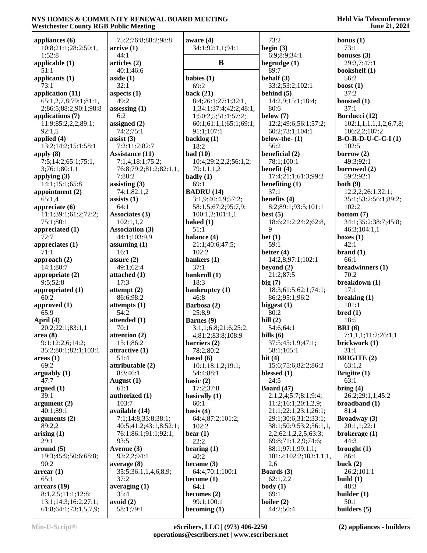| Westchester County RGB Public Meeting |                                  |                                           |                                    | June 21, 2021               |
|---------------------------------------|----------------------------------|-------------------------------------------|------------------------------------|-----------------------------|
| appliances $(6)$                      | 75:2;76:8;88:2;98:8              | aware $(4)$                               | 73:2                               | bonus $(1)$                 |
| 10:8;21:1;28:2;50:1,                  | arrive(1)                        | 34:1;92:1,1;94:1                          | begin $(3)$                        | 73:1                        |
| 1;52:8                                | 44:1                             |                                           | 6:9;8:9;34:1                       | bonuses $(3)$               |
| applicable (1)                        | articles (2)                     | B                                         | begrudge $(1)$                     | 29:3,7;47:1                 |
| 51:1                                  | 40:1;46:6                        |                                           | 89:7                               | bookshelf (1)               |
| applicants (1)                        | aside $(1)$                      | babies $(1)$                              | behalf (3)                         | 56:2                        |
| 73:1                                  | 32:1                             | 69:2                                      | 33:2;53:2;102:1                    | boost $(1)$                 |
| application (11)                      | aspects $(1)$                    | back $(21)$                               | behind $(5)$                       | 37:2                        |
| 65:1,2,7,8;79:1;81:1,                 | 49:2                             | 8:4;26:1;27:1;32:1,                       | 14:2,9;15:1;18:4;                  | boosted $(1)$               |
| 2;86:5;88:2;90:1;98:8                 | assessing $(1)$                  | 1;34:1;37:4;42:2;48:1,                    | 80:6                               | 37:1                        |
| applications (7)                      | 6:2                              | 1;50:2,5;51:1;57:2;                       | below $(7)$                        | Borducci (12)               |
| 11:9;85:2,2,2;89:1;                   | assigned $(2)$                   | 60:1;61:1,1;65:1;69:1;                    | 12:2;49:6;56:1;57:2;               | 102:1,1,1,1,1,1,2,6,7,8;    |
| 92:1,5                                | 74:2;75:1                        | 91:1;107:1                                | 60:2;73:1;104:1                    | 106:2,2;107:2               |
| applied (4)                           | assist $(3)$                     | backlog (1)                               | below-the- $(1)$                   | $B-O-R-D-U-C-C-I(1)$        |
| 13:2;14:2;15:1;58:1                   | 7:2;11:2;82:7                    | 18:2                                      | 56:2                               | 102:5                       |
| apply $(8)$                           | <b>Assistance</b> (11)           | bad(10)                                   | beneficial (2)                     | borrow $(2)$                |
| 7:5;14:2;65:1;75:1,                   | 7:1,4;18:1;75:2;                 | 10:4;29:2,2,2;56:1,2;                     | 78:1;100:1                         | 49:3;92:1                   |
| 3;76:1;80:1,1<br>applying $(3)$       | 76:8;79:2;81:2;82:1,1,<br>7:88:2 | 79:1,1,1,2                                | benefit (4)<br>17:4;21:1;61:3;99:2 | borrowed $(2)$<br>59:2;92:1 |
| 14:1;15:1;65:8                        | assisting $(3)$                  | badly $(1)$<br>69:1                       | benefiting $(1)$                   | both(9)                     |
| appointment (2)                       | 74:1;82:1,2                      | <b>BADRU</b> (14)                         | 37:1                               | 12:2,2;26:1;32:1;           |
| 65:1,4                                | assists $(1)$                    | 3:1,9;40:4,9;57:2;                        | benefits (4)                       | 35:1;53:2;56:1;89:2;        |
| appreciate $(6)$                      | 64:1                             | 58:1,5;67:2;95:7,9;                       | 8:2;89:1;93:5;101:1                | 102:2                       |
| 11:1;39:1;61:2;72:2;                  | Associates (3)                   | 100:1,2;101:1,1                           | best $(5)$                         | bottom $(7)$                |
| 75:1;80:1                             | 102:1,1,2                        | baked $(1)$                               | 18:6;21:2;24:2;62:8,               | 34:1;35:2;38:7;45:8;        |
| appreciated (1)                       | <b>Association (3)</b>           | 51:1                                      | 9                                  | 46:3;104:1,1                |
| 72:7                                  | 44:1;103:9,9                     | balance $(4)$                             | bet $(1)$                          | boxes $(1)$                 |
| appreciates $(1)$                     | assuming $(1)$                   | 21:1;40:6;47:5;                           | 59:1                               | 42:1                        |
| 71:1                                  | 16:1                             | 102:2                                     | better $(4)$                       | brand(1)                    |
| approach $(2)$                        | assure $(2)$                     | bankers (1)                               | 14:2,8;97:1;102:1                  | 66:1                        |
| 14:1;80:7                             | 49:1;62:4                        | 37:1                                      | beyond $(2)$                       | breadwinners (1)            |
| appropriate (2)                       | attached $(1)$                   | bankroll (1)                              | 21:2;87:5                          | 70:2                        |
| 9:5;52:8                              | 17:3                             | 18:3                                      | big(7)                             | breakdown (1)               |
| appropriated (1)                      | attempt $(2)$                    | bankruptcy (1)                            | 18:3;61:5;62:1;74:1;               | 17:1                        |
| 60:2                                  | 86:6;98:2                        | 46:8                                      | 86:2;95:1;96:2                     | breaking $(1)$              |
| approved (1)                          | attempts $(1)$                   | Barbosa (2)                               | biggest $(1)$                      | 101:1                       |
| 65:9                                  | 54:2                             | 25:8,9                                    | 80:2                               | bred(1)                     |
| April (4)<br>20:2;22:1;83:1,1         | attended (1)<br>70:1             | Barnes (9)                                | bill $(2)$<br>54:6;64:1            | 18:5<br>BRI(6)              |
| area(8)                               | attention (2)                    | 3:1,1;6:8;21:6;25:2,<br>4;81:2;83:8;108:9 | bills $(6)$                        | 7:1,1,1;11:2;26:1,1         |
| 9:1;12:2,6;14:2;                      | 15:1;86:2                        | barriers $(2)$                            | 37:5;45:1,9;47:1;                  | brickwork (1)               |
| 35:2;80:1;82:1;103:1                  | attractive (1)                   | 78:2;80:2                                 | 58:1;105:1                         | 31:1                        |
| areas(1)                              | 51:4                             | based $(6)$                               | bit $(4)$                          | <b>BRIGITE (2)</b>          |
| 69:2                                  | attributable (2)                 | 10:1;18:1,2;19:1;                         | 15:6;75:6;82:2;86:2                | 63:1,2                      |
| arguably $(1)$                        | 8:3;46:1                         | 54:4;88:1                                 | blessed $(1)$                      | Brigitte (1)                |
| 47:7                                  | August $(1)$                     | basic $(2)$                               | 24:5                               | 63:1                        |
| argued $(1)$                          | 61:1                             | 17:2;37:8                                 | <b>Board</b> (47)                  | bring $(4)$                 |
| 39:1                                  | authorized (1)                   | basically $(1)$                           | 2:1,2,4;5:7;8:1;9:4;               | 26:2;29:1,1;45:2            |
| argument (2)                          | 103:7                            | 60:1                                      | 11:2;16:1;20:1,2,9;                | broadband (1)               |
| 40:1;89:1                             | available (14)                   | basis $(4)$                               | 21:1;22:1;23:1;26:1;               | 81:4                        |
| arguments (2)                         | 7:1;14:8;33:8;38:1;              | 64:4;87:2;101:2;                          | 29:1;30:6;31:2;33:1;               | Broadway (3)                |
| 89:2,2                                | 40:5;41:2;43:1,8;52:1;           | 102:2                                     | 38:1;50:9;53:2;56:1,1,             | 20:1,1;22:1                 |
| arising $(1)$                         | 76:1;86:1;91:1;92:1;             | bear $(1)$                                | 2,2;62:1,2,2,5;63:3;               | brokerage $(1)$             |
| 29:1                                  | 93:5                             | 22:2                                      | 69:8;71:1,2,9;74:6;                | 44:3                        |
| around (5)                            | Avenue (3)                       | bearing $(1)$                             | 88:1;97:1;99:1,1;                  | brought $(1)$               |
| 19:3;45:9;50:6;68:8;<br>90:2          | 93:2,2;94:1<br>average(8)        | 40:2<br>became $(3)$                      | 101:2;102:2;103:1,1,1,<br>2,6      | 86:1<br>buck $(2)$          |
| $\arctan(1)$                          | 35:5;36:1,1,4,6,8,9;             | 64:4;70:1;100:1                           | Boards (3)                         | 26:2;101:1                  |
| 65:1                                  | 37:2                             | become $(1)$                              | 62:1,2,2                           | build $(1)$                 |
| arrears (19)                          | averaging $(1)$                  | 64:1                                      | body(1)                            | 48:3                        |
| 8:1,2,5;11:1;12:8;                    | 35:4                             | becomes $(2)$                             | 69:1                               | builder $(1)$               |
| 13:1;14:3;16:2;27:1;                  | avoid (2)                        | 99:1;100:1                                | boiler $(2)$                       | 50:1                        |
| 61:8;64:1;73:1,5,7,9;                 | 58:1;79:1                        | becoming $(1)$                            | 44:2;50:4                          | builders (5)                |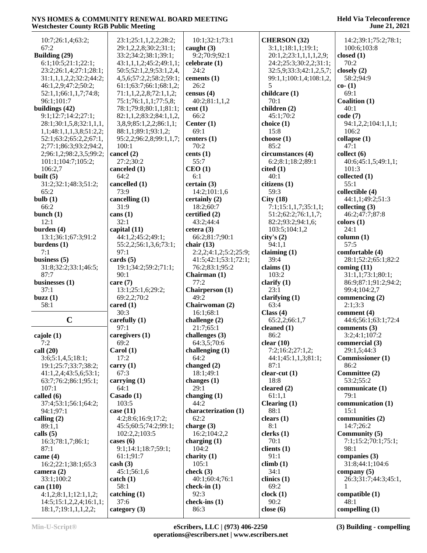| 10:7;26:1,4;63:2;                               | 23:1;25:1,1,2,2;28:2;            | 10:1;32:1;73:1          | <b>CHERSON</b> (32)     | 14:2;39:1;75:2;78:1;    |
|-------------------------------------------------|----------------------------------|-------------------------|-------------------------|-------------------------|
| 67:2                                            | 29:1,2,2,8;30:2;31:1;            | caught $(3)$            | 3:1,1;18:1,1;19:1;      | 100:6;103:8             |
| Building (29)                                   | 33:2;34:2;38:1;39:1;             | 9:2;70:9;92:1           | 20:1,2;23:1,1,1,1,2,9;  | closed $(1)$            |
| 6:1;10:5;21:1;22:1;                             | 43:1,1,1,2;45:2;49:1,1;          | celebrate (1)           | 24:2;25:3;30:2,2;31:1;  | 70:2                    |
|                                                 |                                  |                         |                         |                         |
| 23:2;26:1,4;27:1;28:1;                          | 50:5;52:1,2,9;53:1,2,4,          | 24:2                    | 32:5,9;33:3;42:1,2,5,7; | closely $(2)$           |
| 31:1,1,1,2,2;32:2;44:2;                         | 4, 5, 6; 57: 2, 2; 58: 2; 59: 1; | cements (1)             | 99:1,1;100:1,4;108:1,2, | 58:2;94:9               |
| 46:1,2,9;47:2;50:2;                             | 61:1;63:7;66:1;68:1,2;           | 26:2                    | 5                       | $co- (1)$               |
| 52:1,1;66:1,1,7;74:8;                           | 71:1,1,2,2,8;72:1,1,2;           | census $(4)$            | childcare (1)           | 69:1                    |
| 96:1;101:7                                      | 75:1;76:1,1,1;77:5,8;            | 40:2;81:1,1,2           | 70:1                    | Coalition (1)           |
| buildings (42)                                  | 78:1;79:8;80:1,1;81:1;           | cent(1)                 | children (2)            | 40:1                    |
| 9:1;12:7;14:2;27:1;                             | 82:1,1,2;83:2;84:1,1,2,          | 66:2                    | 45:1:70:2               | code(7)                 |
|                                                 |                                  |                         |                         |                         |
| 28:1;30:1,5,8;32:1,1,1,                         | 3,8,9;85:1,2,2;86:1,1;           | Center $(1)$            | choice (1)              | 94:1,2,2;104:1,1,1;     |
| 1,1;48:1,1,1,3,8;51:2,2;                        | 88:1,1;89:1;93:1,2;              | 69:1                    | 15:8                    | 106:2                   |
| 52:1;63:2;65:2,2;67:1,                          | 95:2,2;96:2,8;99:1,1,7;          | centers (1)             | choose $(1)$            | collapse (1)            |
| 2;77:1;86:3;93:2;94:2,                          | 100:1                            | 70:2                    | 85:2                    | 47:1                    |
| 2;96:1,2;98:2,3,5;99:2;                         | cancel (2)                       | cents (1)               | circumstances (4)       | collect(6)              |
| 101:1;104:7;105:2;                              | 27:2;30:2                        | 55:7                    | 6:2;8:1;18:2;89:1       | 40:6;45:1,5;49:1,1;     |
| 106:2,7                                         | canceled (1)                     | CEO(1)                  | cited(1)                | 101:3                   |
| built $(5)$                                     | 64:2                             | 6:1                     | 40:1                    | collected (1)           |
| 31:2;32:1;48:3;51:2;                            | cancelled (1)                    | certain(3)              | citizens (1)            | 55:1                    |
|                                                 |                                  |                         |                         |                         |
| 65:2                                            | 73:9                             | 14:2;101:1,6            | 59:3                    | collectible (4)         |
| bulb $(1)$                                      | cancelling (1)                   | certainly (2)           | City(18)                | 44:1,1;49:2;51:3        |
| 66:2                                            | 31:9                             | 18:2;60:7               | 7:1;15:1,1,7;35:1,1;    | collecting $(3)$        |
| bunch $(1)$                                     | cans $(1)$                       | certified (2)           | 51:2;62:2;76:1,1,7;     | 46:2;47:7;87:8          |
| 12:1                                            | 32:1                             | 43:2;44:4               | 82:2;93:2;94:1,6;       | colors(1)               |
| burden $(4)$                                    | capital (11)                     | cetera $(3)$            | 103:5;104:1,2           | 24:1                    |
| 13:1;36:1;67:3;91:2                             | 44:1,2;45:2;49:1;                | 66:2;81:7;90:1          | city's (2)              | column (1)              |
| burdens $(1)$                                   | 55:2,2;56:1,3,6;73:1;            | chair $(13)$            | 94:1,1                  | 57:5                    |
| 7:1                                             | 97:1                             |                         |                         |                         |
|                                                 |                                  | 2:2,2;4:1,2;5:2;25:9;   | claiming $(1)$          | comfortable (4)         |
| business $(5)$                                  | cards $(5)$                      | 41:5;42:1;53:1;72:1;    | 39:4                    | 28:1;52:2;65:1;82:2     |
| 31:8;32:2;33:1;46:5;                            | 19:1;34:2;59:2;71:1;             | 76:2;83:1;95:2          | claims $(1)$            | coming $(11)$           |
| 87:7                                            | 90:1                             | Chairman (1)            | 103:2                   | 31:1,1;73:1;80:1;       |
|                                                 |                                  |                         |                         |                         |
| businesses $(1)$                                | care $(7)$                       | 77:2                    |                         | 86:9;87:1;91:2;94:2;    |
|                                                 |                                  |                         | clarify $(1)$           |                         |
| 37:1                                            | 13:1;25:1,6;29:2;                | Chairperson (1)         | 23:1                    | 99:4;104:2,7            |
| buzz(1)                                         | 69:2,2;70:2                      | 49:2                    | clarifying $(1)$        | commencing $(2)$        |
| 58:1                                            | cared $(1)$                      | Chairwoman (2)          | 63:4                    | 2:1;3:3                 |
|                                                 | 30:3                             | 16:1;68:1               | Class $(4)$             | comment (4)             |
| $\mathbf C$                                     | carefully (1)                    | challenge (2)           | 65:2,2;66:1,7           | 44:6;56:1;63:1;72:4     |
|                                                 | 97:1                             | 21:7;65:1               | cleaned $(1)$           | comments $(3)$          |
| cajole (1)                                      | caregivers (1)                   | challenges $(3)$        | 86:2                    | 3:2;4:1;107:2           |
| 7:2                                             | 69:2                             | 64:3,5;70:6             | clear $(10)$            | commercial (3)          |
| call $(20)$                                     | Carol(1)                         | challenging $(1)$       | 7:2;16:2;27:1,2;        | 29:1,5;44:3             |
|                                                 | 17:2                             | 64:2                    |                         |                         |
| 3:6;5:1,4,5;18:1;                               |                                  |                         | 44:1;45:1,1,3;81:1;     | <b>Commissioner</b> (1) |
| 19:1;25:7;33:7;38:2;                            | carry $(1)$                      | changed (2)             | 87:1                    | 86:2                    |
| 41:1,2,4;43:5,6;53:1;                           | 67:3                             | 18:1;49:1               | clear-cut $(1)$         | Committee (2)           |
| 63:7;76:2;86:1;95:1;                            | carrying $(1)$                   | changes $(1)$           | 18:8                    | 53:2;55:2               |
| 107:1                                           | 64:1                             | 29:1                    | cleared (2)             | communicate (1)         |
| called $(6)$                                    | Casado (1)                       | changing $(1)$          | 61:1,1                  | 79:1                    |
| 37:4;53:1;56:1;64:2;                            | 103:5                            | 44:2                    | Clearing $(1)$          | communication (1)       |
| 94:1;97:1                                       | case $(11)$                      | characterization (1)    | 88:1                    | 15:1                    |
| calling $(2)$                                   | 4:2;8:6;16:9;17:2;               | 62:2                    | clears $(1)$            | communities (2)         |
| 89:1,1                                          | 45:5;60:5;74:2;99:1;             | charge $(3)$            | 8:1                     | 14:7:26:2               |
|                                                 |                                  |                         |                         |                         |
| calls $(5)$                                     | 102:2,2;103:5                    | 16:2;104:2,2            | clerks(1)               | Community (5)           |
| 16:3;78:1,7;86:1;                               | cases $(6)$                      | charging $(1)$          | 70:1                    | 7:1;15:2;70:1;75:1;     |
| 87:1                                            | 9:1;14:1;18:7;59:1;              | 104:2                   | clients $(1)$           | 98:1                    |
| came $(4)$                                      | 61:1;91:7                        | charity $(1)$           | 91:1                    | companies $(3)$         |
| 16:2;22:1;38:1;65:3                             | $\cosh(3)$                       | 105:1                   | climb(1)                | 31:8;44:1;104:6         |
| camera (2)                                      | 45:1;56:1,6                      | check (3)               | 34:1                    | company $(5)$           |
| 33:1;100:2                                      | catch(1)                         | 40:1;60:4;76:1          | clinics $(1)$           | 26:3;31:7;44:3;45:1,    |
| can $(110)$                                     | 58:1                             | check-in $(1)$          | 69:2                    |                         |
|                                                 |                                  | 92:3                    | clock(1)                | compatible $(1)$        |
| 4:1,2;8:1,1;12:1,1,2;                           | catching (1)                     |                         |                         | 48:1                    |
| 14:5;15:1,2,2,4;16:1,1;<br>18:1,7;19:1,1,1,2,2; | 37:6<br>category $(3)$           | check-ins $(1)$<br>86:3 | 90:2<br>close $(6)$     | compelling (1)          |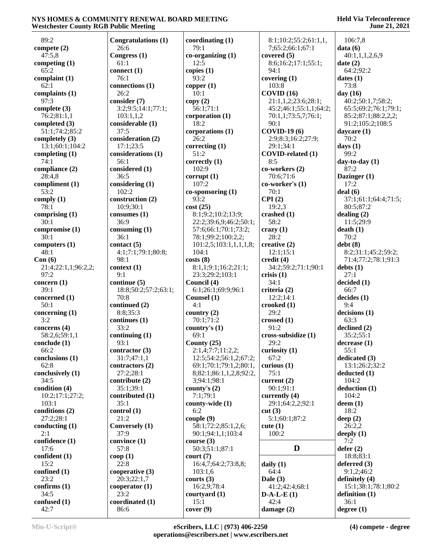| 89:2                | Congratulations (1)   | coordinating $(1)$      | 8:1;10:2;55:2;61:1,1,                 | 106:7,8              |
|---------------------|-----------------------|-------------------------|---------------------------------------|----------------------|
| compete $(2)$       | 26:6                  | 79:1                    | 7;65:2;66:1;67:1                      | data(6)              |
| 47:5,8              | Congress (1)          | $co-organizing(1)$      | covered $(5)$                         | 40:1,1,1,2,6,9       |
| competing $(1)$     | 61:1                  | 12:5                    | 8:6;16:2;17:1;55:1;                   | date(2)              |
| 65:2                | connect (1)           | copies $(1)$            | 94:1                                  | 64:2;92:2            |
| complaint $(1)$     | 76:1                  | 93:2                    | covering $(1)$                        | dates $(1)$          |
| 62:1                | connections (1)       | copper $(1)$            | 103:8                                 | 73:8                 |
| complaints (1)      | 26:2                  | 10:1                    | COVID(16)                             | day $(16)$           |
| 97:3                | consider (7)          | copy(2)                 | 21:1,1,2;23:6;28:1;                   | 40:2;50:1,7;58:2;    |
| complete (3)        | 3:2;9:5;14:1;77:1;    | 56:1;71:1               | 45:2;46:1;55:1,1;64:2;                | 65:5;69:2;76:1;79:1; |
| 76:2;81:1,1         | 103:1,1,2             | corporation (1)         | 70:1,1;73:5,7;76:1;                   | 85:2;87:1;88:2,2,2;  |
| completed $(3)$     | considerable (1)      | 18:2                    | 90:1                                  | 91:2;105:2;108:5     |
| 51:1;74:2;85:2      | 37:5                  | corporations (1)        | <b>COVID-19 (6)</b>                   | daycare (1)          |
| completely $(3)$    | consideration (2)     | 26:2                    | 2:9;8:3;16:2;27:9;                    | 70:2                 |
| 13:1;60:1;104:2     | 17:1;23:5             | correcting $(1)$        | 29:1;34:1                             | days $(1)$           |
| completing $(1)$    | considerations (1)    | 51:2                    | COVID-related (1)                     | 99:2                 |
| 74:1                | 56:1                  | correctly $(1)$         | 8:5                                   | day-to-day $(1)$     |
| compliance (2)      | considered (1)        | 102:9                   | co-workers (2)                        | 87:2                 |
| 28:4,8              | 36:5                  | corrupt(1)              | 70:6;71:6                             | Dazinger (1)         |
| compliment (1)      | considering (1)       | 107:2                   | co-worker's (1)                       | 17:2                 |
| 53:2                | 102:2                 | $co-sponsoring(1)$      | 70:1                                  | deal(6)              |
| comply $(1)$        | construction (2)      | 93:2                    | CPI(2)                                | 37:1;61:1;64:4;71:5; |
| 78:1                | 10:9;30:1             | cost(25)                | 19:2,3                                | 80:5;87:2            |
| comprising $(1)$    | consumes $(1)$        | 8:1;9:2;10:2;13:9;      | crashed (1)                           | dealing $(2)$        |
| 30:1                | 36:9                  | 22:2;39:6,9;46:2;50:1;  | 58:2                                  | 11:5;29:9            |
| compromise (1)      | consuming $(1)$       | 57:6;66:1;70:1;73:2;    | $c$ razy $(1)$                        | death(1)             |
| 30:1                | 36:1                  | 78:1;99:2;100:2,2;      | 28:2                                  | 70:2                 |
| computers $(1)$     | contact $(5)$         | 101:2,5;103:1,1,1,1,8;  | creative $(2)$                        | debt(8)              |
| 48:1                | 4:1;7:1;79:1;80:8;    | 104:1                   | 12:1;15:1                             | 8:2;31:1;45:2;59:2;  |
| Con(6)              | 98:1                  | costs(8)                | credit $(4)$                          | 71:4;77:2;78:1;91:3  |
| 21:4;22:1,1;96:2,2; | context(1)            | 8:1,1;9:1;16:2;21:1;    | 34:2;59:2;71:1;90:1                   | debts(1)             |
| 97:2                | 9:1                   | 23:3;29:2;103:1         | crisis(1)                             | 27:1                 |
| concern $(1)$       | continue (5)          | Council (4)             | 34:1                                  | decided (1)          |
| 39:1                | 18:8;50:2;57:2;63:1;  | 6:1;26:1;69:9;96:1      | criteria (2)                          | 66:7                 |
| concerned (1)       | 70:8                  | Counsel (1)             | 12:2;14:1                             | decides(1)           |
| 50:1                | continued (2)         | 4:1                     | $\boldsymbol{\mathrm{crooted}}$ $(1)$ | 9:4                  |
| concerning $(1)$    | 8:8;35:3              | country $(2)$           | 29:2                                  | decisions(1)         |
| 3:2                 | continues (1)         | 70:1;71:2               | crossed $(1)$                         | 63:3                 |
| concerns $(4)$      | 33:2                  | country's $(1)$         | 91:2                                  | declined $(2)$       |
| 58:2,6;59:1,1       | continuing $(1)$      | 69:1                    | cross-subsidize (1)                   | 35:2;55:1            |
| conclude (1)        | 93:1                  | County $(25)$           | 29:2                                  | decrease (1)         |
| 66:2                | contractor (3)        | 2:1,4;7:7;11:2,2;       | curiosity $(1)$                       | 55:1                 |
| conclusions (1)     | 31:7;47:1,1           | 12:5;54:2;56:1,2;67:2;  | 67:2                                  | dedicated (3)        |
| 62:8                | contractors (2)       | 69:1;70:1;79:1,2;80:1,  | curious $(1)$                         | 13:1;26:2;32:2       |
| conclusively (1)    | 27:2;28:1             | 8;82:1;86:1,1,2,8;92:2, | 75:1                                  | deducted(1)          |
| 34:5                | contribute $(2)$      | 3;94:1;98:1             | current $(2)$                         | 104:2                |
| condition (4)       | 35:1;39:1             | county's $(2)$          | 90:1;91:1                             | deduction (1)        |
| 10:2;17:1;27:2;     | contributed (1)       | 7:1;79:1                | currently $(4)$                       | 104:2                |
| 103:1               | 35:1                  | county-wide (1)         | 29:1;64:2,2;92:1                      | $d$ eem $(1)$        |
| conditions (2)      | control(1)            | 6:2                     | cut(3)                                | 18:2                 |
| 27:2;28:1           | 21:2                  | couple (9)              | 5:1;60:1;87:2                         | deep $(2)$           |
| conducting $(1)$    | <b>Conversely (1)</b> | 58:1;72:2;85:1,2,6;     | cute $(1)$                            | 26:2,2               |
| 2:1                 | 37:9                  | 90:1;94:1,1;103:4       | 100:2                                 | deeply $(1)$         |
| confidence (1)      | convince (1)          | course $(3)$            |                                       | 7:2                  |
| 17:6                | 57:8                  | 50:3;51:1;87:1          | D                                     | defer(2)             |
| confident (1)       | coop(1)               | $\text{court} (7)$      |                                       | 18:8;83:1            |
| 15:2                | 22:8                  | 16:4,7;64:2;73:8,8;     | daily $(1)$                           | deferred $(3)$       |
| confined $(1)$      | cooperative (3)       | 103:1,6                 | 64:4                                  | 9:1,2;46:2           |
| 23:2                | 20:3;22:1,7           | courts $(3)$            | Dale $(3)$                            | definitely (4)       |
| confirms $(1)$      | cooperator $(1)$      | 16:2,9;78:4             | 41:2;42:4;68:1                        | 15:1;38:1;78:1;80:2  |
| 34:5                | 23:2                  | courtyard (1)           | $D-A-L-E(1)$                          | definition $(1)$     |
| confused (1)        | coordinated (1)       | 15:1                    | 42:4                                  | 36:1                 |
| 42:7                | 86:6                  | cover(9)                | damage $(2)$                          | degree $(1)$         |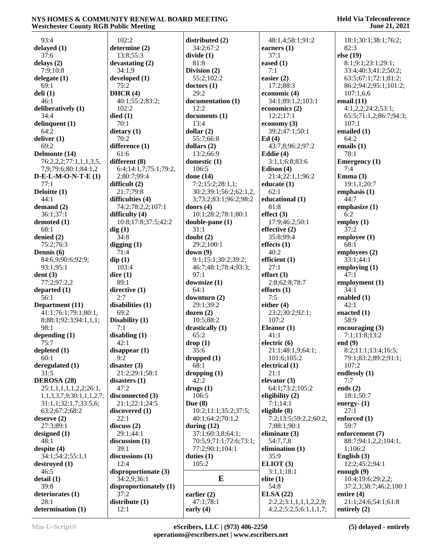**Held Via Teleconference June 21, 2021**

 93:4 **delayed (1)** 37:6 **delays (2)** 7:9;10:8 **delegate (1)** 69:1 **deli (1)** 46:1 **deliberatively (1)** 34:4 **delinquent (1)** 64:2 **deliver (1)** 69:2 **Delmonte (14)** 76:2,2,2;77:1,1,1,3,5, 7,9;79:6;80:1;84:1,2 **D-E-L-M-O-N-T-E (1)** 77:1 **Deloitte (1)** 44:1 **demand (2)** 36:1;37:1 **demoted (1)** 68:1 **denied (2)** 75:2;76:3 **Dennis (6)** 84:6,9;90:6;92:9; 93:1;95:1 **dent (3)** 77:2;97:2,2 **departed (1)** 56:1 **Department (11)** 41:1;76:1;79:1;80:1, 8;88:1;92:3;94:1,1,1; 98:1 **depending (1)** 75:7 **depleted (1)** 60:1 **deregulated (1)** 31:5 **DEROSA (28)** 25:1,1,1,1,1,2,2;26:1, 1,1,3,3,7,9;30:1,1,1,2,7; 31:1,1;32:1,7;33:5,6; 63:2;67:2;68:2 **deserve (2)** 27:3;89:1 **designed (1)** 48:1 **despite (4)** 34:1;54:2;55:1,1 **destroyed (1)** 46:5 **detail (1)** 39:8 **deteriorates (1)** 28:1 **determination (1)** 102:2 **determine (2)** 13:8;55:3 **devastating (2)** 34:1,9 **developed (1)** 75:2 **DHCR (4)** 40:1;55:2;83:2; 102:2 **died (1)** 70:1 **dietary (1)** 70:2 **difference (1)** 61:6 **different (8)** 6:4;14:1,7;75:1;79:2, 2;80:7;99:4 **difficult (2)** 21:7;79:8 **difficulties (4)** 74:2;78:2,2;107:1 **difficulty (4)** 10:8;17:8;37:5;42:2 **dig (1)** 34:8 **digging (1)** 71:4 **dip (1)** 103:4 **dire (1)** 89:1 **directive (1)** 2:7 **disabilities (1)** 69:2 **Disability (1)** 7:1 **disabling (1)** 42:1 **disappear (1)** 9:2 **disaster (3)** 21:2;29:1;58:1 **disasters (1)** 47:2 **disconnected (3)** 21:1;22:1;24:5 **discovered (1)** 22:1 **discuss (2)** 29:1;44:1 **discussion (1)** 39:1 **discussions (1)**  $12:4$ **disproportionate (3)** 34:2,9;36:1 **disproportionately (1)** 37:2 **distribute (1)** 12:1 **distributed (2)** 34:2;67:2 **divide (1)** 81:8 **Division (2)** 55:2;102:2 **doctors (1)** 29:2 **documentation (1)** 12:2 **documents (1)** 13:4 **dollar (2)** 55:7;66:8 **dollars (2)** 13:2;66:9 **domestic (1)** 106:5 **done (14)** 7:2;15:2;28:1,1; 30:2;39:1;56:2;62:1,2, 3;73:2;83:1;96:2;98:2 **doors (4)** 10:1;28:2;78:1;80:1 **double-pane (1)** 31:1 **doubt (2)** 29:2;100:1 **down (9)** 9:1;15:1;30:2;39:2; 46:7;48:1;78:4;93:3; 97:1 **downsize (1)** 64:1 **downturn (2)** 29:1;39:2 **dozen (2)** 10:5;88:2 **drastically (1)** 65:2 **drop (1)** 35:6 **dropped (1)** 68:1 **dropping (1)** 42:2 **drugs (1)** 106:5 **Due (8)** 10:2;11:1;35:2;37:5; 40:1;64:2;70:1,2 **during (12)** 37:1;60:3,8;64:1; 70:5,9;71:1;72:6;73:1; 77:2;90:1;104:1 **duties (1)** 105:2 **E earlier (2)** 47:1;78:1 **early (4)**

 48:1,4;58:1;91:2 **earners (1)** 37:1 **eased (1)** 7:1 **easier (2)** 17:2;88:3 **economic (4)** 34:1;89:1,2;103:1 **economics (2)** 12:2;17:1 **economy (3)** 39:2;47:1;50:1 **Ed (4)** 43:7,8;96:2;97:2 **Eddie (4)** 3:1,1;6:8;83:6 **Edison (4)** 21:4;22:1,1;96:2 **educate (1)** 62:1 **educational (1)** 81:8 **effect (3)** 17:9;46:2;50:1 **effective (2)** 35:8;99:4 **effects (1)** 40:2 **efficient (1)** 27:1 **effort (3)** 2:8;62:8;78:7 **efforts (1)** 7:5 **either (4)** 23:2;30:2;92:1; 107:2 **Eleanor (1)** 41:1 **electric (6)** 21:1;48:1,9;64:1; 101:6;105:2 **electrical (1)** 21:1 **elevator (3)** 64:1;73:2;105:2 **eligibility (2)** 7:1;14:1 **eligible (8)** 7:2;13:5;59:2,2;60:2, 7;88:1;90:1 **eliminate (3)** 54:7,7,8 **elimination (1)** 35:9 **ELIOT (3)** 3:1,1;18:1 **elite (1)** 54:8 **ELSA (22)** 2:2,2;3:1,1,1,1,2,2,9; 4:2,2;5:2,5;6:1,1,1,7;

 18:1;30:1;38:1;76:2; 82:3 **else (19)** 8:1;9:1;23:1;29:1; 33:4;40:3;41:2;50:2; 63:5;67:1;72:1;81:2; 86:2;94:2;95:1;101:2; 107:1,6,6 **email (11)** 4:1,2,2;24:2;53:1; 65:5;71:1,2;86:7;94:3; 107:1 **emailed (1)** 64:2 **emails (1)** 78:1 **Emergency (1)** 7:4 **Emma (3)** 19:1,1;20:7 **emphasis (1)** 44:7 **emphasize (1)** 6:2 **employ (1)** 37:2 **employee (1)** 68:1 **employees (2)** 33:1;44:1 **employing (1)** 47:1 **employment (1)** 34:1 **enabled (1)** 42:1 **enacted (1)** 58:9 **encouraging (3)** 7:1;11:8;13:2 **end (9)** 8:2;11:1;13:4;16:5; 79:1;83:2;89:2;91:1; 107:2 **endlessly (1)** 7:7 **ends (2)** 18:1;50:7 **energy- (1)** 27:1 **enforced (1)** 59:7 **enforcement (7)** 88:7;94:1,2,2;104:1, 1;106:2 **English (3)** 12:2;45:2;94:1 **enough (9)** 10:4;19:6;29:2,2; 37:2,3;38:7;46:2;100:1 **entire (4)** 21:1;24:6;54:1;61:8 **entirely (2)**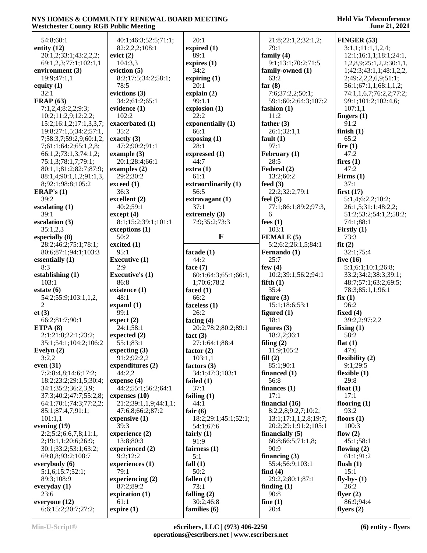| Westchester County NGD I upite Meeting |                                     |                                   |                                               | JUNC 41, 4041             |
|----------------------------------------|-------------------------------------|-----------------------------------|-----------------------------------------------|---------------------------|
| 54:8;60:1                              | 40:1;46:3;52:5;71:1;                | 20:1                              | 21:8;22:1,2;32:1,2;                           | FINGER(53)                |
| entity (12)                            | 82:2,2,2;108:1                      | expired $(1)$                     | 79:1                                          | 3:1,1;11:1,1,2,4;         |
| 20:1,2;33:1;43:2,2,2;                  | evict $(2)$                         | 89:1                              | family $(4)$                                  | 12:1;16:1,1;18:1;24:1,    |
| 69:1,2,3;77:1;102:1,1                  | 104:3,3                             | expires (1)                       | 9:1;13:1;70:2;71:5                            | 1,2,8,9;25:1,2,2;30:1,1,  |
| environment (3)                        | eviction $(5)$                      | 34:2                              | family-owned (1)                              | 1;42:3;43:1,1;48:1,2,2,   |
| 19:9;47:1,1                            | 8:2;17:5;34:2;58:1;                 | expiring $(1)$                    | 63:2                                          | 2;49:2,2,2,6,9;51:1;      |
| equity $(1)$                           | 78:5                                | 20:1                              | far $(8)$                                     | 56:1;67:1,1;68:1,1,2;     |
| 32:1                                   | evictions (3)                       | explain(2)                        | 7:6;37:2,2;50:1;                              | 74:1,1,6,7;76:2,2;77:2;   |
| ERAP $(63)$                            | 34:2;61:2;65:1                      | 99:1,1                            | 59:1;60:2;64:3;107:2                          | 99:1;101:2;102:4,6;       |
| 7:1,2,4;8:2,2;9:3;                     | evidence (1)                        | explosion (1)                     | fashion $(1)$                                 | 107:1,1                   |
| 10:2;11:2,9;12:2,2;                    | 102:2                               | 22:2                              | 11:2                                          | fingers $(1)$             |
| 15:2;16:1,2;17:1,3,3,7;                | exacerbated (1)                     | exponentially (1)                 | father $(3)$                                  | 91:2                      |
| 19:8;27:1,5;34:2;57:1,                 | 35:2                                | 66:1                              | 26:1;32:1,1                                   | finish $(1)$              |
| 7;58:3,7;59:2,9;60:1,2,                | exactly $(3)$                       | exposing (1)                      | fault $(1)$                                   | 65:2                      |
| 7;61:1;64:2;65:1,2,8;                  | 47:2;90:2;91:1                      | 28:1                              | 97:1                                          | fire $(1)$                |
| 66:1,2;73:1,3;74:1,2;                  | example $(3)$                       | expressed (1)                     | February (1)                                  | 47:2                      |
| 75:1,3;78:1,7;79:1;                    | 20:1;28:4;66:1                      | 44:7                              | 28:5                                          | fires $(1)$               |
| 80:1,1;81:2;82:7;87:9;                 | examples $(2)$                      | extra(1)                          | Federal (2)                                   | 47:2                      |
| 88:1,4;90:1,1,2;91:1,3,                | 29:2;30:2                           | 61:1                              | 13:2;60:2                                     | Firms $(1)$               |
| 8;92:1;98:8;105:2                      | exceed (1)                          | extraordinarily (1)               | feed $(3)$                                    | 37:1                      |
| ERAP's $(1)$                           | 36:3                                | 56:5                              | 22:2;32:2;79:1                                | first $(17)$              |
| 39:2                                   | excellent (2)                       | extravagant (1)                   | feel $(5)$                                    | 5:1,4;6:2,2;10:2;         |
| escalating $(1)$                       | 40:2;59:1                           | 37:1                              | 77:1;86:1;89:2;97:3,                          | 26:1,5;31:1;48:2,2;       |
| 39:1                                   | except (4)                          | extremely $(3)$                   | 6                                             | 51:2;53:2;54:1,2;58:2;    |
| escalation (3)                         | 8:1;15:2;39:1;101:1                 | 7:9;35:2;73:3                     | fees $(1)$                                    | 74:1;88:1                 |
| 35:1,2,3                               | exceptions (1)                      |                                   | 103:1                                         | Firstly $(1)$             |
| especially (8)                         | 50:2                                | $\mathbf{F}$                      | FEMALE (5)                                    | 73:3                      |
| 28:2;46:2;75:1;78:1;                   | excited $(1)$                       |                                   | 5:2;6:2;26:1,5;84:1                           | fit(2)                    |
| 80:6;87:1;94:1;103:3                   | 95:1                                | facade (1)                        | Fernando (1)                                  | 32:1;75:4                 |
| essentially $(1)$                      | <b>Executive (1)</b>                | 44:2                              | 25:7                                          | five $(16)$               |
| 8:3                                    | 2:9                                 | face $(7)$                        | few $(4)$                                     | 5:1;6:1;10:1;26:8;        |
|                                        |                                     |                                   |                                               |                           |
| establishing $(1)$                     | <b>Executive's (1)</b>              | 60:1;64:3;65:1;66:1,              | 10:2;39:1;56:2;94:1                           | 33:2;34:2;38:3;39:1;      |
| 103:1                                  | 86:8                                | 1;70:6;78:2                       | fifth $(1)$                                   | 48:7;57:1;63:2;69:5;      |
| estate $(6)$                           | existence (1)                       | faced $(1)$                       | 35:4                                          | 78:3;85:1,1;96:1          |
| 54:2;55:9;103:1,1,2,                   | 48:1                                | 66:2                              | figure $(3)$                                  | fix(1)                    |
| $\overline{2}$                         | expand $(1)$                        | faceless $(1)$                    | 15:1;18:6;53:1                                | 96:2                      |
| et(3)                                  | 99:1                                | 26:2                              | figured $(1)$                                 | fixed $(4)$               |
| 66:2;81:7;90:1                         | expect (2)                          | facing $(4)$                      | 18:1                                          | 39:2,2;97:2,2             |
| ETPA $(8)$                             | 24:1;58:1                           | 20:2;78:2;80:2;89:1               | figures $(3)$                                 | fixing $(1)$              |
| 2:1;21:8;22:1;23:2;                    | expected $(2)$                      | fact $(3)$                        | 18:2,2;36:1                                   | 58:2                      |
| 35:1;54:1;104:2;106:2                  | 55:1;83:1                           | 27:1;64:1;88:4                    | filing $(2)$                                  | flat $(1)$                |
| Evelyn $(2)$                           | expecting $(3)$                     | factor $(2)$                      | 11:9;105:2                                    | 47:6                      |
| 3:2,2                                  | 91:2;92:2,2                         | 103:1,1                           | fill(2)                                       | flexibility $(2)$         |
| even $(31)$                            | expenditures $(2)$                  | factors $(3)$                     | 85:1;90:1                                     | 9:1;29:5                  |
| 7:2;8:4,8;14:6;17:2;                   | 44:2,2                              | 34:1;47:3;103:1                   | financed $(1)$                                | flexible $(1)$            |
| 18:2;23:2;29:1,5;30:4;                 | expense $(4)$                       | failed $(1)$                      | 56:8                                          | 29:8                      |
| 34:1;35:2;36:2,3,9;                    | 44:2;55:1;56:2;64:1                 | 37:1                              | finances $(1)$                                | float $(1)$               |
| 37:3;40:2;47:7;55:2,8;                 | expenses $(10)$                     | failing $(1)$                     | 17:1                                          | 17:1                      |
| 64:1;70:1;74:3;77:2,2;                 | 21:2;39:1,1,9;44:1,1;               | 44:1                              | financial (16)                                | flooring $(1)$<br>93:2    |
| 85:1;87:4,7;91:1;                      | 47:6,8;66:2;87:2<br>expensive $(1)$ | fair $(6)$                        | 8:2,2,8;9:2,7;10:2;                           |                           |
| 101:1,1                                | 39:3                                | 18:2;29:1;45:1;52:1;<br>54:1;67:6 | 13:1;17:1,1,2,8;19:7;<br>20:2;29:1;91:2;105:1 | floors $(1)$<br>100:3     |
| evening (19)<br>2:2;5:2;6:6,7,8;11:1,  | experience (2)                      | fairly $(1)$                      | financially $(5)$                             |                           |
| 2;19:1,1;20:6;26:9;                    | 13:8;80:3                           | 91:9                              | 60:8;66:5;71:1,8;                             | flow $(2)$<br>45:1;58:1   |
| 30:1;33:2;53:1;63:2;                   | experienced (2)                     | fairness $(1)$                    | 90:9                                          | flowing $(2)$             |
| 69:8,8;93:2;108:7                      | 9:2;12:2                            | 5:1                               | financing $(3)$                               | 61:1;91:2                 |
| everybody (6)                          | experiences (1)                     | fall $(1)$                        | 55:4;56:9;103:1                               | flush $(1)$               |
| 5:1,6;15:7;52:1;                       | 79:1                                | 50:2                              | find $(4)$                                    | 15:1                      |
| 89:3;108:9                             | experiencing $(2)$                  | fallen $(1)$                      | 29:2,2;80:1;87:1                              | fly-by- $(1)$             |
| everyday $(1)$                         | 87:2;89:2                           | 73:1                              | finding $(1)$                                 | 26:2                      |
| 23:6                                   | expiration $(1)$                    | falling $(2)$                     | 90:8                                          | flyer $(2)$               |
| everyone (12)<br>6:6;15:2;20:7;27:2;   | 61:1<br>expire(1)                   | 30:2;46:8<br>families (6)         | fine $(1)$<br>20:4                            | 86:9;94:4<br>flyers $(2)$ |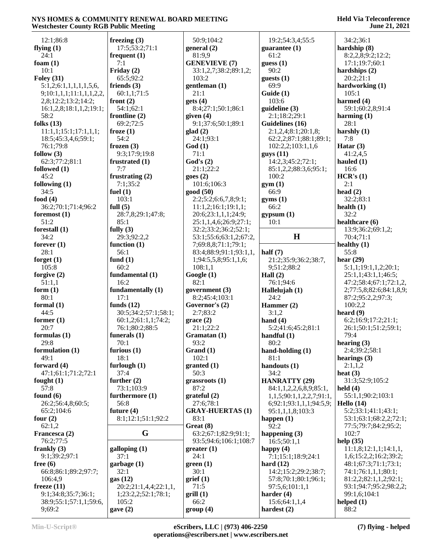| 12:1;86:8                        | freezing $(3)$             | 50:9;104:2                                    | 19:2;54:3,4;55:5               | 34:2;36:1                      |
|----------------------------------|----------------------------|-----------------------------------------------|--------------------------------|--------------------------------|
| flying $(1)$                     | 17:5;53:2;71:1             | general (2)                                   | guarantee $(1)$                | hardship (8)                   |
| 24:1                             | frequent $(1)$             | 81:9,9                                        | 61:2                           | 8:2,2,8;9:2;12:2;              |
| foam $(1)$                       | 7:1                        | <b>GENEVIEVE (7)</b>                          | guess(1)                       | 17:1;19:7;60:1                 |
| 10:1                             | Friday $(2)$               | 33:1,2,7;38:2;89:1,2;                         | 90:2                           | hardships $(2)$                |
| Foley $(31)$                     | 65:5;92:2                  | 103:2                                         | guests $(1)$                   | 20:2;21:1                      |
| 5:1,2;6:1,1,1,1,1,5,6            | friends $(3)$              | gentleman (1)                                 | 69:9                           | hardworking (1)                |
| 9;10:1,1,1;11:1,1,1,2,2,         | 60:1,1;71:5                | 21:1                                          | Guide (1)                      | 105:1                          |
| 2,8;12:2;13:2;14:2;              | front $(2)$                | gets(4)                                       | 103:6                          | harmed (4)                     |
| 16:1,2,8;18:1,1,2;19:1;          | 54:1;62:1                  | 8:4;27:1;50:1;86:1                            | guideline (3)                  | 59:1;60:2,8;91:4               |
| 58:2                             | frontline $(2)$            | given $(4)$                                   | 2:1;18:2;29:1                  | harming $(1)$                  |
| folks $(13)$                     | 69:2:72:5                  | 9:1;37:6;50:1;89:1                            | Guidelines (16)                | 28:1                           |
| 11:1,1;15:1;17:1,1,1;            | froze $(1)$                | glad(2)                                       | 2:1,2,4;8:1;20:1,8;            | harshly $(1)$                  |
| 18:5;45:3,4,6;59:1;              | 54:2                       | 24:1;93:1                                     | 62:2,2;87:1;88:1;89:1;         | 7:8                            |
| 76:1;79:8                        | frozen $(3)$               | God(1)                                        | 102:2,2;103:1,1,6              | Hatar $(3)$                    |
| follow $(3)$                     | 9:3;17:9;19:8              | 71:1                                          | $g$ uys $(11)$                 | 41:2,4,5                       |
| 62:3;77:2;81:1                   | frustrated $(1)$           | God's(2)                                      | 14:2,3;45:2;72:1;              | hauled $(1)$                   |
| followed $(1)$                   | 7:7                        | 21:1;22:2                                     | 85:1,2,2;88:3,6;95:1;          | 16:6                           |
| 45:2                             | frustrating $(2)$          | goes(2)                                       | 100:2                          | HCR's (1)                      |
| following $(1)$                  | 7:1;35:2                   | 101:6;106:3                                   | gym(1)                         | 2:1                            |
| 34:5                             | fuel $(1)$                 | good (50)                                     | 66:9                           | head $(2)$                     |
| food $(4)$                       | 103:1                      | 2:2;5:2;6:6,7,8;9:1;                          | gyms(1)                        | 32:2;83:1                      |
| 36:2;70:1;71:4;96:2              | full $(5)$                 | 11:1,2;16:1;19:1,1;                           | 66:2                           | health $(1)$                   |
| foremost $(1)$                   | 28:7,8;29:1;47:8;          | 20:6;23:1,1,1;24:9;                           | gypsum(1)                      | 32:2                           |
| 51:2                             | 85:1                       | 25:1,1,4,6;26:9;27:1;                         | 10:1                           | healthcare (6)                 |
| forestall $(1)$<br>34:2          | fully $(3)$<br>29:3;92:2,2 | 32:2;33:2;36:2;52:1;                          | H                              | 13:9;36:2;69:1,2;              |
|                                  | function $(1)$             | 53:1;55:6;63:1,2;67:2,                        |                                | 70:4;71:1                      |
| forever $(1)$<br>28:1            | 56:1                       | 7;69:8,8;71:1;79:1;<br>83:4;88:9;91:1;93:1,1, | half $(7)$                     | healthy $(1)$<br>55:8          |
| forget $(1)$                     | fund $(1)$                 | 1;94:5,5,8;95:1,1,6;                          | 21:2;35:9;36:2;38:7,           | hear $(29)$                    |
| 105:8                            | 60:2                       | 108:1,1                                       | 9;51:2;88:2                    | 5:1,1;19:1,1,2;20:1;           |
|                                  |                            |                                               |                                |                                |
|                                  |                            |                                               |                                |                                |
| forgive $(2)$                    | fundamental (1)            | Google (1)                                    | Hall $(2)$                     | 25:1,1;43:1,1;46:5;            |
| 51:1,1                           | 16:2                       | 82:1                                          | 76:1;94:6                      | 47:2;58:4;67:1;72:1,2,         |
| form $(1)$                       | fundamentally (1)          | government (3)                                | Hallelujah (1)                 | 2;77:5,8;82:6;84:1,8,9;        |
| 80:1                             | 17:1                       | 8:2;45:4;103:1                                | 24:2                           | 87:2;95:2,2;97:3;              |
| formal $(1)$                     | funds $(12)$               | Governor's (2)                                | Hammer (2)                     | 100:2,2                        |
| 44:5                             | 30:5;34:2;57:1;58:1;       | 2:7;83:2                                      | 3:1,2                          | heard $(9)$                    |
| former $(1)$                     | 60:1,2;61:1,1;74:2;        | grace(2)                                      | hand $(4)$                     | 6:2;16:9;17:2;21:1;            |
| 20:7                             | 76:1;80:2;88:5             | 21:1;22:2                                     | 5:2;41:6;45:2;81:1             | 26:1;50:1;51:2;59:1;<br>79:4   |
| formulas $(1)$<br>29:8           | funerals $(1)$<br>70:1     | Gramatan (1)<br>93:2                          | handful $(1)$<br>80:2          |                                |
| formulation $(1)$                | furious $(1)$              | Grand(1)                                      |                                | hearing $(3)$<br>2:4;39:2;58:1 |
| 49:1                             | 18:1                       | 102:1                                         | hand-holding $(1)$<br>81:1     | hearings $(3)$                 |
| forward $(4)$                    | furlough $(1)$             | granted (1)                                   | handouts (1)                   | 2:1,1,2                        |
| 47:1;61:1;71:2;72:1              | 37:4                       | 50:3                                          | 34:2                           | heat $(3)$                     |
| fought $(1)$                     | further $(2)$              | grassroots (1)                                | <b>HANRATTY (29)</b>           | 31:3;52:9;105:2                |
| 57:8                             | 73:1;103:9                 | 87:2                                          | 84:1,1,2,2,6,8,9;85:1,         | held $(4)$                     |
| found $(6)$                      | furthermore (1)            | grateful (2)                                  | 1,1,5;90:1,1,2,2,7;91:1,       | 55:1,1;90:2;103:1              |
| 26:2;56:4,8;60:5;                | 56:8                       | 27:6;78:1                                     | 6;92:1;93:1,1,1;94:5,9;        | Hello $(14)$                   |
| 65:2;104:6                       | future $(4)$               | <b>GRAY-HUERTAS (1)</b>                       | 95:1,1,1,8;103:3               | 5:2;33:1;41:1;43:1;            |
| four $(2)$                       | 8:1;12:1;51:1;92:2         | 83:1                                          | happen $(1)$                   | 53:1;63:1;68:2,2;72:1;         |
| 62:1,2                           |                            | Great (8)                                     | 92:2                           | 77:5;79:7;84:2;95:2;           |
| Francesca (2)                    | G                          | 63:2;67:1;82:9;91:1;                          | happening $(3)$                | 102:7                          |
| 76:2;77:5                        |                            | 93:5;94:6;106:1;108:7                         | 16:5;50:1,1                    | help $(35)$                    |
| frankly $(3)$                    | galloping (1)              | greater(1)                                    | happy $(4)$                    | 11:1,8;12:1,1;14:1,1,          |
| 9:1;39:2;97:1                    | 37:1                       | 24:1                                          | 7:1;15:1;18:9;24:1             | 1,6;15:2,2;16:2;39:2;          |
| free $(6)$                       | garbage (1)                | green(1)                                      | hard $(12)$                    | 48:1;67:3;71:1;73:1;           |
| 66:8;86:1;89:2;97:7;             | 32:1                       | 30:1                                          | 14:2;15:2;29:2;38:7;           | 74:1;76:1,1,1;80:1;            |
| 106:4,9                          | gas(12)                    | grief(1)                                      | 57:8;70:1;80:1;96:1;           | 81:2,2;82:1,1,2;92:1;          |
| freeze $(11)$                    | 20:2;21:1,4,4;22:1,1,      | 71:5                                          | 97:5,6;101:1,1                 | 93:1;94:7;95:2;98:2,2;         |
| 9:1;34:8;35:7;36:1;              | 1;23:2,2;52:1;78:1;        | grill(1)                                      | harder $(4)$                   | 99:1,6;104:1                   |
| 38:9;55:1;57:1,1;59:6,<br>9;69:2 | 105:2<br>gave $(2)$        | 66:2<br>group(4)                              | 15:6;64:1,1,4<br>hardest $(2)$ | helped $(1)$<br>88:2           |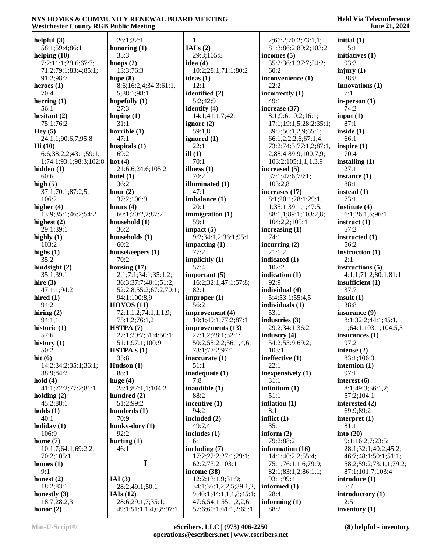| helpful $(3)$              | 26:1;32:1                                    | 1                                               | 2;66:2;70:2;73:1,1;     | initial $(1)$          |
|----------------------------|----------------------------------------------|-------------------------------------------------|-------------------------|------------------------|
| 58:1;59:4;86:1             | honoring $(1)$                               | IAI's $(2)$                                     | 81:3;86:2;89:2;103:2    | 15:1                   |
|                            | 35:3                                         | 29:3;105:8                                      | incomes $(5)$           | initiatives (1)        |
| helping $(10)$             |                                              |                                                 |                         |                        |
| 7:2;11:1;29:6;67:7;        | hoops $(2)$                                  | idea $(4)$                                      | 35:2;36:1;37:7;54:2;    | 93:3                   |
| 71:2;79:1;83:4;85:1;       | 13:3;76:3                                    | 10:2;28:1;71:1;80:2                             | 60:2                    | injury $(1)$           |
| 91:2;98:7                  | hope $(8)$                                   | ideas $(1)$                                     | inconvenience (1)       | 38:8                   |
| heroes $(1)$               | 8:6;16:2,4;34:3;61:1,                        | 12:1                                            | 22:2                    | <b>Innovations</b> (1) |
| 70:4                       | 5;88:1;98:1                                  | identified (2)                                  | incorrectly $(1)$       | 7:1                    |
| herring $(1)$              | hopefully $(1)$                              | 5:2:42:9                                        | 49:1                    | in-person $(1)$        |
| 56:1                       | 27:3                                         | identify (4)                                    | increase (37)           | 74:2                   |
|                            |                                              |                                                 |                         |                        |
| hesitant $(2)$             | hoping $(1)$                                 | 14:1;41:1,7;42:1                                | 8:1;9:6;10:2;16:1;      | input $(1)$            |
| 75:1;76:2                  | 31:1                                         | ignore $(2)$                                    | 17:1;19:1,5;28:2;35:1;  | 87:1                   |
| Hey(5)                     | horrible $(1)$                               | 59:1,8                                          | 39:5;50:1,2,9;65:1;     | inside $(1)$           |
| 24:1,1;90:6,7;95:8         | 47:1                                         | ignored (1)                                     | 66:1,2,2,2,6;67:1,4;    | 66:1                   |
| Hi(10)                     | hospitals $(1)$                              | 22:1                                            | 73:2;74:3;77:1,2;87:1,  | inspire $(1)$          |
| 6:6;38:2,2;43:1;59:1,      | 69:2                                         | ill $(1)$                                       | 2;88:4;89:9;100:7,9;    | 70:4                   |
| 1;74:1;93:1;98:3;102:8     | hot $(4)$                                    | 70:1                                            | 103:2;105:1,1,1,3,9     | installing $(1)$       |
| hidden $(1)$               | 21:6,6;24:6;105:2                            | illness $(1)$                                   | increased (5)           | 27:1                   |
|                            |                                              |                                                 |                         |                        |
| 60:6                       | hotel $(1)$                                  | 70:2                                            | 37:1;47:6;78:1;         | instance $(1)$         |
| high $(5)$                 | 36:2                                         | illuminated (1)                                 | 103:2,8                 | 88:1                   |
| 37:1;70:1;87:2,5;          | hour $(2)$                                   | 47:1                                            | increases (17)          | instead $(1)$          |
| 106:2                      | 37:2;106:9                                   | imbalance (1)                                   | 8:1;20:1;28:1;29:1,     | 73:1                   |
| higher (4)                 | hours $(4)$                                  | 20:1                                            | 1;35:1;39:1,1;47:5;     | Institute (4)          |
| 13:9;35:1;46:2;54:2        | 60:1;70:2,2;87:2                             | immigration $(1)$                               | 88:1,1;89:1;103:2,8;    | 6:1;26:1,5;96:1        |
| highest $(2)$              | household (1)                                | 59:1                                            | 104:2,2;105:4           | instruct $(1)$         |
| 29:1;39:1                  | 36:2                                         | impact $(5)$                                    |                         | 57:2                   |
|                            |                                              |                                                 | increasing $(1)$        |                        |
| highly $(1)$               | households (1)                               | 9:2;34:1,2;36:1;95:1                            | 74:1                    | instructed $(1)$       |
| 103:2                      | 60:2                                         | impacting $(1)$                                 | incurring $(2)$         | 56:2                   |
| highs $(1)$                | housekeepers (1)                             | 77:2                                            | 21:1,2                  | Instruction (1)        |
| 35:2                       | 70:2                                         | implicitly $(1)$                                | indicated (1)           | 2:1                    |
| hindsight $(2)$            | housing $(17)$                               | 57:4                                            | 102:2                   | instructions $(5)$     |
| 35:1;39:1                  | 2:1;7:1;34:1;35:1,2;                         | important $(5)$                                 | indication $(1)$        | 4:1,1;71:2;80:1;81:1   |
| hire $(3)$                 | 36:3;37:7;40:1;51:2;                         | 16:2;32:1;47:1;57:8;                            | 92:9                    | insufficient $(1)$     |
| 47:1,1;94:2                | 52:2,8;55:2;67:2;70:1;                       | 82:1                                            | individual (4)          | 37:7                   |
|                            |                                              |                                                 |                         |                        |
| hired $(1)$                | 94:1;100:8,9                                 | improper $(1)$                                  | 5:4;53:1;55:4,5         | insult(1)              |
| 94:2                       | HOYOS(11)                                    | 56:2                                            | individuals (1)         | 38:8                   |
| hiring $(2)$               | 72:1,1,2;74:1,1,1,9;                         | improvement (4)                                 | 53:1                    | insurance (9)          |
| 94:1,1                     | 75:1,2;76:1,2                                | 10:1;49:1;77:2;87:1                             | industries $(3)$        | 8:1;32:2;44:1;45:1,    |
| historic $(1)$             | HSTPA (7)                                    | improvements (13)                               | 29:2;34:1;36:2          | 1;64:1;103:1;104:5,5   |
| 57:6                       | 27:1;29:7;31:4;50:1;                         | 27:1,2;28:1;32:1;                               | industry $(4)$          | insurances $(1)$       |
| history (1)                | 51:1;97:1;100:9                              | 50:2;55:2,2;56:1,4,6;                           | 54:2;55:9;69:2;         | 97:2                   |
| 50:2                       | HSTPA's(1)                                   | 73:1;77:2;97:1                                  | 103:1                   | intense $(2)$          |
| hit $(6)$                  | 35:8                                         |                                                 | ineffective (1)         | 83:1;106:3             |
|                            |                                              | inaccurate (1)                                  |                         |                        |
| 14:2;34:2;35:1;36:1;       | Hudson $(1)$                                 | 51:1                                            | 22:1                    | intention $(1)$        |
| 38:9;84:2                  | 88:1                                         | inadequate (1)                                  | inexpensively (1)       | 97:1                   |
| hold $(4)$                 | huge $(4)$                                   | 7:8                                             | 31:1                    | interest $(6)$         |
| 41:1;72:2;77:2;81:1        | 28:1;87:1,1;104:2                            | inaudible (1)                                   | infinitum $(1)$         | 8:1;49:3;56:1,2;       |
| holding $(2)$              | hundred $(2)$                                | 88:2                                            | 51:1                    | 57:2;104:1             |
| 45:2;88:1                  | 51:2;99:2                                    | incentive (1)                                   | inflation $(1)$         | interested (2)         |
| holds $(1)$                | hundreds $(1)$                               | 94:2                                            | 8:1                     | 69:9;89:2              |
| 40:1                       | 70:9                                         | included (2)                                    | inflict $(1)$           | interpret $(1)$        |
| holiday $(1)$              | hunky-dory (1)                               | 49:2,4                                          | 35:1                    | 81:1                   |
|                            |                                              |                                                 |                         |                        |
| 106:9                      | 92:2                                         | includes (1)                                    | inform $(2)$            | into $(20)$            |
| home $(7)$                 | hurting $(1)$                                | 6:1                                             | 79:2;88:2               | 9:1;16:2,7;23:5;       |
| 10:1,7;64:1;69:2,2;        | 46:1                                         | including $(7)$                                 | information (16)        | 28:1;32:1;40:2;45:2;   |
| 70:2;105:1                 |                                              | 17:2;22:2;27:1;29:1;                            | 14:1;40:2,2;55:4;       | 46:7;48:1;50:1;51:1;   |
| homes $(1)$                | I                                            | 62:2;73:2;103:1                                 | 75:1;76:1,1,6;79:9;     | 58:2;59:2;73:1,1;79:2; |
| 9:1                        |                                              | income $(38)$                                   | 82:1;83:1,2;86:1,1;     | 87:1;101:7;103:4       |
| honest $(2)$               | IAI $(3)$                                    | 12:2;13:1,9;31:9;                               | 93:1;99:4               | introduce (1)          |
| 18:2;83:1                  | 28:2;49:1;50:1                               | 34:1;36:1,2,2,5;39:1,2,                         | informed (1)            | 5:7                    |
|                            | IAIs $(12)$                                  |                                                 |                         |                        |
| honestly $(3)$             |                                              | 9;40:1;44:1,1,1,8;45:1;                         | 28:4                    | introductory (1)       |
|                            |                                              |                                                 |                         |                        |
| 18:7;28:2,3<br>honor $(2)$ | 28:6;29:1,7;35:1;<br>49:1;51:1,1,4,6,8;97:1, | 47:6;54:1;55:1,2,2,6;<br>57:6;60:1;61:1,2;65:1, | informing $(1)$<br>88:2 | 2:5<br>inventory $(1)$ |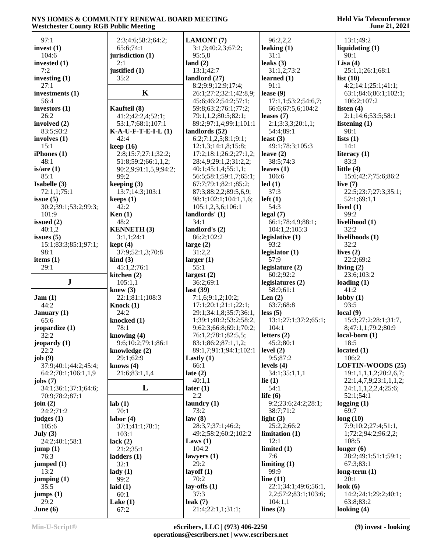| 97:1                   | 2:3;4:6;58:2;64:2;          | LAMONT (7)                             | 96:2,2,2                         | 13:1;49:2                |
|------------------------|-----------------------------|----------------------------------------|----------------------------------|--------------------------|
| invest $(1)$           | 65:6;74:1                   | 3:1,9;40:2,3;67:2;                     | leaking $(1)$                    | liquidating $(1)$        |
| 104:6                  | jurisdiction (1)            | 95:5,8                                 | 31:1                             | 90:1                     |
| invested $(1)$         | 2:1                         | land $(2)$                             | leaks $(3)$                      | Lisa $(4)$               |
| 7:2                    | justified (1)               | 13:1;42:7                              | 31:1,2;73:2                      | 25:1,1;26:1;68:1         |
| investing $(1)$        | 35:2                        | landlord $(27)$                        | learned $(1)$                    | list $(10)$              |
| 27:1                   |                             | 8:2;9:9;12:9;17:4;                     | 91:1                             | 4:2;14:1;25:1;41:1;      |
| investments (1)        | $\mathbf K$                 | 26:1;27:2;32:1;42:8,9;                 | lease $(9)$                      | 63:1;84:6;86:1;102:1;    |
| 56:4                   |                             | 45:6;46:2;54:2;57:1;                   | 17:1,1;53:2;54:6,7;              | 106:2;107:2              |
| investors $(1)$        | Kaufteil (8)                | 59:8;63:2;76:1;77:2;                   | 66:6;67:5,6;104:2                | listen $(4)$             |
| 26:2                   | 41:2;42:2,4;52:1;           | 79:1,1,2;80:5;82:1;                    | leases $(7)$                     | 2:1;14:6;53:5;58:1       |
| involved (2)           | 53:1,7;68:1;107:1           | 89:2;97:1,4;99:1;101:1                 | 2:1;3:3,3;20:1,1;                | listening $(1)$          |
| 83:5;93:2              | $K-A-U-F-T-E-I-L(1)$        | landlords (52)<br>6:2;7:1,2,5;8:1;9:1; | 54:4;89:1                        | 98:1                     |
| involves $(1)$<br>15:1 | 42:4<br>keep(16)            | 12:1,3;14:1,8;15:8;                    | least $(3)$<br>49:1;78:3;105:3   | lists $(1)$<br>14:1      |
| iPhones(1)             | 2:8;15:7;27:1;32:2;         | 17:2;18:1;26:2;27:1,2;                 | leave $(2)$                      | literacy $(1)$           |
| 48:1                   | 51:8;59:2;66:1,1,2;         | 28:4,9;29:1,2;31:2,2;                  | 38:5;74:3                        | 83:3                     |
| is/are(1)              | 90:2,9;91:1,5,9;94:2;       | 40:1;45:1,4;55:1,1;                    | leaves $(1)$                     | little $(4)$             |
| 85:1                   | 99:2                        | 56:5;58:1;59:1,7;65:1;                 | 106:6                            | 15:6;42:7;75:6;86:2      |
| Isabelle (3)           | keeping $(3)$               | 67:7;79:1;82:1;85:2;                   | led(1)                           | live $(7)$               |
| 72:1,1;75:1            | 13:7;14:3;103:1             | 87:3;88:2,2;89:5,6,9;                  | 37:3                             | 22:5;23:7;27:3;35:1;     |
| issue $(5)$            | keeps(1)                    | 98:1;102:1;104:1,1,6;                  | $left(1\right)$                  | 52:1;69:1,1              |
| 30:2;39:1;53:2;99:3;   | 42:2                        | 105:1,2,3,6;106:1                      | 54:3                             | lived $(1)$              |
| 101:9                  | Ken $(1)$                   | landlords' (1)                         | legal(7)                         | 99:2                     |
| issued $(2)$           | 48:2                        | 34:1                                   | 66:1;78:4,9;88:1;                | livelihood (1)           |
| 40:1,2                 | <b>KENNETH (3)</b>          | landlord's $(2)$                       | 104:1,2;105:3                    | 32:2                     |
| issues $(5)$           | 3:1,1;24:1                  | 86:2;102:2                             | legislative $(1)$                | livelihoods (1)          |
| 15:1;83:3;85:1;97:1;   | kept(4)                     | large $(2)$                            | 93:2                             | 32:2                     |
| 98:1                   | 37:9;52:1,3;70:8            | 31:2,2                                 | legislator (1)                   | lives $(2)$              |
| items $(1)$            | $\operatorname{kind}(3)$    | larger $(1)$                           | 57:9                             | 22:2;69:2                |
| 29:1                   | 45:1,2;76:1                 | 55:1                                   | legislature (2)                  | living $(2)$             |
|                        | kitchen (2)                 | largest $(2)$                          | 60:2;92:2                        | 23:6;103:2               |
| ${\bf J}$              | 105:1,1                     | 36:2;69:1                              | legislatures (2)                 | loading $(1)$            |
|                        | knew $(3)$                  | last $(39)$                            | 58:9;61:1                        | 41:2                     |
| Jam(1)                 | 22:1;81:1;108:3             | 7:1,6;9:1,2;10:2;                      | Len $(2)$                        | $\text{lobby}(1)$        |
| 44:2                   | Knock $(1)$                 | 17:1;20:1;21:1;22:1;                   | 63:7;68:8                        | 93:5                     |
| January $(1)$          | 24:2                        | 29:1;34:1,8;35:7;36:1,                 | less(5)                          | local(9)                 |
| 65:6                   | knocked (1)                 | 1;39:1;40:2;53:2;58:2,                 | 13:1;27:1;37:2;65:1;             | 15:3;27:2;28:1;31:7,     |
| jeopardize (1)         | 78:1                        | 9;62:3;66:8;69:1;70:2;                 | 104:1                            | 8;47:1,1;79:2;80:9       |
| 32:2                   | knowing (4)                 | 76:1,2;78:1;82:5,5;                    | letters $(2)$                    | $local-born (1)$         |
| jeopardy (1)           | 9:6;10:2;79:1;86:1          | 83:1;86:2;87:1,1,2;                    | 45:2;80:1                        | 18:5                     |
| 22:2                   | knowledge $(2)$             | 89:1,7;91:1;94:1;102:1                 | level $(2)$                      | located $(1)$            |
| job(9)                 | 29:1;62:9                   | Lastly $(1)$                           | 9:5;87:2                         | 106:2                    |
| 37:9;40:1;44:2;45:4;   | knows $(4)$                 | 66:1                                   | levels $(4)$                     | <b>LOFTIN-WOODS (25)</b> |
| 64:2;70:1;106:1,1,9    | 21:6;83:1,1,4               | late $(2)$                             | 34:1;35:1,1,1                    | 19:1,1,1,1,2;20:2,6,7;   |
| jobs $(7)$             | L                           | 40:1,1                                 | lie $(1)$                        | 22:1,4,7,9;23:1,1,1,2;   |
| 34:1;36:1;37:1;64:6;   |                             | later $(1)$<br>2:2                     | 54:1                             | 24:1,1,1,2,2,4;25:6;     |
| 70:9;78:2;87:1         |                             |                                        | life $(6)$                       | 52:1;54:1                |
| join $(2)$             | lab(1)<br>70:1              | laundry $(1)$<br>73:2                  | 9:2;23:6;24:2;28:1;<br>38:7;71:2 | logging $(1)$<br>69:7    |
| 24:2;71:2              |                             | law(8)                                 | light $(3)$                      | long(10)                 |
| judges $(1)$<br>105:6  | labor(4)<br>37:1;41:1;78:1; | 28:3,7;37:1;46:2;                      | 25:2,2;66:2                      | 7:9;10:2;27:4;51:1,      |
| July $(3)$             | 103:1                       | 49:2;58:2;60:2;102:2                   | limitation(1)                    | 1;72:2;94:2;96:2,2;      |
| 24:2;40:1;58:1         | lack $(2)$                  | Laws $(1)$                             | 12:1                             | 108:5                    |
| jump(1)                | 21:2;35:1                   | 104:2                                  | limited $(1)$                    | longer $(6)$             |
| 76:3                   | ladders(1)                  | lawyers $(1)$                          | 7:6                              | 28:2;49:1;51:1;59:1;     |
| jumped $(1)$           | 32:1                        | 29:2                                   | limiting(1)                      | 67:3;83:1                |
| 13:2                   | $\text{lady}(1)$            | layoff $(1)$                           | 99:9                             | long-term $(1)$          |
| jumping(1)             | 99:2                        | 70:2                                   | line $(11)$                      | 20:1                     |
| 35:5                   | laid $(1)$                  | lay-offs $(1)$                         | 22:1;34:1;49:6;56:1,             | look $(6)$               |
| jumps(1)               | 60:1                        | 37:3                                   | 2,2;57:2;83:1;103:6;             | 14:2;24:1;29:2;40:1;     |
| 29:2                   | Lake $(1)$                  | leak $(7)$                             | 104:1,1                          | 63:8;83:2                |
| June $(6)$             | 67:2                        | 21:4;22:1,1;31:1;                      | lines $(2)$                      | looking $(4)$            |
|                        |                             |                                        |                                  |                          |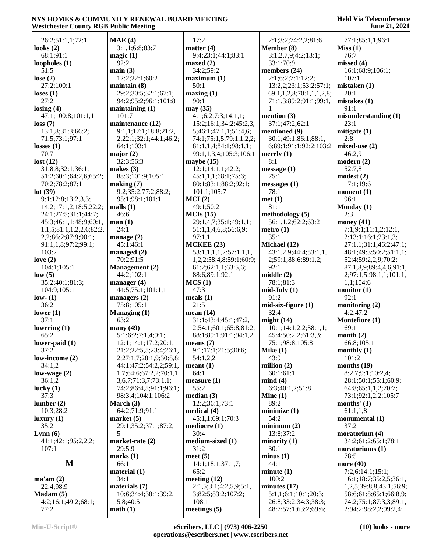| 26:2;51:1,1;72:1         | MAE(4)                  | 17:2                    | 2:1;3:2;74:2,2;81:6         | 77:1;85:1,1;96:1        |
|--------------------------|-------------------------|-------------------------|-----------------------------|-------------------------|
| looks $(2)$              | 3:1,1;6:8;83:7          | matter $(4)$            | Member (8)                  | Miss(1)                 |
| 68:1;91:1                | magic(1)                | 9:4;23:1;44:1;83:1      | 3:1,2,7,9;4:2;13:1;         | 76:7                    |
| loopholes $(1)$          | 92:2                    | maxed $(2)$             | 33:1;70:9                   | missed (4)              |
| 51:5                     | main(3)                 | 34:2;59:2               | members (24)                | 16:1;68:9;106:1;        |
| lose $(2)$               | 12:2;22:1;60:2          | maximum <sub>(1)</sub>  | 2:1;6:2;7:1;12:2;           | 107:1                   |
| 27:2;100:1               | maintain(8)             | 50:1                    | 13:2,2;23:1;53:2;57:1;      | mistaken (1)            |
| loses $(1)$              | 29:2;30:5;32:1;67:1;    | maxing(1)               | 69:1,1,2,8;70:1,1,1,2,8;    | 20:1                    |
| 27:2                     |                         | 90:1                    |                             |                         |
|                          | 94:2;95:2;96:1;101:8    |                         | 71:1,3;89:2;91:1;99:1,<br>1 | mistakes $(1)$          |
| losing $(4)$             | maintaining $(1)$       | may (35)                |                             | 91:1                    |
| 47:1;100:8;101:1,1       | 101:7                   | 4:1;6:2;7:3;14:1,1;     | mention $(3)$               | misunderstanding (1)    |
| loss(7)                  | maintenance (12)        | 15:2;16:1;34:2;45:2,3,  | 37:1;47:2;62:1              | 23:1                    |
| 13:1,8;31:3;66:2;        | 9:1,1;17:1;18:8;21:2,   | 5;46:1;47:1,1;51:4,6;   | mentioned (9)               | mitigate $(1)$          |
| 71:5;73:1;97:1           | 2;22:1;32:1;44:1;46:2;  | 74:1;75:1,5;79:1,1,2,2; | 30:1;49:1;86:1;88:1,        | 2:8                     |
| losses $(1)$             | 64:1;103:1              | 81:1,1,4;84:1;98:1,1;   | 6;89:1;91:1;92:2;103:2      | mixed-use $(2)$         |
| 70:7                     | major $(2)$             | 99:1,1,3,4;105:3;106:1  | merely $(1)$                | 46:2,9                  |
| lost $(12)$              | 32:3;56:3               | maybe $(15)$            | 8:1                         | modern(2)               |
| 31:8,8;32:1;36:1;        | makes $(3)$             | 12:1;14:1,1;42:2;       | message(1)                  | 52:7,8                  |
| 51:2;60:1;64:2,6;65:2;   | 88:3;101:9;105:1        | 45:1,1,1;68:1;75:6;     | 75:1                        | modest (2)              |
| 70:2;78:2;87:1           | making (7)              | 80:1;83:1;88:2;92:1;    | messages(1)                 | 17:1;19:6               |
| lot(39)                  | 9:2;35:2;77:2;88:2;     | 101:1;105:7             | 78:1                        | moment (1)              |
| 9:1;12:8;13:2,3,3;       | 95:1;98:1;101:1         | MCI(2)                  | met(1)                      | 96:1                    |
| 14:2;17:1,2;18:5;22:2;   | malls $(1)$             | 49:1;50:2               | 81:1                        | Monday (1)              |
| 24:1;27:5;31:1;44:7;     | 46:6                    | MCIs(15)                | methodology (5)             | 2:3                     |
| 45:3;46:1,1;48:9;60:1,   | man(1)                  | 29:1,4,7;35:1;49:1,1;   | 56:1,1,2;62:2;63:2          | money $(41)$            |
|                          | 24:1                    |                         |                             | 7:1;9:1;11:1,2;12:1,    |
| 1,1,5;81:1,1,2,2,6;82:2, |                         | 51:1,1,4,6,8;56:6,9;    | $\text{metro} (1)$          |                         |
| 2,2;86:2;87:9;90:1;      | manage $(2)$            | 97:1,1                  | 35:1                        | 2;13:1;16:1;23:1,3;     |
| 91:1,1,8;97:2;99:1;      | 45:1;46:1               | <b>MCKEE (23)</b>       | Michael (12)                | 27:1,1;31:1;46:2;47:1;  |
| 103:2                    | managed $(2)$           | 53:1,1,1,1,2;57:1,1,1,  | 43:1,2,9;44:4;53:1,1,       | 48:1;49:3;50:2;51:1,1;  |
| love $(2)$               | 70:2;91:5               | 1,2,2;58:4,8;59:1;60:9; | 2;59:1;88:6;89:1,2;         | 52:4;59:2,2,9;70:2;     |
| 104:1;105:1              | <b>Management</b> (2)   | 61:2;62:1,1;63:5,6;     | 92:1                        | 87:1,8,9;89:4,4,6;91:1, |
| low(5)                   | 44:2;102:1              | 88:6;89:1;92:1          | middle(2)                   | 2;97:1,5;98:1,1;101:1,  |
| 35:2;40:1;81:3;          | manager $(4)$           | MCS(1)                  | 78:1;81:3                   | 1,1;104:6               |
| 104:9;105:1              | 44:5;75:1;101:1,1       | 47:3                    | $mid$ -July $(1)$           | monitor $(1)$           |
| low- $(1)$               | managers $(2)$          | meals $(1)$             | 91:2                        | 92:1                    |
| 36:2                     | 75:8;105:1              | 21:5                    | $mid-six-figure(1)$         | monitoring $(2)$        |
| lower $(1)$              | Managing $(1)$          | mean $(14)$             | 32:4                        | 4:2;47:2                |
| 37:1                     | 63:2                    | 31:1;43:4;45:1;47:2,    | might $(14)$                | Montefiore (1)          |
| lowering $(1)$           | many $(49)$             | 2;54:1;60:1;65:8;81:2;  | 10:1;14:1,2,2;38:1,1;       | 69:1                    |
| 65:2                     | 5:1;6:2;7:1,4;9:1;      | 88:1;89:1;91:1;94:1,2   | 45:4;50:2,2;61:3,3;         | month $(2)$             |
| lower-paid $(1)$         | 12:1;14:1;17:2;20:1;    | means $(7)$             | 75:1;98:8;105:8             | 66:8;105:1              |
|                          |                         |                         |                             |                         |
| 37:2                     | 21:2;22:5,5;23:4;26:1,  | 9:1;17:1;21:5;30:6;     | Mike $(1)$                  | monthly $(1)$           |
| low-income (2)           | 2;27:1,7;28:1,9;30:8,8; | 54:1,2,2                | 43:9                        | 101:2                   |
| 34:1,2                   | 44:1;47:2;54:2,2;59:1,  | meant(1)                | million $(2)$               | months $(19)$           |
| low-wage $(2)$           | 1,7;64:6;67:2,2;70:1,1, | 64:1                    | 60:1;61:1                   | 8:2,7;9:1;10:2,4;       |
| 36:1,2                   | 3,6,7;71:3,7;73:1,1;    | measure(1)              | mind(4)                     | 28:1;50:1;55:1;60:9;    |
| lucky $(1)$              | 74:2;86:4,5;91:1;96:1;  | 55:2                    | 6:3;40:1,2;51:8             | 64:8;65:1,1,2;70:7;     |
| 37:3                     | 98:3,4;104:1;106:2      | median(3)               | Mine $(1)$                  | 73:1;92:1,2,2;105:7     |
| lumber(2)                | March $(3)$             | 12:2;36:1;73:1          | 89:2                        | months' $(3)$           |
| 10:3;28:2                | 64:2;71:9;91:1          | medical $(4)$           | minimize(1)                 | 61:1,1,8                |
| luxury(1)                | market $(5)$            | 45:1,1;69:1;70:3        | 54:2                        | monumental (1)          |
| 35:2                     | 29:1;35:2;37:1;87:2,    | mediocre $(1)$          | minimum(2)                  | 37:2                    |
| Lymn(6)                  | 5                       | 30:4                    | 13:8:37:2                   | moratorium (4)          |
| 41:1;42:1;95:2,2,2;      | market-rate $(2)$       | medium-sized (1)        | minority $(1)$              | 34:2;61:2;65:1;78:1     |
| 107:1                    | 29:5.9                  | 31:2                    | 30:1                        | moratoriums $(1)$       |
|                          | marks(1)                | meet $(5)$              | minus(1)                    | 78:5                    |
| M                        | 66:1                    | 14:1;18:1;37:1,7;       | 44:1                        | more (40)               |
|                          |                         |                         |                             |                         |
|                          | material $(1)$          | 65:2                    | minute(1)                   | 7:2,6;14:1;15:1;        |
| ma'am(2)                 | 34:1                    | meeting $(12)$          | 100:2                       | 16:1;18:7;35:2,5;36:1,  |
| 22:4;98:9                | materials (7)           | 2:1,5;3:1;4:2,5,9;5:1,  | minutes $(17)$              | 1,2,5;39:8,8;43:1;56:9; |
| Madam(5)                 | 10:6;34:4;38:1;39:2,    | 3;82:5;83:2;107:2;      | 5:1,1;6:1;10:1;20:3;        | 58:6;61:8;65:1;66:8,9;  |
| 4:2;16:1;49:2;68:1;      | 5,8;40:5                | 108:1                   | 26:8;33:2;34:3;38:3;        | 74:2;75:1;87:3,3;89:1,  |
| 77:2                     | math(1)                 | meetings $(5)$          | 48:7;57:1;63:2;69:6;        | 2;94:2;98:2,2;99:2,4;   |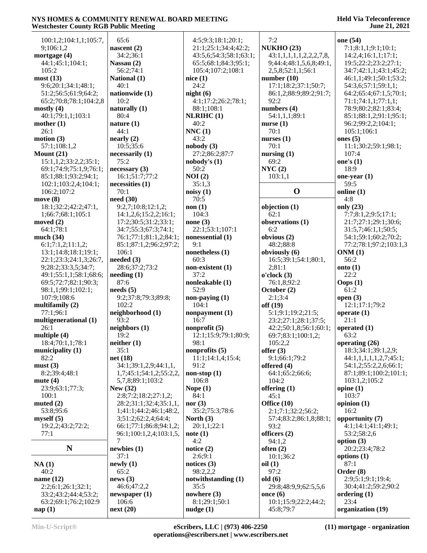#### **Held Via Teleconference June 21, 2021**

| 65:6                     |                                                                                                                                                                                                                                                                                                                                                                                                                                                |
|--------------------------|------------------------------------------------------------------------------------------------------------------------------------------------------------------------------------------------------------------------------------------------------------------------------------------------------------------------------------------------------------------------------------------------------------------------------------------------|
|                          |                                                                                                                                                                                                                                                                                                                                                                                                                                                |
| nascent $(2)$            |                                                                                                                                                                                                                                                                                                                                                                                                                                                |
| 34:2;36:1                |                                                                                                                                                                                                                                                                                                                                                                                                                                                |
| Nassau (2)               |                                                                                                                                                                                                                                                                                                                                                                                                                                                |
|                          |                                                                                                                                                                                                                                                                                                                                                                                                                                                |
| National (1)             | nio                                                                                                                                                                                                                                                                                                                                                                                                                                            |
|                          |                                                                                                                                                                                                                                                                                                                                                                                                                                                |
|                          | niş                                                                                                                                                                                                                                                                                                                                                                                                                                            |
|                          |                                                                                                                                                                                                                                                                                                                                                                                                                                                |
|                          |                                                                                                                                                                                                                                                                                                                                                                                                                                                |
|                          | NI                                                                                                                                                                                                                                                                                                                                                                                                                                             |
|                          |                                                                                                                                                                                                                                                                                                                                                                                                                                                |
|                          | NN                                                                                                                                                                                                                                                                                                                                                                                                                                             |
|                          |                                                                                                                                                                                                                                                                                                                                                                                                                                                |
|                          | n <sub>0</sub>                                                                                                                                                                                                                                                                                                                                                                                                                                 |
|                          |                                                                                                                                                                                                                                                                                                                                                                                                                                                |
|                          | n <sub>0</sub>                                                                                                                                                                                                                                                                                                                                                                                                                                 |
|                          |                                                                                                                                                                                                                                                                                                                                                                                                                                                |
|                          | N(                                                                                                                                                                                                                                                                                                                                                                                                                                             |
|                          |                                                                                                                                                                                                                                                                                                                                                                                                                                                |
|                          | n <sub>0</sub>                                                                                                                                                                                                                                                                                                                                                                                                                                 |
|                          |                                                                                                                                                                                                                                                                                                                                                                                                                                                |
|                          | n <sub>0</sub>                                                                                                                                                                                                                                                                                                                                                                                                                                 |
|                          |                                                                                                                                                                                                                                                                                                                                                                                                                                                |
|                          | n <sub>0</sub>                                                                                                                                                                                                                                                                                                                                                                                                                                 |
|                          |                                                                                                                                                                                                                                                                                                                                                                                                                                                |
|                          | n <sub>0</sub>                                                                                                                                                                                                                                                                                                                                                                                                                                 |
|                          |                                                                                                                                                                                                                                                                                                                                                                                                                                                |
|                          | n <sub>0</sub>                                                                                                                                                                                                                                                                                                                                                                                                                                 |
|                          |                                                                                                                                                                                                                                                                                                                                                                                                                                                |
|                          | n <sub>0</sub>                                                                                                                                                                                                                                                                                                                                                                                                                                 |
|                          |                                                                                                                                                                                                                                                                                                                                                                                                                                                |
|                          | n <sub>0</sub>                                                                                                                                                                                                                                                                                                                                                                                                                                 |
|                          |                                                                                                                                                                                                                                                                                                                                                                                                                                                |
| needs (5)                |                                                                                                                                                                                                                                                                                                                                                                                                                                                |
| 9:2;37:8;79:3;89:8;      | n <sub>0</sub>                                                                                                                                                                                                                                                                                                                                                                                                                                 |
| 102:2                    |                                                                                                                                                                                                                                                                                                                                                                                                                                                |
| neighborhood (1)         | n <sub>o</sub>                                                                                                                                                                                                                                                                                                                                                                                                                                 |
| 93:2                     |                                                                                                                                                                                                                                                                                                                                                                                                                                                |
| neighbors (1)            | n <sub>0</sub>                                                                                                                                                                                                                                                                                                                                                                                                                                 |
| 19:2                     |                                                                                                                                                                                                                                                                                                                                                                                                                                                |
| neither (1)              |                                                                                                                                                                                                                                                                                                                                                                                                                                                |
| 35:1                     | n <sub>0</sub>                                                                                                                                                                                                                                                                                                                                                                                                                                 |
| net (18)                 |                                                                                                                                                                                                                                                                                                                                                                                                                                                |
| 34:1;39:1,2,9;44:1,1,    |                                                                                                                                                                                                                                                                                                                                                                                                                                                |
| 1,7;45:1;54:1,2;55:2,2,  | n <sub>o</sub>                                                                                                                                                                                                                                                                                                                                                                                                                                 |
| 5,7,8;89:1;103:2         |                                                                                                                                                                                                                                                                                                                                                                                                                                                |
| New (32)                 | N <sub>0</sub>                                                                                                                                                                                                                                                                                                                                                                                                                                 |
| 2:8;7:2;18:2;27:1,2;     |                                                                                                                                                                                                                                                                                                                                                                                                                                                |
| 28:2;31:1;32:4;35:1,1,   | n <sub>0</sub>                                                                                                                                                                                                                                                                                                                                                                                                                                 |
| 1;41:1;44:2;46:1;48:2,   |                                                                                                                                                                                                                                                                                                                                                                                                                                                |
| 3;51:2;62:2,4;64:4;      | N <sub>0</sub>                                                                                                                                                                                                                                                                                                                                                                                                                                 |
| 66:1;77:1;86:8;94:1,2;   |                                                                                                                                                                                                                                                                                                                                                                                                                                                |
| 96:1;100:1,2,4;103:1,5,  | n <sub>0</sub>                                                                                                                                                                                                                                                                                                                                                                                                                                 |
| 7                        |                                                                                                                                                                                                                                                                                                                                                                                                                                                |
| newbles(1)               | n0                                                                                                                                                                                                                                                                                                                                                                                                                                             |
| 37:1                     |                                                                                                                                                                                                                                                                                                                                                                                                                                                |
| newly(1)                 | n <sub>0</sub>                                                                                                                                                                                                                                                                                                                                                                                                                                 |
| 65:2                     | n <sub>0</sub>                                                                                                                                                                                                                                                                                                                                                                                                                                 |
| news(3)                  |                                                                                                                                                                                                                                                                                                                                                                                                                                                |
| 46:6;47:2,2              | n <sub>0</sub>                                                                                                                                                                                                                                                                                                                                                                                                                                 |
| newspaper $(1)$<br>106:6 |                                                                                                                                                                                                                                                                                                                                                                                                                                                |
|                          | 56:2;74:1<br>40:1<br>nationwide (1)<br>10:2<br>naturally (1)<br>80:4<br>nature $(1)$<br>44:1<br>nearly (2)<br>10:5;35:6<br>necessarily (1)<br>75:2<br>necessary(3)<br>16:1;51:7;77:2<br>necessities (1)<br>70:1<br>need(30)<br>9:2,7;10:8;12:1,2;<br>14:1,2,6;15:2,2;16:1;<br>17:2;30:5;31:2;33:1;<br>34:7;55:3;67:3;74:1;<br>76:1;77:1;81:1,2;84:1;<br>85:1;87:1,2;96:2;97:2;<br>106:1<br>needed (3)<br>28:6;37:2;73:2<br>needing (1)<br>87:6 |

 4:5;9:3;18:1;20:1; 21:1;25:1;34:4;42:2; 43:5,6;54:3;58:1;63:1; 65:5;68:1;84:3;95:1; 105:4;107:2;108:1 **nice (1)** 24:2 **night (6)** 4:1;17:2;26:2;78:1; 88:1;108:1 **NLRIHC (1)** 40:2 **NNC (1)** 43:2 **nobody (3)** 27:2;86:2;87:7 **nobody's (1)** 50:2 **NOI (2)** 35:1,3 **noisy (1)** 70:5 **non (1)** 104:3 **none (3)** 22:1;53:1;107:1 **nonessential (1)** 9:1 **nonetheless (1)** 60:3 **non-existent (1)** 37:2 **nonleakable (1)** 52:9 **non-paying (1)** 104:1 **nonpayment (1)** 16:7 **nonprofit (5)** 12:1;15:9;79:1;80:9; 98:1 **nonprofits (5)** 11:1;14:1,4;15:4; 91:2 **non-stop (1)** 106:8 **Nope (1)** 84:1 **nor (3)** 35:2;75:3;78:6 **North (3)** 20:1,1;22:1 **note (1)** 4:2 **notice (2)** 2:6;9:1 **notices (3)** 98:2,2,2 **notwithstanding (1)** 35:5 **nowhere (3)** 8:1;29:1;50:1 **nudge (1)**

 7:2 **NUKHO (23)** 43:1,1,1,1,1,2,2,2,7,8, 9;44:4;48:1,5,6,8;49:1, 2,5,8;52:1,1;56:1 **number (10)** 17:1;18:2;37:1;50:7; 86:1,2;88:9;89:2;91:7; 92:2 **numbers (4)** 54:1,1,1;89:1 **nurse (1)** 70:1 **nurses (1)** 70:1 **nursing (1)** 69:2 **NYC (2)** 103:1,1 **O online (1) objection (1)** 62:1 **observations (1)** 6:2 **obvious (2)** 48:2;88:8 **obviously (6)** 16:5;39:1;54:1;80:1, 2;81:1 **o'clock (3)** 76:1,8;92:2 **October (2)** 2:1;3:4 **off (19)** 5:1;9:1;19:2;21:5; 23:2;27:1;28:1;37:5; 42:2;50:1,8;56:1;60:1; 69:7;83:1;100:1,2; 105:2,2 **offer (3)** 9:1;66:1;79:2 **offered (4)** 64:1;65:2;66:6; 104:2 **offering (1)** 45:1 **Office (10)** 2:1;7:1;32:2;56:2; 57:4;83:2;86:1,8;88:1; 93:2 **officers (2)** 94:1,2 **often (2)** 10:1;36:2 **oil (1)** 97:2 **old (6)** 29:8;48:9,9;62:5,5,6 **once (6)** 10:1;15:9;22:2;44:2; 45:8;79:7 **one (54)** 7:1;8:1,1;9:1;10:1; 14:2,4;16:1,1;17:1; 19:5;22:2;23:2;27:1; **ones (5)**  $107:4$ **one's (1)** 18:9 59:5 4:8 **only (23) ONM (1)** 56:2 **onto (1)** 22:2 **Oops (1)** 61:2 **open (3)** 21:1 63:2 **opine (1)** 103:7 16:2 87:1 23:4

 34:7;42:1,1;43:1;45:2; 46:1,1;49:1;50:1;53:2; 54:3,6;57:1;59:1,1; 64:2;65:4;67:1,5;70:1; 71:1;74:1,1;77:1,1; 78:9;80:2;82:1;83:4; 85:1;88:1,2;91:1;95:1; 96:2;99:2,2;104:1; 105:1;106:1 11:1;30:2;59:1;98:1; **one-year (1)** 7:7;8:1,2;9:5;17:1; 21:7;27:1;29:1;30:6; 31:5,7;46:1,1;50:5; 54:1;59:1;60:2;70:2; 77:2;78:1;97:2;103:1,3 12:1;17:1;79:2 **operate (1) operated (1) operating (26)** 18:3;34:1;39:1,2,9; 44:1,1,1,1,1,2,7;45:1; 54:1,2;55:2,2,6;66:1; 87:1;89:1;100:2;101:1; 103:1,2;105:2 **opinion (1) opportunity (7)** 4:1;14:1;41:1;49:1; 53:2;58:2,6 **option (3)** 20:2;23:4;78:2 **options (1) Order (8)** 2:9;5:1;9:1;19:4; 30:4;41:2;59:2;90:2 **ordering (1) organization (19)**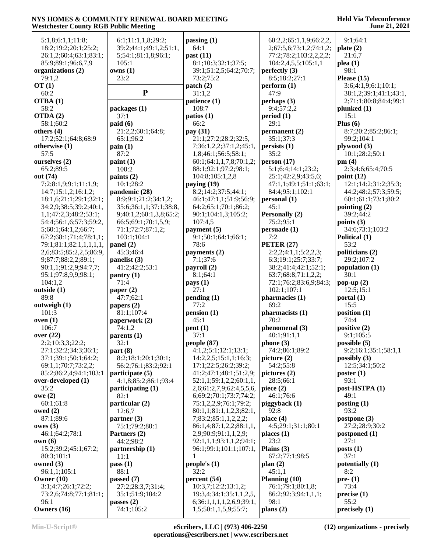| 5:1,8;6:1,1;11:8;              | 6:1;11:1,1,8;29:2;            | passing $(1)$                                    | 60:2,2;65:1,1,9;66:2,2,     | 9:1;64:1                                        |
|--------------------------------|-------------------------------|--------------------------------------------------|-----------------------------|-------------------------------------------------|
| 18:2;19:2;20:1;25:2;           | 39:2;44:1;49:1,2;51:1,        | 64:1                                             | 2;67:5,6;73:1,2;74:1,2;     | plate $(2)$                                     |
| 26:1,2;60:4;63:1;83:1;         | 5;54:1;81:1,8;96:1;           | past $(11)$                                      | 77:2;78:2;103:2,2,2,2;      | 21:6,7                                          |
| 85:9;89:1;96:6,7,9             | 105:1                         | 8:1;10:3;32:1;37:5;                              | 104:2,4,5,5;105:1,1         | plea(1)                                         |
| organizations (2)<br>79:1,2    | owns(1)                       | 39:1;51:2,5;64:2;70:7;                           | perfectly $(3)$             | 98:1                                            |
|                                | 23:2                          | 73:2;75:2                                        | 8:5;18:2;27:1               | Please $(15)$<br>3:6;4:1,9;6:1;10:1;            |
| OT(1)<br>60:2                  | ${\bf P}$                     | patch(2)<br>31:1,2                               | perform (1)<br>47:9         |                                                 |
| OTBA(1)                        |                               | patience (1)                                     | perhaps $(3)$               | 38:1,2;39:1;41:1;43:1,<br>2;71:1;80:8;84:4;99:1 |
| 58:2                           | packages (1)                  | 108:7                                            | 9:4;57:2,2                  | plunked(1)                                      |
| OTDA(2)                        | 37:1                          | pations (1)                                      | period(1)                   | 15:1                                            |
| 58:1;60:2                      | paid (6)                      | 66:2                                             | 29:1                        | Plus $(6)$                                      |
| others (4)                     | 21:2,2;60:1;64:8;             | pay (31)                                         | permanent (2)               | 8:7;20:2;85:2;86:1;                             |
| 17:2;52:1;64:8;68:9            | 65:1;96:2                     | 21:1;27:2;28:2;32:5,                             | 35:1;37:3                   | 99:2;104:1                                      |
| otherwise (1)                  | $\operatorname{pain}(1)$      | 7;36:1,2,2;37:1,2;45:1,                          | persists(1)                 | plywood(3)                                      |
| 57:5                           | 87:2                          | 1,8;46:1;56:5;58:1;                              | 35:2                        | 10:1;28:2;50:1                                  |
| ourselves (2)                  | paint(1)                      | 60:1;64:1,1,7,8;70:1,2;                          | person (17)                 | pm(4)                                           |
| 65:2;89:5                      | 100:2                         | 88:1;92:1;97:2;98:1;                             | 5:1;6:4;14:1;23:2;          | 2:3;4:6;65:4;70:5                               |
| out (74)                       | paints $(2)$                  | 104:8;105:1,2,8                                  | 25:1;42:2,9;43:5,6;         | point $(12)$                                    |
| 7:2;8:1,9;9:1;11:1,9;          | 10:1;28:2                     | paying $(19)$                                    | 47:1,1;49:1;51:1;63:1;      | 12:1;14:2;31:2;35:3;                            |
| 14:7;15:1,2;16:1,2;            | pandemic (28)                 | 8:2;14:2;37:5;44:1;                              | 84:4:95:1:102:1             | 44:2;48:2;57:3;59:5;                            |
| 18:1,6;21:1;29:1;32:1;         | 8:9:9:1:21:2:34:1.2:          | 46:1;47:1,1;51:9;56:9;                           | personal (1)                | 60:1;61:1;73:1;80:2                             |
| 34:2,9;38:5;39:2;40:1,         | 35:6;36:1,1;37:1;38:8,        | 64:2;65:1;70:1;86:2;                             | 45:1                        | pointing $(2)$                                  |
| 1,1;47:2,3;48:2;53:1;          | 9;40:1,2;60:1,3,8;65:2;       | 90:1;104:1,3;105:2;                              | Personally (2)              | 39:2:44:2                                       |
| 54:4;56:1,6;57:3;59:2,         | 66:5;69:1;70:1,5,9;           | 107:4,5                                          | 75:2;95:1                   | points $(3)$                                    |
| 5;60:1;64:1,2;66:7;            | 71:1;72:7;87:1,2;             | payment $(5)$                                    | persuade (1)                | 34:6;73:1;103:2                                 |
| 67:2;68:1;71:4;78:1,1;         | 103:1;104:1                   | 9:1;50:1;64:1;66:1;                              | 7:2                         | Political (1)                                   |
| 79:1;81:1;82:1,1,1,1,1,1,      | panel (2)                     | 78:6                                             | <b>PETER (27)</b>           | 53:2                                            |
| 2,6;83:5;85:2,2,5;86:9,        | 45:3;46:4                     | payments (2)                                     | 2:2,2;4:1,1;5:2,2,3;        | politicians (2)                                 |
| 9;87:7;88:2,2;89:1;            | panelist (3)                  | 7:1;37:6                                         | 6:3;19:1;25:7;33:7;         | 29:2;107:2                                      |
| 90:1,1;91:2,9;94:7,7;          | 41:2;42:2;53:1                | payroll (2)                                      | 38:2;41:4;42:1;52:1;        | population $(1)$                                |
| 95:1;97:8,9,9;98:1;            | $\text{pantry}\left(1\right)$ | 8:1;64:1                                         | 63:7;68:8;71:1,2,2;         | 30:1                                            |
| 104:1,2                        | 71:4                          | pays (1)                                         | 72:1;76:2;83:6,9;84:3;      | pop-up $(2)$                                    |
| outside (1)                    | paper $(2)$                   | 27:1                                             | 102:1;107:1                 | 12:5;15:1                                       |
| 89:8                           | 47:7;62:1                     | pending (1)                                      | pharmacies (1)              | portal $(1)$                                    |
| outweigh (1)                   | papers $(2)$                  | 77:2                                             | 69:2                        | 15:5                                            |
| 101:3<br>oven(1)               | 81:1;107:4                    | pension(1)<br>45:1                               | pharmacists (1)<br>70:2     | position (1)<br>74:4                            |
| 106:7                          | paperwork (2)<br>74:1,2       | pent(1)                                          | phenomenal (3)              | positive (2)                                    |
| over $(22)$                    | parents(1)                    | 37:1                                             | 40:1;91:1,1                 | 9:1;105:5                                       |
| 2:2;10:3,3;22:2;               | 32:1                          | people (87)                                      | phone (3)                   | possible $(5)$                                  |
| 27:1;32:2;34:3;36:1;           | part(8)                       | 4:1,2;5:1;12:1;13:1;                             | 74:2;86:1;89:2              | 9:2;16:1;35:1;58:1,1                            |
| 37:1;39:1;50:1;64:2;           | 8:2;18:1;20:1;30:1;           | 14:2,2,5;15:1,1;16:3;                            | picture (2)                 | possibly $(3)$                                  |
| 69:1,1;70:7;73:2,2;            | 56:2;76:1;83:2;92:1           | 17:1;22:5;26:2;39:2;                             | 54:2;55:8                   | 12:5;34:1;50:2                                  |
| 85:2;86:2,4;94:1;103:1         | participate (5)               | 41:2;47:1;48:1;51:2,9;                           | pictures (2)                | poster $(1)$                                    |
| over-developed (1)             | 4:1,8;85:2;86:1;93:4          | 52:1,1;59:1,2,2;60:1,1,                          | 28:5:66:1                   | 93:1                                            |
| 35:2                           | participating (1)             | 2,6;61:2,7,9;62:4,5,5,6,                         | piece $(2)$                 | post-HSTPA (1)                                  |
| owe(2)                         | 82:1                          | 6;69:2;70:1;73:7;74:2;                           | 46:1;76:6                   | 49:1                                            |
| 60:1;61:8                      | particular (2)                | 75:1,2,2,9;76:1;79:2;                            | piggyback (1)               | posting $(1)$                                   |
| owed $(2)$                     | 12:6,7                        | 80:1,1;81:1,1,2,3;82:1,                          | 92:8                        | 93:2                                            |
| 87:1;89:6                      | partner (3)                   | 7;83:2;85:1,1,2,2,2;                             | place $(4)$                 | postpone $(3)$                                  |
| owes $(3)$                     | 75:1;79:2;80:1                | 86:1,4;87:1,2,2;88:1,1,                          | 4:5;29:1;31:1;80:1          | 27:2;28:9;30:2                                  |
| 46:1;64:2;78:1                 | Partners (2)                  | 2,9;90:9;91:1,1,2,9;                             | places(1)                   | postponed $(1)$                                 |
| own(6)                         | 44:2;98:2                     | 92:1,1,1;93:1,1,2;94:1;                          | 23:2                        | 27:1                                            |
| 15:2;39:2;45:1;67:2;           | partnership (1)               | 96:1;99:1;101:1;107:1,                           | Plains $(3)$                | posts(1)                                        |
| 80:3;101:1                     | 11:1                          | 1                                                | 67:2;77:1;98:5              | 37:1                                            |
| owned $(3)$                    | pass(1)                       | people's (1)                                     | plan(2)                     | potentially (1)                                 |
| 96:1,1;105:1                   | 88:1                          | 32:2                                             | 45:1,1                      | 8:2                                             |
| Owner $(10)$                   | passed (7)                    | percent (54)                                     | Planning $(10)$             | pre- $(1)$                                      |
| 3:1;4:7;26:1;72:2;             | 27:2;28:3,7;31:4;             | 10:3,7;12:2;13:1,2;                              | 76:1;79:1;80:1,8;           | 73:4                                            |
| 73:2,6;74:8;77:1;81:1;<br>96:1 | 35:1;51:9;104:2               | 19:3,4;34:1;35:1,1,2,5,                          | 86:2;92:3;94:1,1,1;<br>98:1 | precise(1)<br>55:2                              |
| Owners (16)                    | passes $(2)$<br>74:1;105:2    | 6;36:1,1,1,1,2,6,9;39:1,<br>1,5;50:1,1,5,9;55:7; |                             |                                                 |
|                                |                               |                                                  | plans (2)                   | precisely (1)                                   |

**Min-U-Script® eScribers, LLC | (973) 406-2250 operations@escribers.net | www.escribers.net**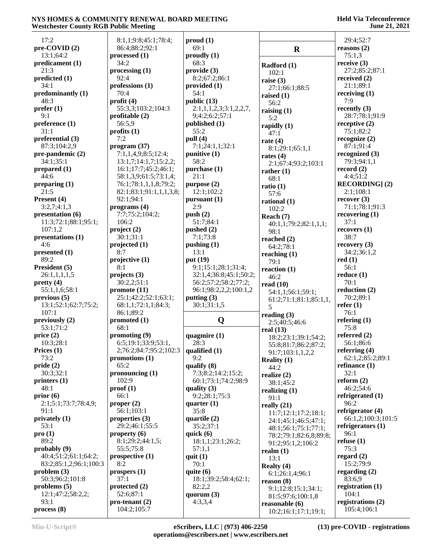| 17:2                                 | 8:1,1;9:8;45:1;78:4;                        | prod(1)                              |                                          | 29:4;52:7                          |
|--------------------------------------|---------------------------------------------|--------------------------------------|------------------------------------------|------------------------------------|
| $pre-COVID(2)$                       | 86:4;88:2;92:1                              | 69:1                                 | $\mathbf R$                              | reasons $(2)$                      |
| 13:1;64:2                            | processed $(1)$                             | $\boldsymbol{p}$ roudly (1)          |                                          | 75:1,3                             |
| predicament (1)                      | 34:2                                        | 68:3                                 | Radford (1)                              | receive $(3)$                      |
| 21:3                                 | processing (1)                              | provide (3)                          | 102:1                                    | 27:2;85:2;87:1                     |
| predicted (1)                        | 92:4                                        | 8:2;67:2;86:1                        | raise $(3)$                              | received $(2)$                     |
| 34:1                                 | professions (1)                             | provided (1)                         | 27:1;66:1;88:5                           | 21:1;89:1                          |
| predominantly(1)                     | 70:4                                        | 54:1                                 | raised $(1)$                             | receiving $(1)$                    |
| 48:3                                 | profit $(4)$                                | public $(13)$                        | 56:2                                     | 7:9                                |
| $\text{prefer} \left( 1 \right)$     | 55:3,3;103:2;104:3                          | 2:1,1,1,2,3;3:1,2,2,7,               | raising $(1)$                            | recently $(3)$                     |
| 9:1<br>preference <sub>(1)</sub>     | profitable $(2)$<br>56:5.9                  | 9;4:2;6:2;57:1<br>published (1)      | 5:2                                      | 28:7;78:1;91:9<br>receptive $(2)$  |
| 31:1                                 | profits $(1)$                               | 55:2                                 | rapidly $(1)$                            | 75:1;82:2                          |
| preferential (3)                     | 7:2                                         | pull $(4)$                           | 47:1                                     | recognize $(2)$                    |
| 87:3;104:2,9                         | program (37)                                | 7:1;24:1,1;32:1                      | rate $(4)$<br>8:1;29:1;65:1,1            | 87:1;91:4                          |
| pre-pandemic (2)                     | 7:1,1,4,9;8:5;12:4;                         | punitive $(1)$                       | rates $(4)$                              | recognized $(3)$                   |
| 34:1;35:1                            | 13:1,7;14:1,7;15:2,2;                       | 58:2                                 | 2:1;67:4;93:2;103:1                      | 79:3;94:1,1                        |
| prepared (1)                         | 16:1;17:7;45:2;46:1;                        | purchase (1)                         | rather $(1)$                             | record $(2)$                       |
| 44:6                                 | 58:1,3,9;61:5;73:1,4;                       | 21:1                                 | 68:1                                     | 4:4:51:2                           |
| preparing $(1)$                      | 76:1;78:1,1,1,8;79:2;                       | purpose (2)                          | ratio(1)                                 | <b>RECORDING</b> ] (2)             |
| 21:5                                 | 82:1;83:1;91:1,1,1,3,8;                     | 12:1;102:2                           | 57:6                                     | 2:1;108:1                          |
| Present (4)                          | 92:1;94:1                                   | pursuant (1)<br>2:9                  | rational (1)                             | recover(3)                         |
| 3:2,7;4:1,3<br>presentation (6)      | programs (4)<br>7:7;75:2;104:2;             | push $(2)$                           | 102:2                                    | 71:1;78:1;91:3<br>recovering $(1)$ |
| 11:3;72:1;88:1;95:1;                 | 106:2                                       | 51:7:84:1                            | Reach (7)                                | 37:1                               |
| 107:1,2                              | project(2)                                  | pushed $(2)$                         | 40:1,1;79:2;82:1,1,1;<br>98:1            | recovery (1)                       |
| presentations (1)                    | 30:1;31:1                                   | 7:1;73:8                             | reached $(2)$                            | 38:7                               |
| 4:6                                  | projected $(1)$                             | pushing $(1)$                        | 64:2;78:1                                | recovery $(3)$                     |
| presented (1)                        | 8:7                                         | 13:1                                 | reaching $(1)$                           | 34:2;36:1,2                        |
| 89:2                                 | projective (1)                              | put (19)                             | 79:1                                     | red(1)                             |
| President (5)                        | 8:1                                         | 9:1;15:1;28:1;31:4;                  | reaction $(1)$                           | 56:1                               |
| 26:1,1,1,1,5                         | projects(3)                                 | 32:1,4;36:8;45:1;50:2;               | 46:2                                     | reduce(1)                          |
| pretty(4)                            | 30:2,2;51:1                                 | 56:2;57:2;58:2;77:2;                 | read $(10)$                              | 70:1                               |
| 55:1,1,6;58:1                        | promote (11)                                | 96:1;98:2,2,2;100:1,2                | 54:1,1;56:1;59:1;                        | reduction $(2)$                    |
| previous(5)<br>13:1;52:1;62:7;75:2;  | 25:1;42:2;52:1;63:1;<br>68:1,1;72:1,1;84:3; | putting $(3)$<br>30:1;31:1,5         | 61:2;71:1;81:1;85:1,1,                   | 70:2;89:1<br>refer $(1)$           |
| 107:1                                | 86:1;89:2                                   |                                      | 5                                        | 76:1                               |
| previously $(2)$                     | promoted (1)                                | Q                                    | reading $(3)$<br>2:5;40:5;46:6           | refering $(1)$                     |
| 53:1;71:2                            | 68:1                                        |                                      | real $(13)$                              | 75:8                               |
| price $(2)$                          | promoting (9)                               | quagmire (1)                         | 18:2;23:1;39:1;54:2;                     | referred $(2)$                     |
| 10:3;28:1                            | 6:5;19:1;33:9;53:1,                         | 28:3                                 | 55:8;81:7;86:2;87:2;                     | 56:1;86:6                          |
| Prices $(1)$                         | 2;76:2;84:7;95:2;102:3                      | qualified $(1)$                      | 91:7;103:1,1,2,2                         | referring $(4)$                    |
| 73:2                                 | promotions (1)                              | 9:2                                  | <b>Reality</b> $(1)$                     | 62:1,2;85:2;89:1                   |
| pride(2)                             | 65:2                                        | qualify (8)                          | 44:2                                     | refinance $(1)$                    |
| 30:3;32:1                            | pronouncing $(1)$<br>102:9                  | 7:3;8:2;14:2;15:2;                   | realize $(2)$                            | 32:1<br>reform $(2)$               |
| printers $(1)$<br>48:1               | proof(1)                                    | 60:1;73:1;74:2;98:9<br>quality $(3)$ | 38:1;45:2                                | 46:2;54:6                          |
| prior(6)                             | 66:1                                        | 9:2;28:1;75:3                        | realizing $(1)$                          | refrigerated (1)                   |
| 2:1;5:1;73:7;78:4,9;                 | proper $(2)$                                | quarter $(1)$                        | 91:1<br>really $(21)$                    | 96:2                               |
| 91:1                                 | 56:1;103:1                                  | 35:8                                 | 11:7;12:1;17:2;18:1;                     | refrigerator $(4)$                 |
| privately $(1)$                      | properties $(3)$                            | quartile (2)                         | 24:1;45:1;46:5;47:1;                     | 66:1,2;100:3;101:5                 |
| 53:1                                 | 29:2;46:1;55:5                              | 35:2;37:1                            | 48:1;56:1;75:1;77:1;                     | refrigerators $(1)$                |
| pro(1)                               | property $(6)$                              | quick $(6)$                          | 78:2;79:1;82:6,8;89:8;                   | 96:1                               |
| 89:2                                 | 8:1;29:2;44:1,5;                            | 18:1,1;23:1;26:2;                    | 91:2;95:1,2;106:2                        | refuse $(1)$                       |
| probably $(9)$                       | 55:5;75:8                                   | 57:1,1                               | realm $(1)$                              | 75:3                               |
| 40:4;51:2;61:1;64:2;                 | prospective(1)                              | quit $(1)$                           | 13:1                                     | regard $(2)$                       |
| 83:2;85:1,2;96:1;100:3<br>problem(3) | 8:2<br>prospers (1)                         | 70:1<br>quite $(6)$                  | Realty $(4)$                             | 15:2;79:9<br>regarding $(2)$       |
| 50:3;96:2;101:8                      | 37:1                                        | 18:1;39:2;58:4;62:1;                 | 6:1;26:1,4;96:1                          | 83:6,9                             |
| problems $(5)$                       | protected $(2)$                             | 82:2,2                               | reason (8)                               | registration $(1)$                 |
| 12:1;47:2;58:2,2;                    | 52:6;87:1                                   | quorum $(3)$                         | 9:1;12:8;15:1;34:1;<br>81:5;97:6;100:1,8 | 104:1                              |
| 93:1                                 | $pro-tenant (2)$                            | 4:3,3,4                              | reasonable $(6)$                         | registrations (2)                  |
| process(8)                           | 104:2;105:7                                 |                                      | 10:2;16:1;17:1;19:1;                     | 105:4;106:1                        |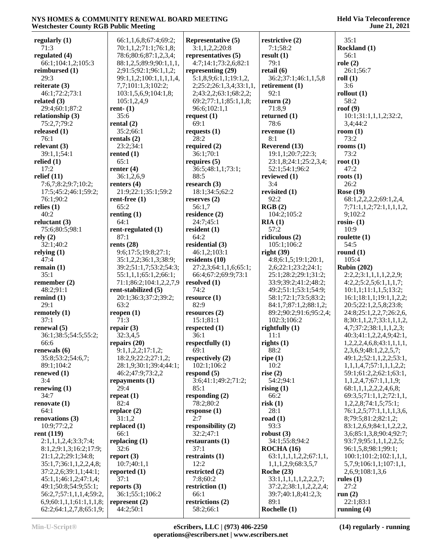| vestenester County KOD I uphe Meeting |                         |                         |                        | 0 unc 21, 2021                    |
|---------------------------------------|-------------------------|-------------------------|------------------------|-----------------------------------|
| regularly (1)                         | 66:1,1,6,8;67:4;69:2;   | Representative (5)      | restrictive (2)        | 35:1                              |
| 71:3                                  | 70:1,1,2;71:1;76:1,8;   | 3:1,1,2,2;20:8          | 7:1;58:2               | Rockland (1)                      |
|                                       |                         |                         |                        |                                   |
| regulated (4)                         | 78:6;80:6;87:1,2,3,4;   | representatives (5)     | result(1)              | 56:1                              |
| 66:1;104:1,2;105:3                    | 88:1,2,5;89:9;90:1,1,1, | 4:7;14:1;73:2,6;82:1    | 79:1                   | role(2)                           |
| reimbursed (1)                        | 2;91:5;92:1;96:1,1,2;   | representing $(29)$     | retail $(6)$           | 26:1;56:7                         |
| 29:3                                  | 99:1,1,2;100:1,1,1,1,4, | 5:1,8,9;6:1,1;19:1,2,   | 36:2;37:1;46:1,1,5,8   | roll(1)                           |
| reiterate (3)                         | 7,7;101:1,3;102:2;      | 2;25:2;26:1,3,4;33:1,1, | retirement $(1)$       | 3:6                               |
| 46:1;72:2;73:1                        | 103:1,5,6,9;104:1,8;    | 2;43:2,2;63:1;68:2,2;   | 92:1                   | rollout $(1)$                     |
| related (3)                           | 105:1,2,4,9             | 69:2;77:1,1;85:1,1,8;   | return $(2)$           | 58:2                              |
| 29:4;60:1;87:2                        | rent- $(1)$             | 96:6;102:1,1            | 71:8,9                 | roof $(9)$                        |
| relationship (3)                      | 35:6                    | request $(1)$           | returned (1)           | 10:1;31:1,1,1,2;32:2,             |
| 75:2,7;79:2                           | rental $(2)$            | 69:1                    | 78:6                   | 3,4;44:2                          |
| released (1)                          | 35:2;66:1               | requests $(1)$          | revenue $(1)$          | room $(1)$                        |
| 76:1                                  | rentals $(2)$           | 28:2                    | 8:1                    | 73:2                              |
| relevant (3)                          | 23:2;34:1               | required $(2)$          | Reverend (13)          | rooms $(1)$                       |
| 39:1,1;54:1                           | rented $(1)$            | 36:1;70:1               | 19:1,1;20:7;22:3;      | 73:2                              |
| relied (1)                            | 65:1                    | requires $(5)$          | 23:1,8;24:1;25:2,3,4;  | root $(1)$                        |
| 17:2                                  | renter $(4)$            | 36:5;48:1,1;73:1;       | 52:1;54:1;96:2         | 47:2                              |
| relief (11)                           | 36:1,2,6,9              | 88:5                    | reviewed (1)           | roots $(1)$                       |
| 7:6,7;8:2;9:7;10:2;                   | renters $(4)$           | research $(3)$          | 3:4                    | 26:2                              |
| 17:5;45:2;46:1;59:2;                  | 21:9;22:1;35:1;59:2     | 18:1;34:5;62:2          | revisited (1)          | <b>Rose (19)</b>                  |
| 76:1;90:2                             | rent-free $(1)$         | reserves $(2)$          | 92:2                   | 68:1,2,2,2,2;69:1,2,4,            |
| relies (1)                            | 65:2                    | 56:1,7                  | RGB(2)                 | 7;71:1,1,2;72:1,1,1,1,2,          |
| 40:2                                  | renting $(1)$           | residence (2)           | 104:2;105:2            | 9;102:2                           |
| reluctant (3)                         | 64:1                    | 24:7;45:1               | RIA(1)                 | rosin- $(1)$                      |
| 75:6;80:5;98:1                        | rent-regulated (1)      | resident $(1)$          | 57:2                   | 10:9                              |
| rely(2)                               | 87:1                    | 64:2                    | ridiculous (2)         | roulette $(1)$                    |
| 32:1;40:2                             | rents $(28)$            | residential (3)         | 105:1;106:2            | 54:5                              |
| relying (1)                           | 9:6;17:5;19:8;27:1;     | 46:1,2;103:1            | right $(39)$           | round $(1)$                       |
| 47:4                                  | 35:1,2,2;36:1,3;38:9;   | residents (10)          | 4:8;6:1,5;19:1;20:1,   | 105:4                             |
| remain (1)                            | 39:2;51:1,7;53:2;54:3;  | 27:2,3;64:1,1,6;65:1;   | 2,6;22:1;23:2;24:1;    | <b>Rubin (202)</b>                |
| 35:1                                  | 55:1,1,1;65:1,2;66:1;   | 66:4;67:2;69:9;73:1     | 25:1;28:2;29:1;31:2;   | 2:2,2;3:1,1,1,1,2,2,9;            |
| remember (2)                          | 71:1;86:2;104:1,2,2,7,9 | resolved $(1)$          | 33:9;39:2;41:2;48:2;   | 4:2,2;5:2,5;6:1,1,1,7;            |
| 48:2;91:1                             | rent-stabilized (5)     | 74:2                    | 49:2;51:1;53:1;54:9;   | 10:1,1;11:1,1,5;13:2;             |
| remind (1)                            | 20:1;36:3;37:2;39:2;    | resource $(1)$          | 58:1;72:1;73:5;83:2;   | 16:1;18:1,1;19:1,1,2,2;           |
| 29:1                                  | 63:2                    | 82:9                    | 84:1,7;87:1,2;88:1,2;  | 20:5;22:1,2,5,8;23:8;             |
| remotely (1)                          | reopen $(1)$            | resources $(2)$         | 89:2;90:2;91:6;95:2,4; | 24:8;25:1,2,2,7;26:2,6,           |
| 37:1                                  | 71:3                    | 15:1;81:1               | 102:3;106:2            | 8;30:1,1,2,7;33:1,1,1,2,          |
| renewal (5)                           | repair $(3)$            | respected (1)           | rightfully $(1)$       | 4,7;37:2;38:1,1,1,2,3;            |
| 36:1;38:5;54:5;55:2;                  | 32:3,4,5                | 36:1                    | 11:1                   | 40:3;41:1,2,2,4,9;42:1,           |
| 66:6                                  | repairs $(20)$          | respectfully $(1)$      | rights $(1)$           | 1,2,2,2,4,6,8;43:1,1,1,1,         |
| renewals (6)                          | 9:1,1,2,2;17:1,2;       | 69:1                    | 88:2                   | 2,3,6,9;48:1,2,2,5,7;             |
| 35:8;53:2;54:6,7;                     | 18:2,9;22:2;27:1,2;     | respectively (2)        | ripe $(1)$             | 49:1,2;52:1,1,2,2;53:1,           |
| 89:1;104:2                            | 28:1,9;30:1;39:4;44:1;  | 102:1;106:2             | 10:2                   | 1, 1, 1, 4, 7; 57: 1, 1, 1, 2, 2; |
| renewed (1)                           | 46:2;47:9;73:2,2        | respond $(5)$           | rise $(2)$             | 59:1;61:2,2;62:1;63:1,            |
| 3:4                                   | repayments $(1)$        | 3:6;41:1;49:2;71:2;     | 54:2;94:1              | 1,1,2,4,7;67:1,1,1,9;             |
| renewing (1)                          | 29:4                    | 85:1                    | rising $(1)$           | 68:1,1,1,2,2,2,4,6,8;             |
| 34:7                                  | repeat $(1)$            | responding $(2)$        | 66:2                   | 69:3,5;71:1,1,2;72:1,1,           |
| renovate (1)                          | 82:4                    | 78:2:80:2               | risk(1)                | 1,2,2,8;74:1,5;75:1;              |
| 64:1                                  | replace $(2)$           | response $(1)$          | 28:1                   | 76:1,2,5;77:1,1,1,1,3,6,          |
| renovations (3)                       | 31:1,2                  | 2:7                     | road $(1)$             | 8;79:5;81:2;82:1,2;               |
| 10:9;77:2,2                           | replaced $(1)$          | responsibility (2)      | 93:3                   | 83:1,2,6,9;84:1,1,2,2,2,          |
| rent (119)                            | 66:1                    | 32:2;47:1               | robust $(3)$           | 3,6;85:1,3,8;90:4;92:7;           |
| 2:1,1,1,2,4;3:3;7:4;                  | replacing $(1)$         | restaurants $(1)$       | 34:1;55:8;94:2         | 93:7,9;95:1,1,1,2,2,5;            |
| 8:1,2;9:1,3;16:2;17:9;                | 32:6                    | 37:1                    | ROCHA(16)              | 96:1,5,8;98:1;99:1;               |
| 21:1,2,2;29:1;34:8;                   | report $(3)$            | restraints $(1)$        | 63:1,1,1,1,2,2;67:1,1, | 100:1;101:2;102:1,1,1,            |
| 35:1,7;36:1,1,2,2,4,8;                | 10:7;40:1,1             | 12:2                    | 1,1,1,2,9;68:3,5,7     | 5,7,9;106:1,1;107:1,1,            |
| 37:2,2,6;39:1,1;44:1;                 | reported $(1)$          | restricted $(2)$        | <b>Roche (23)</b>      | 2,6,9;108:1,3,6                   |
| 45:1,1;46:1,2;47:1,4;                 | 37:1                    | 7:8;60:2                | 33:1,1,1,1,1,2,2,2,7;  | rules $(1)$                       |
| 49:1;50:8;54:9;55:1;                  | reports $(3)$           | restriction $(1)$       | 37:2,2;38:1,1,2,2,2,4; | 27:2                              |
| 56:2,7;57:1,1,1,4;59:2,               | 36:1;55:1;106:2         | 66:1                    | 39:7;40:1,8;41:2,3;    | run $(2)$                         |
| 6,9;60:1,1,1;61:1,1,1,8;              | represent $(2)$         | restrictions (2)        | 89:1                   | 22:1;83:1                         |
| 62:2;64:1,2,7,8;65:1,9;               | 44:2;50:1               | 58:2;66:1               | Rochelle (1)           | running $(4)$                     |
|                                       |                         |                         |                        |                                   |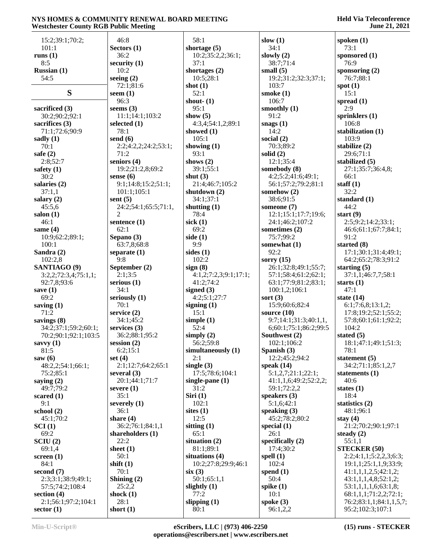| 15:2;39:1;70:2;                | 46:8                               | 58:1                      | slow $(1)$                    | spoken $(1)$          |
|--------------------------------|------------------------------------|---------------------------|-------------------------------|-----------------------|
| 101:1                          | Sectors $(1)$                      | shortage $(5)$            | 34:1                          | 73:1                  |
| runs $(1)$                     | 36:2                               | 10:2;35:2,2;36:1;         | slowly $(2)$                  | sponsored             |
| 8:5                            | security $(1)$                     | 37:1                      | 38:7;71:4                     | 76:9                  |
| Russian (1)                    | 10:2                               | shortages (2)             | small $(5)$                   | sponsoring            |
| 54:5                           | seeing $(2)$                       | 10:5:28:1                 | 19:2;31:2;32:3;37:1;          | 76:7;88:              |
|                                | 72:1;81:6                          | shot $(1)$                | 103:7                         | spot $(1)$            |
| S                              | seem $(1)$                         | 52:1                      | smoke $(1)$                   | 15:1                  |
|                                | 96:3                               | shout- $(1)$              | 106:7                         | spread $(1)$          |
| sacrificed (3)                 | seems $(3)$                        | 95:1                      | smoothly $(1)$                | 2:9                   |
| 30:2;90:2;92:1                 | 11:1;14:1;103:2                    | show $(5)$                | 91:2                          | sprinklers            |
| sacrifices $(3)$               | selected (1)                       | 4:3,4;54:1,2;89:1         | snags $(1)$                   | 106:8                 |
| 71:1;72:6;90:9                 | 78:1                               | showed $(1)$              | 14:2                          | stabilizatio          |
| sadly $(1)$<br>70:1            | send $(6)$<br>2:2;4:2,2;24:2;53:1; | 105:1<br>showing $(1)$    | social $(2)$<br>70:3;89:2     | 103:9<br>stabilize (2 |
| safe $(2)$                     | 71:2                               | 93:1                      | solid $(2)$                   | 29:6;71:              |
| 2:8;52:7                       | seniors (4)                        | shows $(2)$               | 12:1;35:4                     | stabilized            |
| safety $(1)$                   | 19:2;21:2,8;69:2                   | 39:1;55:1                 | somebody (8)                  | 27:1;35:              |
| 30:2                           | sense $(6)$                        | shut $(3)$                | 4:2;5:2;41:6;49:1;            | 66:1                  |
| salaries (2)                   | 9:1;14:8;15:2;51:1;                | 21:4;46:7;105:2           | 56:1;57:2;79:2;81:1           | staff $(1)$           |
| 37:1,1                         | 101:1;105:1                        | shutdown (2)              | somehow $(2)$                 | 32:2                  |
| salary $(2)$                   | sent $(5)$                         | 34:1:37:1                 | 38:6;91:5                     | standard (            |
| 45:5,6                         | 24:2;54:1;65:5;71:1,               | shutting $(1)$            | someone (7)                   | 44:2                  |
| salon $(1)$                    | $\overline{2}$                     | 78:4                      | 12:1;15:1;17:7;19:6;          | start $(9)$           |
| 46:1                           | sentence (1)                       | sick $(1)$                | 24:1;46:2;107:2               | 2:5;9:2;1             |
| same $(4)$                     | 62:1                               | 69:2                      | sometimes $(2)$               | 46:6;61:              |
| 10:9;62:2;89:1;                | Sepano (3)                         | side $(1)$                | 75:7;99:2                     | 91:2                  |
| 100:1                          | 63:7,8;68:8                        | 9:9                       | somewhat (1)                  | started (8)           |
| Sandra (2)                     | separate $(1)$                     | sides $(1)$               | 92:2                          | 17:1;30:              |
| 102:2,8                        | 9:8                                | 102:2                     | sorry $(15)$                  | 64:2;65:              |
| SANTIAGO <sub>(9)</sub>        | September (2)                      | sign(8)                   | 26:1;32:8;49:1;55:7;          | starting $(5)$        |
| 3:2,2;72:3,4;75:1,1;           | 2:1;3:5                            | 4:1,2;7:2,3;9:1;17:1;     | 57:1;58:4;61:2;62:1;          | 37:1,1;4              |
| 92:7,8;93:6                    | serious $(1)$                      | 41:2;74:2                 | 63:1;77:9;81:2;83:1;          | starts $(1)$          |
| save $(1)$                     | 34:1                               | signed $(3)$              | 100:1,2;106:1                 | 47:1                  |
| 69:2                           | seriously (1)                      | 4:2;5:1;27:7              | sort $(3)$                    | state $(14)$          |
| saving $(1)$                   | 70:1                               | signing $(1)$             | 15:9;60:6;82:4                | 6:1;7:6,8             |
| 71:2                           | service $(2)$                      | 15:1                      | source $(10)$                 | 17:8;19:              |
| savings (8)                    | 34:1;45:2                          | simple $(1)$              | 9:7;14:1;31:3;40:1,1,         | 57:8;60:              |
| 34:2;37:1;59:2;60:1;           | services $(3)$                     | 52:4                      | 6;60:1;75:1;86:2;99:5         | 104:2                 |
| 70:2;90:1;92:1;103:5           | 36:2;88:1;95:2                     | simply $(2)$              | Southwest (2)                 | stated $(5)$          |
| savvy $(1)$                    | session $(2)$                      | 56:2;59:8                 | 102:1;106:2                   | 18:1;47:<br>78:1      |
| 81:5                           | 6:2;15:1<br>set $(4)$              | simultaneously (1)<br>2:1 | Spanish (3)<br>12:2;45:2;94:2 |                       |
| saw $(6)$<br>48:2,2;54:1;66:1; | 2:1;12:7;64:2;65:1                 | single $(3)$              | speak $(14)$                  | statement<br>34:2;71: |
| 75:2;85:1                      | several $(3)$                      | 17:5;78:6;104:1           | 5:1,2,7;21:1;22:1;            | statements            |
| saying $(2)$                   | 20:1;44:1;71:7                     | single-pane $(1)$         | 41:1,1,6;49:2;52:2,2;         | 40:6                  |
| 49:7:79:2                      | severe $(1)$                       | 31:2                      | 59:1;72:2,2                   | states $(1)$          |
| scared $(1)$                   | 35:1                               | Siri(1)                   | speakers $(3)$                | 18:4                  |
| 9:1                            | severely (1)                       | 102:1                     | 5:1,6;42:1                    | statistics (2         |
| school $(2)$                   | 36:1                               | sites $(1)$               | speaking $(3)$                | 48:1;96:              |
| 45:1;70:2                      | share $(4)$                        | 12:5                      | 45:2;78:2;80:2                | stay $(4)$            |
| $\rm SCI\left(1\right)$        | 36:2;76:1;84:1,1                   | sitting $(1)$             | special $(1)$                 | 21:2;70:              |
| 69:2                           | shareholders (1)                   | 65:1                      | 26:1                          | steady $(2)$          |
| SCIU(2)                        | 22:2                               | situation $(2)$           | specifically $(2)$            | 55:1,1                |
| 69:1,4                         | sheet $(1)$                        | 81:1;89:1                 | 17:4;30:2                     | <b>STECKEF</b>        |
| screen $(1)$                   | 50:1                               | situations (4)            | spell $(1)$                   | 2:2;4:1,1             |
| 84:1                           | shift $(1)$                        | 10:2;27:8;29:9;46:1       | 102:4                         | 19:1,1;2;             |
| second $(7)$                   | 70:1                               | six(3)                    | spend $(1)$                   | 41:1,1,1,             |
| 2:3;3:1;38:9;49:1;             | Shining $(2)$                      | 50:1;65:1,1               | 50:4                          | 43:1,1,1,             |
| 57:5;74:2;108:4                | 25:2,2                             | slightly $(1)$            | spike $(1)$                   | 53:1,1,1,             |
| section $(4)$                  | shock $(1)$                        | 77:2                      | 10:1                          | 68:1,1,1;             |
| 2:1;56:1;97:2;104:1            | 28:1                               | slipping $(1)$            | spoke $(3)$                   | 76:2;83:              |
| sector $(1)$                   | short $(1)$                        | 80:1                      | 96:1,2,2                      | 95:2;102              |

**sponsored (1)** 76:9 **sponsoring (2)** 76:7;88:1 **spot (1)** 15:1 **spread (1)** 2:9 **sprinklers (1)** 106:8 **stabilization (1)** 103:9 **stabilize (2)** 29:6;71:1 **stabilized (5)** 27:1;35:7;36:4,8; 66:1  $\mathbf{f}(\mathbf{f})$  32:2 **standard (1)** 44:2 **start (9)** 2:5;9:2;14:2;33:1; 46:6;61:1;67:7;84:1; 91:2 **started (8)** 17:1;30:1;31:4;49:1; 64:2;65:2;78:3;91:2 **starting (5)** 37:1,1;46:7,7;58:1 **starts (1)** 47:1 **state (14)** 6:1;7:6,8;13:1,2; 17:8;19:2;52:1;55:2; 57:8;60:1;61:1;92:2; 104:2 **stated (5)** 18:1;47:1;49:1;51:3; 78:1 **statement (5)** 34:2;71:1;85:1,2,7 **statements (1)** 40:6 **states (1)** 18:4 **statistics (2)** 48:1;96:1 **stay (4)** 21:2;70:2;90:1;97:1 **sady** (2) 55:1,1 **ECKER (50)** 2:2;4:1,1;5:2,2,3;6:3;

 19:1,1;25:1,1,9;33:9; 41:1,1,1,2,5;42:1,2; 43:1,1,1,4,8;52:1,2; 53:1,1,1,1,6;63:1,8; 68:1,1,1;71:2,2;72:1; 76:2;83:1,1;84:1,1,5,7; 95:2;102:3;107:1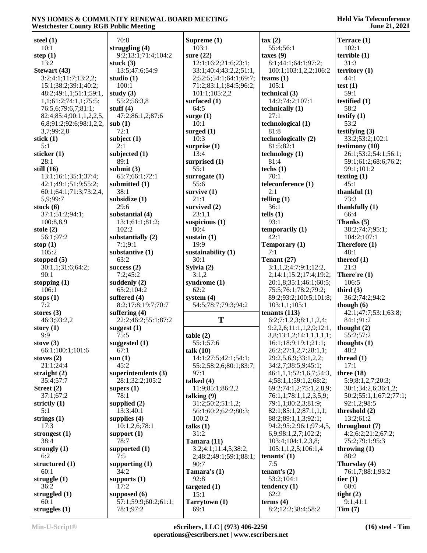| steel $(1)$             | 70:8                 | Supreme $(1)$          | $\text{tax}(2)$          | Terrace (1)            |
|-------------------------|----------------------|------------------------|--------------------------|------------------------|
| 10:1                    | struggling $(4)$     | 103:1                  | 55:4;56:1                | 102:1                  |
|                         |                      |                        |                          |                        |
| step $(1)$              | 9:2;13:1;71:4;104:2  | sure $(22)$            | taxes(9)                 | terrible(1)            |
| 13:2                    | stuck $(3)$          | 12:1;16:2;21:6;23:1;   | 8:1;44:1;64:1;97:2;      | 31:3                   |
| Stewart (43)            | 13:5;47:6;54:9       | 33:1;40:4;43:2,2;51:1, | 100:1;103:1,2,2;106:2    | $\text{territory} (1)$ |
| 3:2;4:1;11:7;13:2,2;    | studio (1)           | 2;52:5;54:1;64:1;69:7; | teams $(1)$              | 44:1                   |
| 15:1;38:2;39:1;40:2;    | 100:1                | 71:2;83:1,1;84:5;96:2; | 105:1                    | test $(1)$             |
| 48:2;49:1,1;51:1;59:1,  | study $(3)$          | 101:1;105:2,2          | technical (3)            | 59:1                   |
|                         |                      |                        |                          |                        |
| 1,1;61:2;74:1,1;75:5;   | 55:2;56:3,8          | surfaced (1)           | 14:2;74:2;107:1          | testified $(1)$        |
| 76:5,6;79:6,7;81:1;     | stuff $(4)$          | 64:5                   | technically (1)          | 58:2                   |
| 82:4;85:4;90:1,1,2,2,5, | 47:2;86:1,2;87:6     | surge $(1)$            | 27:1                     | testify $(1)$          |
| 6,8;91:2;92:6;98:1,2,2, | sub(1)               | 10:1                   | technological (1)        | 53:2                   |
| 3,7;99:2,8              | 72:1                 | surged $(1)$           | 81:8                     | testifying $(3)$       |
| stick $(1)$             | subject $(1)$        | 10:3                   | technologically (2)      | 33:2;53:2;102:1        |
| 5:1                     | 2:1                  | surprise $(1)$         | 81:5;82:1                | testimony $(10)$       |
|                         |                      |                        |                          |                        |
| sticker (1)             | subjected (1)        | 13:4                   | technology(1)            | 26:1;53:2;54:1;56:1;   |
| 28:1                    | 89:1                 | surprised (1)          | 81:4                     | 59:1;61:2;68:6;76:2;   |
| still $(16)$            | submit $(3)$         | 55:1                   | techs $(1)$              | 99:1;101:2             |
| 13:1;16:1;35:1;37:4;    | 65:7;66:1;72:1       | surrogate $(1)$        | 70:1                     | texting $(1)$          |
| 42:1;49:1;51:9;55:2;    | submitted (1)        | 55:6                   | teleconference (1)       | 45:1                   |
| 60:1;64:1;71:3;73:2,4,  | 38:1                 | survive $(1)$          | 2:1                      | thankful $(1)$         |
|                         |                      |                        |                          |                        |
| 5,9;99:7                | subsidize (1)        | 21:1                   | telling $(1)$            | 73:3                   |
| stock $(6)$             | 29:6                 | survived (2)           | 36:1                     | thankfully $(1)$       |
| 37:1;51:2;94:1;         | substantial (4)      | 23:1,1                 | tells $(1)$              | 66:4                   |
| 100:8,8,9               | 13:1;61:1;81:2;      | suspicious $(1)$       | 93:1                     | Thanks (5)             |
| stole $(2)$             | 102:2                | 80:4                   | temporarily $(1)$        | 38:2;74:7;95:1;        |
| 56:1;97:2               | substantially (2)    | sustain $(1)$          | 42:1                     | 104:2;107:1            |
| stop $(1)$              | 7:1;9:1              | 19:9                   | Temporary (1)            | Therefore (1)          |
|                         |                      |                        | 7:1                      | 48:1                   |
| 105:2                   | substantive (1)      | sustainability (1)     |                          |                        |
| stopped $(5)$           | 63:2                 | 30:1                   | Tenant $(27)$            | thereof $(1)$          |
| 30:1,1;31:6;64:2;       | success $(2)$        | Sylvia (2)             | 3:1,1,2;4:7;9:1;12:2,    | 21:3                   |
| 90:1                    | 7:2;45:2             | 3:1,2                  | 2;14:1;15:2;17:4;19:2;   | There're $(1)$         |
| stopping $(1)$          | suddenly $(2)$       | syndrome (1)           | 20:1,8;35:1;46:1;60:5;   | 106:5                  |
| 106:1                   | 65:2;104:2           | 62:2                   | 75:5;76:1;78:2;79:2;     | third $(3)$            |
| stops $(1)$             | suffered $(4)$       | system $(4)$           | 89:2;93:2;100:5;101:8;   | 36:2;74:2;94:2         |
| 7:2                     | 8:2;17:8;19:7;70:7   | 54:5;78:7;79:3;94:2    | 103:1,1;105:1            | though $(6)$           |
|                         |                      |                        |                          |                        |
| stores $(3)$            | suffering $(4)$      |                        | tenants $(113)$          | 42:1;47:7;53:1;63:8;   |
| 46:3;93:2,2             | 22:2;46:2;55:1;87:2  | T                      | 6:2;7:1,2,3;8:1,1,2,4;   | 84:1;91:2              |
| story $(1)$             | suggest $(1)$        |                        | 9:2,2,6;11:1,1,2,9;12:1, | thought $(2)$          |
| 9:9                     | 75:5                 | table(2)               | 3,8;13:1,2;14:1,1,1,1,1; | 55:2;57:2              |
| stove $(3)$             | suggested (1)        | 55:1;57:6              | 16:1;18:9;19:1;21:1;     | thoughts (1)           |
| 66:1;100:1;101:6        | 67:1                 | talk $(10)$            | 26:2;27:1,2,7;28:1,1;    | 48:2                   |
| stoves $(2)$            | sum(1)               | 14:1;27:5;42:1;54:1;   | 29:2,5,6,9;33:1,2,2;     | thread $(1)$           |
|                         | 45:2                 |                        | 34:2,7;38:5,9;45:1;      | 17:1                   |
| 21:1;24:4               |                      | 55:2;58:2,6;80:1;83:7; |                          |                        |
| straight $(2)$          | superintendents (3)  | 97:1                   | 46:1,1,1;52:1,6,7;54:3,  | three $(18)$           |
| 35:4;57:7               | 28:1;32:2;105:2      | talked $(4)$           | 4;58:1,1;59:1,2;68:2;    | 5:9;8:1,2,7;20:3;      |
| Street $(2)$            | supers $(1)$         | 11:9;85:1;86:2,2       | 69:2;74:1,2;75:1,2,8,9;  | 30:1;34:2,6;36:1,2;    |
| 37:1;67:2               | 78:1                 | talking $(9)$          | 76:1,1;78:1,1,2,3,5,9;   | 50:2;55:1,1;67:2;77:1; |
| strictly (1)            | supplied $(2)$       | 31:2;50:2;51:1,2;      | 79:1,1;80:2,3;81:9;      | 92:1,2;98:5            |
| 5:1                     | 13:3;40:1            | 56:1;60:2;62:2;80:3;   | 82:1;85:1,2;87:1,1,1;    | threshold $(2)$        |
|                         |                      |                        |                          |                        |
| strings $(1)$           | supplies $(4)$       | 100:2                  | 88:2;89:1,1,3;92:1;      | 13:2;61:2              |
| 17:3                    | 10:1,2,6;78:1        | talks $(1)$            | 94:2;95:2;96:1;97:4,5,   | throughout $(7)$       |
| strongest (1)           | support $(1)$        | 31:2                   | 6,9;98:1,2,7;102:2;      | 4:2;6:2;21:2;67:2;     |
| 38:4                    | 78:7                 | Tamara $(11)$          | 103:4;104:1,2,3,8;       | 75:2;79:1;95:3         |
| strongly $(1)$          | supported $(1)$      | 3:2;4:1;11:4,5;38:2,   | 105:1,1,2,5;106:1,4      | throwing $(1)$         |
| 6:2                     | 7:5                  | 2;48:2;49:1;59:1;88:1; | tenants' $(1)$           | 88:2                   |
| structured (1)          | supporting $(1)$     | 90:7                   | 7:5                      | Thursday (4)           |
|                         |                      |                        |                          |                        |
| 60:1                    | 34:2                 | Tamara's $(1)$         | tenant's $(2)$           | 76:1,7;88:1;93:2       |
| struggle $(1)$          | supports $(1)$       | 92:8                   | 53:2;104:1               | tier $(1)$             |
| 36:2                    | 17:2                 | targeted $(1)$         | tendency $(1)$           | 60:6                   |
| struggled $(1)$         | supposed $(6)$       | 15:1                   | 62:2                     | tight $(2)$            |
| 60:1                    | 57:1;59:9;60:2;61:1; | Tarrytown (1)          | terms $(4)$              | 9:1;41:1               |
| struggles $(1)$         | 78:1;97:2            | 69:1                   | 8:2;12:2;38:4;58:2       | Tim(7)                 |
|                         |                      |                        |                          |                        |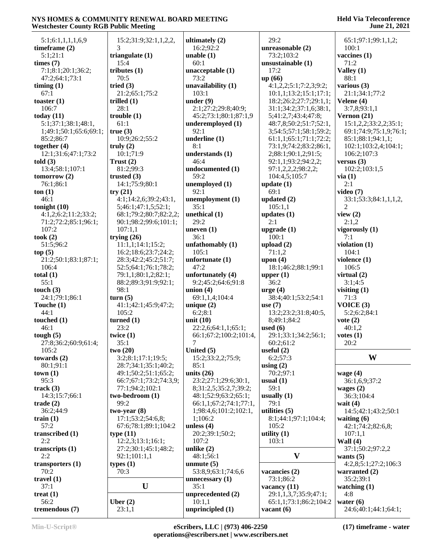| 5:1;6:1,1,1,1,6,9         | 15:2;31:9;32:1,1,2,2,  | ultimately $(2)$       | 29:2                   | 65:1;97:1;99:1,1,2;    |
|---------------------------|------------------------|------------------------|------------------------|------------------------|
| timeframe $(2)$           | 3                      | 16:2;92:2              | unreasonable (2)       | 100:1                  |
| 5:1;21:1                  | triangulate $(1)$      | unable $(1)$           | 73:2;103:2             | vaccines (1)           |
| times $(7)$               | 15:4                   | 60:1                   | unsustainable (1)      | 71:2                   |
| 7:1;8:1;20:1;36:2;        | tributes $(1)$         | unacceptable (1)       | 17:2                   | Valley (1)             |
| 47:2;64:1;73:1            | 70:5                   | 73:2                   | up (66)                | 88:1                   |
| $\lim_{t \to \infty}$ (1) | tried $(3)$            | unavailability $(1)$   | 4:1,2,2;5:1;7:2,3;9:2; | various $(3)$          |
| 67:1                      | 21:2;65:1;75:2         | 103:1                  | 10:1,1;13:2;15:1;17:1; | 21:1;34:1;77:2         |
| toaster $(1)$             | trilled $(1)$          | under $(9)$            | 18:2;26:2;27:7;29:1,1; | Velene (4)             |
| 106:7                     | 28:1                   | 2:1;27:2;29:8;40:9;    | 31:1;34:2;37:1,6;38:1, | 3:7,8;93:1,1           |
| today $(11)$              | trouble $(1)$          | 45:2;73:1;80:1;87:1,9  | 5;41:2,7;43:4;47:8;    | Vernon $(21)$          |
| 5:1;37:1;38:1;48:1,       | 61:1                   | underemployed (1)      | 48:7,8;50:2;51:7;52:1, | 15:1,2,2;33:2,2;35:1;  |
| 1;49:1;50:1;65:6;69:1;    | true(3)                | 92:1                   | 3;54:5;57:1;58:1;59:2; | 69:1;74:9;75:1,9;76:1; |
| 85:2;86:7                 | 10:9;26:2;55:2         | underline $(1)$        | 61:1,1;65:1;71:1;72:2; | 85:1;88:1;94:1,1;      |
| together $(4)$            | truly $(2)$            | 8:1                    | 73:1,9;74:2;83:2;86:1, | 102:1;103:2,4;104:1;   |
| 12:1;31:6;47:1;73:2       | 10:1;71:9              | understands (1)        | 2;88:1;90:1,2;91:5;    | 106:2;107:3            |
| told $(3)$                | Trust $(2)$            | 46:4                   | 92:1,1;93:2;94:2,2;    | versus $(3)$           |
| 13:4;58:1;107:1           | 81:2;99:3              | undocumented (1)       | 97:1,2,2,2;98:2,2;     | 102:2;103:1,5          |
| tomorrow $(2)$            | trusted $(3)$          | 59:2                   | 104:4,5;105:7          | via(1)                 |
| 76:1;86:1                 | 14:1;75:9;80:1         | unemployed (1)         | update $(1)$           | 2:1                    |
|                           |                        | 92:1                   |                        |                        |
| ton(1)                    | try(21)                |                        | 69:1                   | video $(7)$            |
| 46:1                      | 4:1;14:2,6;39:2;43:1,  | unemployment (1)       | updated $(2)$          | 33:1;53:3;84:1,1,1,2,  |
| tonight $(10)$            | 5;46:1;47:1,5;52:1;    | 35:1                   | 105:1,1                | $\overline{c}$         |
| 4:1,2;6:2;11:2;33:2;      | 68:1;79:2;80:7;82:2,2; | unethical (1)          | updates $(1)$          | view $(2)$             |
| 71:2;72:2;85:1;96:1;      | 90:1;98:2;99:6;101:1;  | 29:2                   | 2:1                    | 2:1,2                  |
| 107:2                     | 107:1,1                | uneven $(1)$           | upgrade $(1)$          | vigorously (1)         |
| took $(2)$                | trying $(26)$          | 36:1                   | 100:1                  | 7:1                    |
| 51:5;96:2                 | 11:1,1;14:1;15:2;      | unfathomably (1)       | upload $(2)$           | violation (1)          |
| top(5)                    | 16:2;18:6;23:7;24:2;   | 105:1                  | 71:1,2                 | 104:1                  |
| 21:2;50:1;83:1;87:1;      | 28:3;42:2;45:2;51:7;   | unfortunate $(1)$      | upon $(4)$             | violence $(1)$         |
| 106:4                     | 52:5;64:1;76:1;78:2;   | 47:2                   | 18:1;46:2;88:1;99:1    | 106:5                  |
| total $(1)$               | 79:1,1;80:1,2;82:1;    | unfortunately (4)      | upper $(1)$            | virtual $(2)$          |
| 55:1                      | 88:2;89:3;91:9;92:1;   | 9:2;45:2;64:6;91:8     | 36:2                   | 3:1;4:5                |
| touch $(3)$               | 98:1                   | union $(4)$            | $arge (4)$             | visiting $(1)$         |
| 24:1;79:1;86:1            | turn(5)                | 69:1,1,4;104:4         | 38:4;40:1;53:2;54:1    | 71:3                   |
| Touche $(1)$              | 41:1;42:1;45:9;47:2;   | unique $(2)$           | use $(7)$              | VOICE(3)               |
| 44:1                      | 105:2                  | 6:2;8:1                | 13:2;23:2;31:8;40:5,   | 5:2;6:2;84:1           |
| touched $(1)$             | turned $(1)$           | unit $(10)$            | 8;49:1;84:2            | vote $(2)$             |
| 46:1                      | 23:2                   | 22:2,6;64:1,1;65:1;    | used $(6)$             | 40:1,2                 |
| tough $(5)$               | twice $(1)$            | 66:1;67:2;100:2;101:4, | 29:1;33:1;34:2;56:1;   | votes(1)               |
| 27:8;36:2;60:9;61:4;      | 35:1                   | $\tau$                 | 60:2;61:2              | 20:2                   |
| 105:2                     | two(20)                | United $(5)$           | useful $(2)$           |                        |
| towards $(2)$             | 3:2;8:1;17:1;19:5;     | 15:2;33:2,2;75:9;      | 6:2;57:3               | W                      |
|                           | 28:7;34:1;35:1;40:2;   | 85:1                   |                        |                        |
| 80:1;91:1                 |                        |                        | using $(2)$            |                        |
| town(1)                   | 49:1;50:2;51:1;65:2;   | units $(26)$           | 70:2;97:1              | wage $(4)$             |
| 95:3                      | 66:7;67:1;73:2;74:3,9; | 23:2;27:1;29:6;30:1,   | usual $(1)$            | 36:1,6,9;37:2          |
| track $(3)$               | 77:1;94:2;102:1        | 8;31:2,5;35:2,7;39:2;  | 59:1                   | wages $(2)$            |
| 14:3;15:7;66:1            | two-bedroom (1)        | 48:1;52:9;63:2;65:1;   | usually $(1)$          | 36:3;104:4             |
| trade $(2)$               | 99:2                   | 66:1,1;67:2;74:1;77:1, | 79:1                   | wait $(4)$             |
| 36:2;44:9                 | $two-year(8)$          | 1;98:4,6;101:2;102:1,  | utilities $(5)$        | 14:5;42:1;43:2;50:1    |
| train $(1)$               | 17:1;53:2;54:6,8;      | 1;106:2                | 8:1;44:1;97:1;104:4;   | waiting $(6)$          |
| 57:2                      | 67:6;78:1;89:1;104:2   | unless $(4)$           | 105:2                  | 42:1;74:2;82:6,8;      |
| transcribed (1)           | type $(11)$            | 20:2;39:1;50:2;        | utility $(1)$          | 107:1,1                |
| 2:2                       | 12:2,3;13:1;16:1;      | 107:2                  | 103:1                  | Wall $(4)$             |
| transcripts $(1)$         | 27:2;30:1;45:1;48:2;   | unlike $(2)$           |                        | 37:1;50:2;97:2,2       |
| 2:2                       | 92:1;101:1,1           | 48:1;56:1              | $\mathbf{V}$           | wants $(5)$            |
| transporters $(1)$        | types $(1)$            | unmute $(5)$           |                        | 4:2,8;5:1;27:2;106:3   |
| 70:2                      | 70:3                   | 53:8,9;63:1;74:6,6     | vacancies (2)          | warranted $(2)$        |
| travel $(1)$              |                        | unnecessary $(1)$      | 73:1;86:2              | 35:2;39:1              |
| 37:1                      | $\mathbf U$            | 35:1                   | vacancy (11)           | watching $(1)$         |
| treat $(1)$               |                        | unprecedented (2)      | 29:1,1,3,7;35:9;47:1;  | 4:8                    |
| 56:2                      | Uber $(2)$             | 10:1,1                 | 65:1,1;73:1;86:2;104:2 | water $(6)$            |
| tremendous (7)            | 23:1,1                 | unprincipled (1)       | vacant $(6)$           | 24:6;40:1;44:1;64:1;   |
|                           |                        |                        |                        |                        |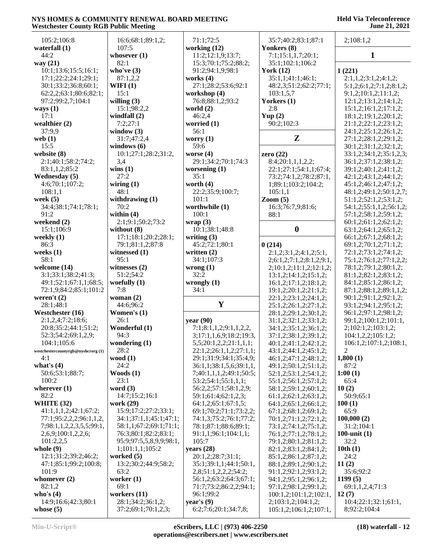| 105:2;106:8                       | 16:6;68:1;89:1,2;       | 71:1;72:5               | 35:7;40:2;83:1;87:1      | 2;108:1,2                |
|-----------------------------------|-------------------------|-------------------------|--------------------------|--------------------------|
| waterfall (1)                     | 107:5                   | working $(12)$          | Yonkers (8)              |                          |
| 44:2                              | whosever $(1)$          | 11:2;12:1,9;13:7;       | 7:1;15:1,1,7;20:1;       | $\mathbf{1}$             |
| way (21)                          | 82:1                    | 15:3;70:1;75:2;88:2;    | 35:1;102:1;106:2         |                          |
| 10:1;13:6;15:5;16:1;              | who've $(3)$            | 91:2;94:1,9;98:1        | York $(12)$              | 1(221)                   |
| 17:1;22:2;24:1;29:1;              | 87:1,2,2                | works $(4)$             | 35:1,1:41:1:46:1:        | 2:1,1,2;3:1,2;4:1,2;     |
| 30:1;33:2;36:8;60:1;              | WIFI $(1)$              | 27:1;28:2;53:6;92:1     | 48:2,3;51:2;62:2;77:1;   | 5:1,2;6:1,2;7:1,2;8:1,2; |
| 62:2,2;63:1;80:6;82:1;            | 15:1                    | workshop (4)            | 103:1,5,7                | 9:1,2;10:1,2;11:1,2;     |
| 97:2;99:2,7;104:1                 | willing $(3)$           | 76:8;88:1,2;93:2        | Yorkers (1)              | 12:1,2;13:1,2;14:1,2;    |
|                                   | 15:1;98:2,2             | world $(2)$             | 2:8                      | 15:1,2;16:1,2;17:1,2;    |
| ways $(1)$<br>17:1                |                         |                         |                          |                          |
|                                   | windfall $(2)$          | 46:2,4                  | Yup $(2)$                | 18:1,2;19:1,2;20:1,2;    |
| wealthier $(2)$                   | 7:2;27:1                | worried (1)             | 90:2;102:3               | 21:1,2;22:1,2;23:1,2;    |
| 37:9,9                            | window $(3)$            | 56:1                    |                          | 24:1,2;25:1,2;26:1,2;    |
| web $(1)$                         | 31:7;47:2,4             | worry $(1)$             | $\mathbf{Z}$             | 27:1,2;28:1,2;29:1,2;    |
| 15:5                              | windows $(6)$           | 59:6                    |                          | 30:1,2;31:1,2;32:1,2;    |
| website (8)                       | 10:1;27:1;28:2;31:2,    | worse $(4)$             | zero $(22)$              | 33:1,2;34:1,2;35:1,2,3;  |
| 2:1;40:1;58:2;74:2;               | 3,4                     | 29:1;34:2;70:1;74:3     | 8:4;20:1,1,1,2,2;        | 36:1,2;37:1,2;38:1,2;    |
| 83:1,1,2;85:2                     | wins(1)                 | worsening $(1)$         | 22:1;27:1;54:1,1;67:4;   | 39:1,2;40:1,2;41:1,2;    |
| Wednesday (5)                     | 27:2                    | 35:1                    | 73:2;74:1,2;78:2;87:1,   | 42:1,2;43:1,2;44:1,2;    |
| 4:6;70:1;107:2;                   | wiring $(1)$            | worth $(4)$             | 1;89:1;103:2;104:2;      | 45:1,2;46:1,2;47:1,2;    |
| 108:1,1                           | 48:1                    | 22:2;35:9;100:7;        | 105:1,1                  | 48:1,2;49:1,2;50:1,2,7;  |
| week $(5)$                        | withdrawing $(1)$       | 101:1                   | $\mathrm{Zoom}$ (5)      | 51:1,2;52:1,2;53:1,2;    |
| 34:4;38:1;74:1;78:1;              | 70:2                    | worthwhile (1)          | 16:3;76:7,9;81:6;        | 54:1,2;55:1,1,2;56:1,2;  |
| 91:2                              | within $(4)$            | 100:1                   | 88:1                     | 57:1,2;58:1,2;59:1,2;    |
| weekend (2)                       | 2:1;9:1;50:2;73:2       | wrap(3)                 |                          | 60:1,2;61:1,2;62:1,2;    |
|                                   | without $(8)$           | 10:1;38:1;48:8          | $\boldsymbol{0}$         |                          |
| 15:1;106:9                        |                         |                         |                          | 63:1,2;64:1,2;65:1,2;    |
| weekly (1)                        | 17:1;18:1;20:2;28:1;    | writing $(3)$           |                          | 66:1,2;67:1,2;68:1,2;    |
| 86:3                              | 79:1;81:1,2;87:8        | 45:2;72:1;80:1          | 0(214)                   | 69:1,2;70:1,2;71:1,2;    |
| weeks $(1)$                       | witnessed (1)           | written $(2)$           | 2:1,2;3:1,2;4:1,2;5:1,   | 72:1,2;73:1,2;74:1,2;    |
| 58:1                              | 95:1                    | 34:1;107:3              | 2;6:1,2;7:1,2;8:1,2;9:1, | 75:1,2;76:1,2;77:1,2,2;  |
| welcome (14)                      | witnesses $(2)$         | wrong $(1)$             | 2;10:1,2;11:1,2;12:1,2;  | 78:1,2;79:1,2;80:1,2;    |
| 3:1;33:1;38:2;41:3;               | 51:2;54:2               | 32:2                    | 13:1,2;14:1,2;15:1,2;    | 81:1,2;82:1,2;83:1,2;    |
| 49:1;52:1;67:1,1;68:5;            | woefully $(1)$          | wrongly $(1)$           | 16:1,2;17:1,2;18:1,2;    | 84:1,2;85:1,2;86:1,2;    |
| 72:1,9;84:2;85:1;101:2            | 7:8                     | 34:1                    | 19:1,2;20:1,2;21:1,2;    | 87:1,2;88:1,2;89:1,1,2;  |
| weren't $(2)$                     | woman $(2)$             |                         | 22:1,2;23:1,2;24:1,2;    | 90:1,2;91:1,2;92:1,2;    |
| 28:1;48:1                         | 44:6;96:2               | Y                       | 25:1,2;26:1,2;27:1,2;    | 93:1,2;94:1,2;95:1,2;    |
| Westchester (16)                  | Women's $(1)$           |                         | 28:1,2;29:1,2;30:1,2;    | 96:1,2;97:1,2;98:1,2;    |
| 2:1,2,4;7:2;18:6;                 | 26:1                    | year $(90)$             | 31:1,2;32:1,2;33:1,2;    | 99:1,2;100:1,2;101:1,    |
| 20:8;35:2;44:1;51:2;              | Wonderful (1)           | 7:1;8:1,1,2;9:1,1,2,2,  | 34:1,2;35:1,2;36:1,2;    | 2;102:1,2;103:1,2;       |
| 52:3;54:2;69:1,2,9;               | 94:3                    | 3;17:1,1,6,9;18:2;19:3, | 37:1,2;38:1,2;39:1,2;    | 104:1,2,2;105:1,2;       |
| 104:1;105:6                       | wondering (1)           | 5,5;20:1,2,2;21:1,1,1;  |                          | 106:1,2;107:1,2;108:1,   |
|                                   |                         |                         | 40:1,2;41:1,2;42:1,2;    |                          |
| westchestercountyrgb@nyshcrorg(1) | 28:2                    | 22:1,2;26:1,1,2;27:1,1; | 43:1,2;44:1,2;45:1,2;    | 2                        |
| 4:1                               | wood $(1)$              | 29:1;31:9;34:1;35:4,9;  | 46:1,2;47:1,2;48:1,2;    | 1,800(1)                 |
| what's $(4)$                      | 24:2                    | 36:1,1;38:1,5,6;39:1,1, | 49:1,2;50:1,2;51:1,2;    | 87:2                     |
| 50:6;53:1;88:7;                   | Woods $(1)$             | 7;40:1,1,1,2;49:1;50:5; | 52:1,2;53:1,2;54:1,2;    | 1:00(1)                  |
| 100:2                             | 23:1                    | 53:2;54:1;55:1,1,1;     | 55:1,2;56:1,2;57:1,2;    | 65:4                     |
| wherever $(1)$                    | word $(3)$              | 56:2,2;57:1;58:1,2,9;   | 58:1,2;59:1,2;60:1,2;    | 10(2)                    |
| 82:2                              | 14:7;15:2;16:1          | 59:1;61:4;62:1,2,3;     | 61:1,2;62:1,2;63:1,2;    | 50:9;65:1                |
| WHITE (32)                        | work (29)               | 64:1,2;65:1;67:1,5;     | 64:1,2;65:1,2;66:1,2;    | 100(1)                   |
| 41:1,1,1,2;42:1;67:2;             | 15:9;17:2;27:2;33:1;    | 69:1;70:2;71:1;73:2,2;  | 67:1,2;68:1,2;69:1,2;    | 65:9                     |
| 77:1;95:2,2,2;96:1,1,2,           | 34:1;37:1,1;45:1;47:1;  | 74:1,3;75:2;76:1;77:2;  | 70:1,2;71:1,2;72:1,2;    | 100,000(2)               |
| 7;98:1,1,2,2,3,5,5;99:1,          | 58:1,1;67:2;69:1;71:1;  | 78:1;87:1;88:6;89:1;    | 73:1,2;74:1,2;75:1,2;    | 31:2;104:1               |
| 2,6,9;100:1,2,2,6;                | 76:3;80:1;82:2;83:1;    | 91:1,1;96:1;104:1,1;    | 76:1,2;77:1,2;78:1,2;    | 100-unit $(1)$           |
| 101:2,2,5                         | 95:9;97:5,5,8,9,9;98:1, | 105:7                   | 79:1,2;80:1,2;81:1,2;    | 32:2                     |
| whole $(9)$                       | 1;101:1,1;105:2         | years $(28)$            | 82:1,2;83:1,2;84:1,2;    | 10th(1)                  |
| 12:1;31:2;39:2;46:2;              | worked $(5)$            | 20:1,2;28:7;31:1;       | 85:1,2;86:1,2;87:1,2;    | 24:2                     |
| 47:1;85:1;99:2;100:8;             | 13:2;30:2;44:9;58:2;    | 35:1;39:1,1;44:1;50:1,  | 88:1,2;89:1,2;90:1,2;    | 11(2)                    |
| 101:9                             | 63:2                    |                         |                          |                          |
|                                   |                         | 2,8;51:1,2,2,2;54:2;    | 91:1,2;92:1,2;93:1,2;    | 35:6;92:2                |
| whomever $(2)$                    | worker $(1)$            | 56:1,2;63:2;64:3;67:1;  | 94:1,2;95:1,2;96:1,2;    | 1199(5)                  |
| 82:1,2                            | 69:1                    | 71:7;73:2;86:2,2;94:1;  | 97:1,2;98:1,2;99:1,2;    | 69:1,1,2,4;71:3          |
| who's $(4)$                       | workers $(11)$          | 96:1;99:2               | 100:1,2;101:1,2;102:1,   | 12(7)                    |
| 14:9;16:6;42:3;80:1               | 28:1;34:2;36:1,2;       | year's $(9)$            | 2;103:1,2;104:1,2;       | 10:4;22:1;32:1;61:1,     |
| whose $(5)$                       | 37:2;69:1;70:1,2,3;     | 6:2;7:6;20:1;34:7,8;    | 105:1,2;106:1,2;107:1,   | 8;92:2;104:4             |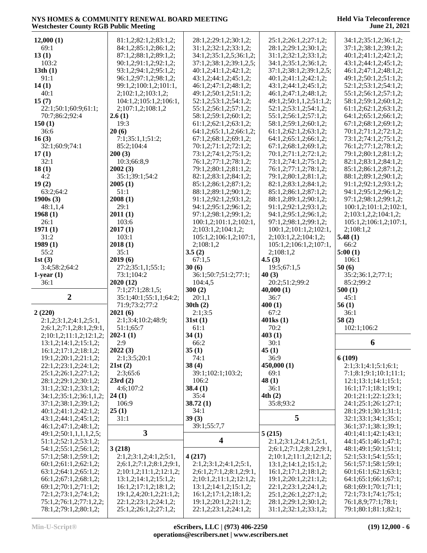| 12,000(1)                |                                                |                                     |                          |                        |
|--------------------------|------------------------------------------------|-------------------------------------|--------------------------|------------------------|
|                          | 81:1,2;82:1,2;83:1,2;                          | 28:1,2;29:1,2;30:1,2;               | 25:1,2;26:1,2;27:1,2;    | 34:1,2;35:1,2;36:1,2;  |
| 69:1                     | 84:1,2;85:1,2;86:1,2;                          | 31:1,2;32:1,2;33:1,2;               | 28:1,2;29:1,2;30:1,2;    | 37:1,2;38:1,2;39:1,2;  |
| 13(1)                    | 87:1,2;88:1,2;89:1,2;                          | 34:1,2;35:1,2,5;36:1,2;             | 31:1,2;32:1,2;33:1,2;    | 40:1,2;41:1,2;42:1,2;  |
|                          |                                                |                                     |                          |                        |
| 103:2                    | 90:1,2;91:1,2;92:1,2;                          | 37:1,2;38:1,2;39:1,2,5;             | 34:1,2;35:1,2;36:1,2;    | 43:1,2;44:1,2;45:1,2;  |
| 13th(1)                  | 93:1,2;94:1,2;95:1,2;                          | 40:1,2;41:1,2;42:1,2;               | 37:1,2;38:1,2;39:1,2,5;  | 46:1,2;47:1,2;48:1,2;  |
| 91:1                     | 96:1,2;97:1,2;98:1,2;                          | 43:1,2;44:1,2;45:1,2;               | 40:1,2;41:1,2;42:1,2;    | 49:1,2;50:1,2;51:1,2;  |
| 14(1)                    | 99:1,2;100:1,2;101:1,                          | 46:1,2;47:1,2;48:1,2;               | 43:1,2;44:1,2;45:1,2;    | 52:1,2;53:1,2;54:1,2;  |
| 40:1                     |                                                |                                     |                          |                        |
|                          | 2;102:1,2;103:1,2;                             | 49:1,2;50:1,2;51:1,2;               | 46:1,2;47:1,2;48:1,2;    | 55:1,2;56:1,2;57:1,2;  |
| 15(7)                    | 104:1,2;105:1,2;106:1,                         | 52:1,2;53:1,2;54:1,2;               | 49:1,2;50:1,1,2;51:1,2;  | 58:1,2;59:1,2;60:1,2;  |
| 22:1;50:1;60:9;61:1;     | 2;107:1,2;108:1,2                              | 55:1,2;56:1,2;57:1,2;               | 52:1,2;53:1,2;54:1,2;    | 61:1,2;62:1,2;63:1,2;  |
| 70:7;86:2;92:4           | 2.6(1)                                         | 58:1,2;59:1,2;60:1,2;               | 55:1,2;56:1,2;57:1,2;    | 64:1,2;65:1,2;66:1,2;  |
| 150(1)                   | 19:3                                           | 61:1,2;62:1,2;63:1,2;               | 58:1,2;59:1,2;60:1,2;    | 67:1,2;68:1,2;69:1,2;  |
| 36:6                     | 20(6)                                          | 64:1,2;65:1,1,2;66:1,2;             | 61:1,2;62:1,2;63:1,2;    | 70:1,2;71:1,2;72:1,2;  |
|                          |                                                |                                     |                          |                        |
| 16(3)                    | 7:1;35:1,1;51:2;                               | 67:1,2;68:1,2;69:1,2;               | 64:1,2;65:1,2;66:1,2;    | 73:1,2;74:1,2;75:1,2;  |
| 32:1;60:9;74:1           | 85:2;104:4                                     | 70:1,2;71:1,2;72:1,2;               | 67:1,2;68:1,2;69:1,2;    | 76:1,2;77:1,2;78:1,2;  |
| 17(1)                    | 200(3)                                         | 73:1,2;74:1,2;75:1,2;               | 70:1,2;71:1,2;72:1,2;    | 79:1,2;80:1,2;81:1,2;  |
| 32:1                     | 10:3;66:8,9                                    | 76:1,2;77:1,2;78:1,2;               | 73:1,2;74:1,2;75:1,2;    | 82:1,2;83:1,2;84:1,2;  |
| 18(1)                    | 2002(3)                                        | 79:1,2;80:1,2;81:1,2;               | 76:1,2;77:1,2;78:1,2;    | 85:1,2;86:1,2;87:1,2;  |
|                          |                                                |                                     |                          |                        |
| 4:2                      | 35:1;39:1;54:2                                 | 82:1,2;83:1,2;84:1,2;               | 79:1,2;80:1,2;81:1,2;    | 88:1,2;89:1,2;90:1,2;  |
| 19(2)                    | 2005(1)                                        | 85:1,2;86:1,2;87:1,2;               | 82:1,2;83:1,2;84:1,2;    | 91:1,2;92:1,2;93:1,2;  |
| 63:2;64:2                | 51:1                                           | 88:1,2;89:1,2;90:1,2;               | 85:1,2;86:1,2;87:1,2;    | 94:1,2;95:1,2;96:1,2;  |
| 1900s(3)                 | 2008(1)                                        | 91:1,2;92:1,2;93:1,2;               | 88:1,2;89:1,2;90:1,2;    | 97:1,2;98:1,2;99:1,2;  |
| 48:1,1,4                 | 29:1                                           | 94:1,2;95:1,2;96:1,2;               | 91:1,2;92:1,2;93:1,2;    | 100:1,2;101:1,2;102:1, |
|                          |                                                |                                     |                          |                        |
| 1968(1)                  | 2011(1)                                        | 97:1,2;98:1,2;99:1,2;               | 94:1,2;95:1,2;96:1,2;    | 2;103:1,2,2;104:1,2;   |
| 26:1                     | 103:6                                          | 100:1,2;101:1,2;102:1,              | 97:1,2;98:1,2;99:1,2;    | 105:1,2;106:1,2;107:1, |
| 1971(1)                  | 2017(1)                                        | 2;103:1,2;104:1,2;                  | 100:1,2;101:1,2;102:1,   | 2;108:1,2              |
| 31:2                     | 103:1                                          | 105:1,2;106:1,2;107:1,              | 2;103:1,2,2;104:1,2;     | 5.48(1)                |
| 1989(1)                  | 2018(1)                                        | 2;108:1,2                           | 105:1,2;106:1,2;107:1,   | 66:2                   |
| 55:2                     | 35:1                                           | 3.5(2)                              | 2;108:1,2                | 5:00(1)                |
|                          |                                                |                                     |                          |                        |
| 1st(3)                   | 2019(6)                                        | 67:1,5                              | 4.5(3)                   | 106:1                  |
| 3:4;58:2;64:2            | 27:2;35:1,1;55:1;                              | 30(6)                               | 19:5;67:1,5              | 50(6)                  |
| $1$ -year $(1)$          | 73:1;104:2                                     | 36:1;50:7;51:2;77:1;                | 40(3)                    | 35:2;36:1,2;77:1;      |
| 36:1                     | 2020(12)                                       | 104:4,5                             | 20:2;51:2;99:2           | 85:2;99:2              |
|                          | 7:1;27:1;28:1,5;                               | 300(2)                              | 40,000(1)                | 500(1)                 |
| $\overline{2}$           | 35:1;40:1;55:1,1;64:2;                         |                                     |                          |                        |
|                          |                                                |                                     |                          |                        |
|                          |                                                | 20:1,1                              | 36:7                     | 45:1                   |
|                          | 71:9;73:2;77:2                                 | 30th(2)                             | 400(1)                   | 56(1)                  |
| 2(220)                   | 2021(6)                                        | 2:1;3:5                             | 67:2                     | 36:1                   |
|                          |                                                |                                     |                          |                        |
| 2:1,2;3:1,2;4:1,2;5:1,   | 2:1;3:4;10:2;48:9;                             | 31st(1)                             | $401\text{ks}(1)$        | 58(2)                  |
| 2;6:1,2;7:1,2;8:1,2;9:1, | 51:1;65:7                                      | 61:1                                | 70:2                     | 102:1;106:2            |
| 2;10:1,2;11:1,2;12:1,2;  | $202-1(1)$                                     | 34(1)                               | 403(1)                   |                        |
| 13:1,2;14:1,2;15:1,2;    | 2:9                                            | 66:2                                | 30:1                     | 6                      |
| 16:1,2;17:1,2;18:1,2;    | 2022(3)                                        | 35(1)                               | 45(1)                    |                        |
| 19:1,2;20:1,2;21:1,2;    | 2:1;3:5;20:1                                   | 74:1                                | 36:9                     | 6(109)                 |
|                          |                                                |                                     |                          |                        |
| 22:1,2;23:1,2;24:1,2;    | 21st(2)                                        | 38(4)                               | 450,000 (1)              | 2:1;3:1;4:1;5:1;6:1;   |
| 25:1,2;26:1,2;27:1,2;    | 2:3;65:6                                       | 39:1;102:1;103:2;                   | 69:1                     | 7:1;8:1;9:1;10:1;11:1; |
| 28:1,2;29:1,2;30:1,2;    | 23rd(2)                                        | 106:2                               | 48(1)                    | 12:1;13:1;14:1;15:1;   |
| 31:1,2;32:1,2;33:1,2;    | 4:6;107:2                                      | 38.4(1)                             | 36:1                     | 16:1;17:1;18:1;19:1;   |
| 34:1,2;35:1,2;36:1,1,2;  | 24(1)                                          | 35:4                                | 4th(2)                   | 20:1;21:1;22:1;23:1;   |
| 37:1,2;38:1,2;39:1,2;    | 106:9                                          | 38.72(1)                            | 35:8;93:2                | 24:1;25:1;26:1;27:1;   |
|                          |                                                |                                     |                          |                        |
| 40:1,2;41:1,2;42:1,2;    | 25(1)                                          | 34:1                                |                          | 28:1;29:1;30:1;31:1;   |
| 43:1,2;44:1,2;45:1,2;    | 31:1                                           | 39(3)                               | 5                        | 32:1;33:1;34:1;35:1;   |
| 46:1,2;47:1,2;48:1,2;    |                                                | 39:1;55:7,7                         |                          | 36:1;37:1;38:1;39:1;   |
| 49:1,2;50:1,1,1,1,2,5;   | $\mathbf{3}$                                   |                                     | 5(215)                   | 40:1;41:1;42:1;43:1;   |
| 51:1,2;52:1,2;53:1,2;    |                                                | $\overline{\mathbf{4}}$             | 2:1,2;3:1,2;4:1,2;5:1,   | 44:1;45:1;46:1;47:1;   |
| 54:1,2;55:1,2;56:1,2;    | 3(218)                                         |                                     | 2;6:1,2;7:1,2;8:1,2;9:1, | 48:1;49:1;50:1;51:1;   |
|                          |                                                |                                     |                          |                        |
| 57:1,2;58:1,2;59:1,2;    | 2:1,2;3:1,2;4:1,2;5:1,                         | 4(217)                              | 2;10:1,2;11:1,2;12:1,2;  | 52:1;53:1;54:1;55:1;   |
| 60:1,2;61:1,2;62:1,2;    | 2;6:1,2;7:1,2;8:1,2;9:1,                       | 2:1,2;3:1,2;4:1,2;5:1,              | 13:1,2;14:1,2;15:1,2;    | 56:1;57:1;58:1;59:1;   |
| 63:1,2;64:1,2;65:1,2;    | 2; 10:1, 2; 11:1, 2; 12:1, 2;                  | 2; 6: 1, 2; 7: 1, 2; 8: 1, 2; 9: 1, | 16:1,2;17:1,2;18:1,2;    | 60:1;61:1;62:1;63:1;   |
| 66:1,2;67:1,2;68:1,2;    | 13:1,2;14:1,2;15:1,2;                          | 2;10:1,2;11:1,2;12:1,2;             | 19:1,2;20:1,2;21:1,2;    | 64:1;65:1;66:1;67:1;   |
| 69:1,2;70:1,2;71:1,2;    | 16:1,2;17:1,2;18:1,2;                          | 13:1,2;14:1,2;15:1,2;               | 22:1,2;23:1,2;24:1,2;    | 68:1;69:1;70:1;71:1;   |
| 72:1,2;73:1,2;74:1,2;    | 19:1,2,4;20:1,2;21:1,2;                        | 16:1,2;17:1,2;18:1,2;               | 25:1,2;26:1,2;27:1,2;    | 72:1;73:1;74:1;75:1;   |
| 75:1,2;76:1,2;77:1,2,2;  |                                                | 19:1,2;20:1,2;21:1,2;               | 28:1,2;29:1,2;30:1,2;    | 76:1,8,9;77:1;78:1;    |
| 78:1,2;79:1,2;80:1,2;    | 22:1,2;23:1,2;24:1,2;<br>25:1,2;26:1,2;27:1,2; | 22:1,2;23:1,2;24:1,2;               | 31:1,2;32:1,2;33:1,2;    | 79:1;80:1;81:1;82:1;   |